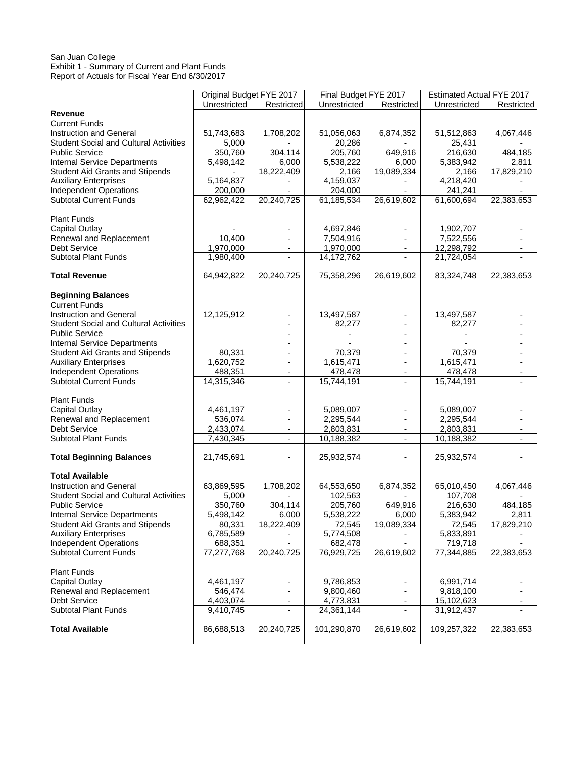### San Juan College Exhibit 1 - Summary of Current and Plant Funds Report of Actuals for Fiscal Year End 6/30/2017

|                                                                        | Original Budget FYE 2017 |                          | Final Budget FYE 2017 |                                            | Estimated Actual FYE 2017 |                                            |
|------------------------------------------------------------------------|--------------------------|--------------------------|-----------------------|--------------------------------------------|---------------------------|--------------------------------------------|
|                                                                        | Unrestricted             | Restricted               | Unrestricted          | Restricted                                 | Unrestricted              | Restricted                                 |
| Revenue                                                                |                          |                          |                       |                                            |                           |                                            |
| <b>Current Funds</b>                                                   |                          |                          |                       |                                            |                           |                                            |
| Instruction and General                                                | 51,743,683               | 1,708,202                | 51,056,063            | 6,874,352                                  | 51,512,863                | 4,067,446                                  |
| <b>Student Social and Cultural Activities</b>                          | 5,000                    |                          | 20,286                |                                            | 25,431                    |                                            |
| <b>Public Service</b>                                                  | 350,760                  | 304,114                  | 205,760               | 649,916                                    | 216,630                   | 484,185                                    |
| Internal Service Departments                                           | 5,498,142                | 6,000                    | 5,538,222             | 6,000                                      | 5,383,942                 | 2,811                                      |
| <b>Student Aid Grants and Stipends</b>                                 |                          | 18,222,409               | 2,166                 | 19,089,334                                 | 2,166                     | 17,829,210                                 |
| <b>Auxiliary Enterprises</b>                                           | 5,164,837                |                          | 4,159,037             |                                            | 4,218,420                 |                                            |
| <b>Independent Operations</b>                                          | 200,000                  |                          | 204,000               |                                            | 241,241                   |                                            |
| <b>Subtotal Current Funds</b>                                          | 62,962,422               | 20,240,725               | 61,185,534            | 26,619,602                                 | 61,600,694                | 22,383,653                                 |
| <b>Plant Funds</b>                                                     |                          |                          |                       |                                            |                           |                                            |
| <b>Capital Outlay</b>                                                  |                          |                          | 4,697,846             |                                            | 1,902,707                 |                                            |
| Renewal and Replacement                                                | 10,400                   |                          | 7,504,916             |                                            | 7,522,556                 |                                            |
| <b>Debt Service</b>                                                    | 1,970,000                |                          | 1,970,000             | $\blacksquare$                             | 12,298,792                |                                            |
| <b>Subtotal Plant Funds</b>                                            | 1,980,400                | $\overline{\phantom{a}}$ | 14,172,762            | $\overline{\phantom{a}}$                   | 21,724,054                | ٠                                          |
| <b>Total Revenue</b>                                                   | 64,942,822               | 20,240,725               | 75,358,296            | 26,619,602                                 | 83,324,748                | 22,383,653                                 |
| <b>Beginning Balances</b>                                              |                          |                          |                       |                                            |                           |                                            |
| <b>Current Funds</b>                                                   |                          |                          |                       |                                            |                           |                                            |
| Instruction and General                                                | 12,125,912               |                          | 13,497,587            |                                            | 13,497,587                |                                            |
| <b>Student Social and Cultural Activities</b>                          |                          |                          | 82,277                |                                            | 82,277                    |                                            |
| <b>Public Service</b>                                                  |                          |                          |                       |                                            |                           |                                            |
| Internal Service Departments                                           |                          |                          |                       |                                            |                           |                                            |
| <b>Student Aid Grants and Stipends</b>                                 | 80,331                   |                          | 70,379                |                                            | 70,379                    |                                            |
| <b>Auxiliary Enterprises</b>                                           | 1,620,752                |                          | 1,615,471             | $\overline{\phantom{a}}$                   | 1,615,471                 | ٠                                          |
| <b>Independent Operations</b>                                          |                          |                          |                       |                                            |                           |                                            |
| <b>Subtotal Current Funds</b>                                          | 488,351<br>14,315,346    | $\overline{\phantom{0}}$ | 478,478<br>15,744,191 | $\overline{\phantom{a}}$<br>$\blacksquare$ | 478,478<br>15,744,191     | $\overline{\phantom{a}}$<br>$\blacksquare$ |
|                                                                        |                          |                          |                       |                                            |                           |                                            |
| <b>Plant Funds</b>                                                     |                          |                          |                       |                                            |                           |                                            |
| Capital Outlay                                                         | 4,461,197                |                          | 5,089,007             |                                            | 5,089,007                 |                                            |
| Renewal and Replacement                                                | 536,074                  |                          | 2,295,544             | $\overline{\phantom{a}}$                   | 2,295,544                 | $\overline{\phantom{a}}$                   |
| <b>Debt Service</b>                                                    | 2,433,074                |                          | 2,803,831             | $\overline{\phantom{a}}$                   | 2,803,831                 | $\overline{\phantom{a}}$                   |
| <b>Subtotal Plant Funds</b>                                            | 7,430,345                | $\overline{\phantom{a}}$ | 10,188,382            | $\overline{\phantom{a}}$                   | 10,188,382                | $\overline{\phantom{a}}$                   |
|                                                                        |                          |                          |                       |                                            |                           |                                            |
| <b>Total Beginning Balances</b>                                        | 21,745,691               |                          | 25,932,574            |                                            | 25,932,574                |                                            |
| <b>Total Available</b>                                                 |                          |                          |                       |                                            |                           |                                            |
| Instruction and General                                                | 63,869,595               | 1,708,202                | 64,553,650            | 6,874,352                                  | 65,010,450                | 4,067,446                                  |
| <b>Student Social and Cultural Activities</b>                          | 5,000                    |                          | 102,563               |                                            | 107,708                   |                                            |
| <b>Public Service</b>                                                  | 350,760                  | 304,114                  | 205,760               | 649,916                                    | 216,630                   | 484,185                                    |
| Internal Service Departments                                           | 5,498,142                | 6,000                    | 5,538,222             | 6,000                                      | 5,383,942                 | 2,811                                      |
|                                                                        | 80,331                   | 18,222,409               | 72,545                | 19,089,334                                 | 72,545                    | 17,829,210                                 |
| <b>Student Aid Grants and Stipends</b><br><b>Auxiliary Enterprises</b> | 6,785,589                |                          | 5,774,508             |                                            | 5,833,891                 |                                            |
| <b>Independent Operations</b>                                          | 688,351                  |                          | 682,478               |                                            | 719,718                   |                                            |
| <b>Subtotal Current Funds</b>                                          | 77,277,768               | 20,240,725               | 76,929,725            | 26,619,602                                 | 77,344,885                | 22,383,653                                 |
|                                                                        |                          |                          |                       |                                            |                           |                                            |
| <b>Plant Funds</b>                                                     |                          |                          |                       |                                            |                           |                                            |
| <b>Capital Outlay</b>                                                  | 4,461,197                |                          | 9,786,853             |                                            | 6,991,714                 |                                            |
| Renewal and Replacement                                                | 546,474                  |                          | 9,800,460             |                                            | 9,818,100                 |                                            |
| <b>Debt Service</b>                                                    | 4,403,074                |                          | 4,773,831             | $\overline{\phantom{a}}$                   | 15,102,623                |                                            |
| <b>Subtotal Plant Funds</b>                                            | 9,410,745                | $\blacksquare$           | 24,361,144            | $\overline{\phantom{a}}$                   | 31,912,437                | $\overline{\phantom{0}}$                   |
| <b>Total Available</b>                                                 | 86,688,513               | 20,240,725               | 101,290,870           | 26,619,602                                 | 109,257,322               | 22,383,653                                 |
|                                                                        |                          |                          |                       |                                            |                           |                                            |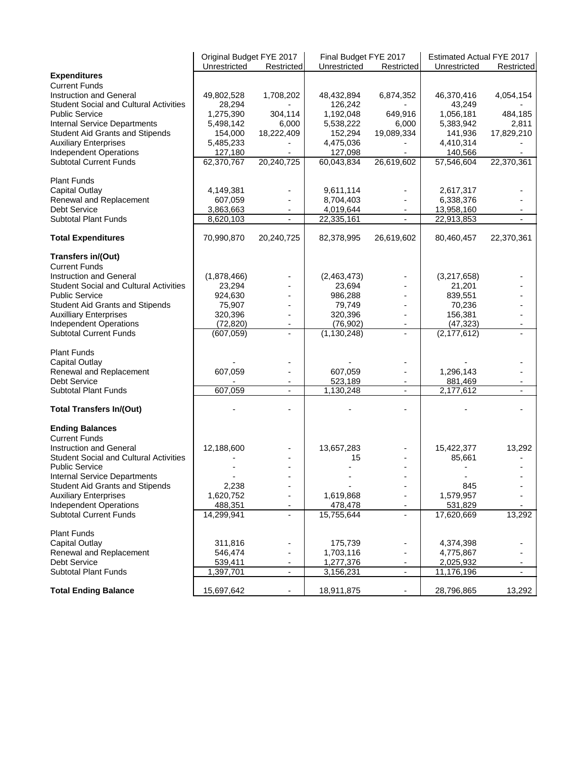|                                               | Original Budget FYE 2017 |                          | Final Budget FYE 2017 |            | Estimated Actual FYE 2017 |            |
|-----------------------------------------------|--------------------------|--------------------------|-----------------------|------------|---------------------------|------------|
|                                               | Unrestricted             | Restricted               | Unrestricted          | Restricted | Unrestricted              | Restricted |
| <b>Expenditures</b>                           |                          |                          |                       |            |                           |            |
| <b>Current Funds</b>                          |                          |                          |                       |            |                           |            |
| Instruction and General                       | 49,802,528               | 1,708,202                | 48,432,894            | 6,874,352  | 46,370,416                | 4,054,154  |
| <b>Student Social and Cultural Activities</b> | 28,294                   |                          | 126,242               |            | 43,249                    |            |
|                                               |                          | 304,114                  | 1,192,048             |            | 1,056,181                 |            |
| <b>Public Service</b>                         | 1,275,390                |                          |                       | 649,916    |                           | 484,185    |
| Internal Service Departments                  | 5,498,142                | 6,000                    | 5,538,222             | 6,000      | 5,383,942                 | 2,811      |
| <b>Student Aid Grants and Stipends</b>        | 154,000                  | 18,222,409               | 152,294               | 19,089,334 | 141,936                   | 17,829,210 |
| <b>Auxiliary Enterprises</b>                  | 5,485,233                |                          | 4,475,036             |            | 4,410,314                 |            |
| <b>Independent Operations</b>                 | 127,180                  |                          | 127,098               |            | 140,566                   |            |
| <b>Subtotal Current Funds</b>                 | 62,370,767               | 20,240,725               | 60,043,834            | 26,619,602 | 57,546,604                | 22,370,361 |
| <b>Plant Funds</b>                            |                          |                          |                       |            |                           |            |
| Capital Outlay                                | 4,149,381                |                          | 9,611,114             |            | 2,617,317                 |            |
| Renewal and Replacement                       | 607,059                  | $\overline{\phantom{a}}$ | 8,704,403             |            | 6,338,376                 |            |
|                                               |                          |                          |                       |            |                           |            |
| <b>Debt Service</b>                           | 3,863,663                |                          | 4,019,644             |            | 13,958,160                |            |
| <b>Subtotal Plant Funds</b>                   | 8,620,103                |                          | 22,335,161            |            | 22,913,853                |            |
| <b>Total Expenditures</b>                     | 70,990,870               | 20,240,725               | 82,378,995            | 26,619,602 | 80,460,457                | 22,370,361 |
| Transfers in/(Out)                            |                          |                          |                       |            |                           |            |
| <b>Current Funds</b>                          |                          |                          |                       |            |                           |            |
| Instruction and General                       | (1,878,466)              |                          | (2,463,473)           |            | (3,217,658)               |            |
| <b>Student Social and Cultural Activities</b> | 23,294                   |                          | 23,694                |            | 21,201                    |            |
|                                               |                          | ÷,                       |                       |            |                           |            |
| <b>Public Service</b>                         | 924,630                  |                          | 986,288               |            | 839,551                   |            |
| <b>Student Aid Grants and Stipends</b>        | 75,907                   |                          | 79,749                |            | 70,236                    |            |
| <b>Auxilliary Enterprises</b>                 | 320,396                  | $\overline{\phantom{0}}$ | 320,396               |            | 156,381                   |            |
| <b>Independent Operations</b>                 | (72, 820)                |                          | (76,902)              |            | (47, 323)                 |            |
| <b>Subtotal Current Funds</b>                 | (607, 059)               |                          | (1, 130, 248)         |            | (2, 177, 612)             |            |
| <b>Plant Funds</b>                            |                          |                          |                       |            |                           |            |
| <b>Capital Outlay</b>                         |                          |                          |                       |            |                           |            |
| Renewal and Replacement                       | 607,059                  | ٠                        | 607,059               |            | 1,296,143                 |            |
| <b>Debt Service</b>                           |                          |                          | 523,189               |            | 881,469                   |            |
| <b>Subtotal Plant Funds</b>                   | 607,059                  | L.                       | 1,130,248             |            | 2,177,612                 |            |
|                                               |                          |                          |                       |            |                           |            |
| <b>Total Transfers In/(Out)</b>               |                          |                          |                       |            |                           |            |
| <b>Ending Balances</b>                        |                          |                          |                       |            |                           |            |
| <b>Current Funds</b>                          |                          |                          |                       |            |                           |            |
| Instruction and General                       | 12,188,600               |                          | 13,657,283            |            | 15,422,377                | 13,292     |
|                                               |                          |                          |                       |            |                           |            |
| <b>Student Social and Cultural Activities</b> |                          |                          | 15                    |            | 85,661                    |            |
| <b>Public Service</b>                         |                          |                          |                       |            |                           |            |
| Internal Service Departments                  |                          |                          |                       |            |                           |            |
| <b>Student Aid Grants and Stipends</b>        | 2,238                    |                          |                       |            | 845                       |            |
| <b>Auxiliary Enterprises</b>                  | 1,620,752                |                          | 1,619,868             |            | 1,579,957                 |            |
| <b>Independent Operations</b>                 | 488,351                  |                          | 478,478               |            | 531,829                   |            |
| <b>Subtotal Current Funds</b>                 | 14,299,941               |                          | 15,755,644            |            | 17,620,669                | 13,292     |
| <b>Plant Funds</b>                            |                          |                          |                       |            |                           |            |
|                                               |                          |                          |                       |            |                           |            |
| Capital Outlay                                | 311,816                  |                          | 175,739               |            | 4,374,398                 |            |
| Renewal and Replacement                       | 546,474                  |                          | 1,703,116             |            | 4,775,867                 |            |
| <b>Debt Service</b>                           | 539,411                  |                          | 1,277,376             |            | 2,025,932                 |            |
| <b>Subtotal Plant Funds</b>                   | 1,397,701                | $\overline{\phantom{a}}$ | 3,156,231             | ۰          | 11,176,196                |            |
| <b>Total Ending Balance</b>                   | 15,697,642               | $\overline{\phantom{0}}$ | 18,911,875            |            | 28,796,865                | 13,292     |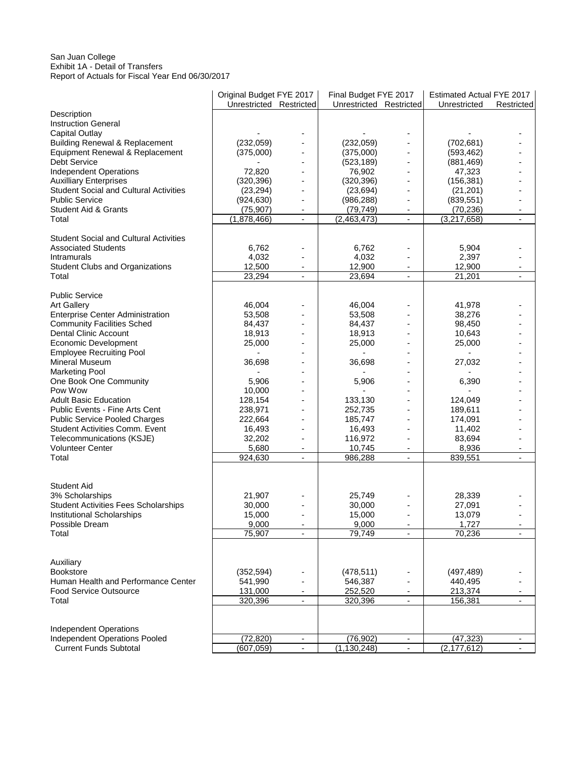### San Juan College Exhibit 1A - Detail of Transfers Report of Actuals for Fiscal Year End 06/30/2017

|                                                                | Original Budget FYE 2017 |                          | Final Budget FYE 2017   |                          | Estimated Actual FYE 2017 |                              |
|----------------------------------------------------------------|--------------------------|--------------------------|-------------------------|--------------------------|---------------------------|------------------------------|
|                                                                | Unrestricted Restricted  |                          | Unrestricted Restricted |                          | Unrestricted              | Restricted                   |
| Description                                                    |                          |                          |                         |                          |                           |                              |
| <b>Instruction General</b>                                     |                          |                          |                         |                          |                           |                              |
| Capital Outlay                                                 |                          |                          |                         |                          |                           |                              |
| <b>Building Renewal &amp; Replacement</b>                      | (232, 059)               |                          | (232, 059)              |                          | (702, 681)                |                              |
| Equipment Renewal & Replacement                                | (375,000)                | $\overline{\phantom{a}}$ | (375,000)               | $\frac{1}{2}$            | (593, 462)                |                              |
| <b>Debt Service</b>                                            |                          | $\overline{\phantom{a}}$ | (523, 189)              | $\overline{\phantom{a}}$ | (881, 469)                |                              |
| Independent Operations                                         | 72,820                   | $\overline{a}$           | 76,902                  |                          | 47,323                    |                              |
| <b>Auxilliary Enterprises</b>                                  | (320, 396)               | $\overline{a}$           | (320, 396)              | ä,                       | (156, 381)                |                              |
| <b>Student Social and Cultural Activities</b>                  | (23, 294)                | ÷                        | (23, 694)               | ٠                        | (21, 201)                 |                              |
| <b>Public Service</b>                                          | (924, 630)               |                          | (986, 288)              |                          | (839, 551)                |                              |
| <b>Student Aid &amp; Grants</b>                                | (75, 907)                | $\overline{\phantom{a}}$ | (79, 749)               | $\overline{\phantom{a}}$ | (70, 236)                 |                              |
| Total                                                          | (1,878,466)              | $\overline{\phantom{a}}$ | (2,463,473)             | $\blacksquare$           | (3,217,658)               | ÷,                           |
|                                                                |                          |                          |                         |                          |                           |                              |
| <b>Student Social and Cultural Activities</b>                  |                          |                          |                         |                          |                           |                              |
| <b>Associated Students</b>                                     | 6,762                    |                          | 6,762                   |                          | 5,904                     |                              |
| Intramurals                                                    | 4,032                    |                          | 4,032                   |                          | 2,397                     |                              |
| <b>Student Clubs and Organizations</b>                         | 12,500                   | $\overline{\phantom{a}}$ | 12,900                  | $\overline{\phantom{a}}$ | 12,900                    |                              |
| Total                                                          | 23,294                   | $\overline{\phantom{a}}$ | 23,694                  | $\overline{\phantom{a}}$ | 21,201                    | $\qquad \qquad \blacksquare$ |
| <b>Public Service</b>                                          |                          |                          |                         |                          |                           |                              |
| <b>Art Gallery</b>                                             | 46,004                   |                          | 46,004                  |                          | 41,978                    |                              |
| <b>Enterprise Center Administration</b>                        | 53,508                   | ÷,                       | 53,508                  |                          | 38,276                    |                              |
| <b>Community Facilities Sched</b>                              | 84,437                   | $\overline{\phantom{a}}$ | 84,437                  | $\overline{\phantom{a}}$ | 98,450                    |                              |
| <b>Dental Clinic Account</b>                                   | 18,913                   |                          | 18,913                  |                          | 10,643                    |                              |
| <b>Economic Development</b>                                    | 25,000                   | ÷,                       | 25,000                  |                          | 25,000                    |                              |
| <b>Employee Recruiting Pool</b>                                |                          | $\overline{\phantom{0}}$ |                         | $\overline{a}$           |                           |                              |
| Mineral Museum                                                 | 36,698                   |                          | 36,698                  |                          | 27,032                    |                              |
| <b>Marketing Pool</b>                                          |                          | $\overline{a}$           |                         | $\overline{a}$           |                           |                              |
| One Book One Community                                         | 5,906                    | ÷,                       | 5,906                   |                          | 6,390                     |                              |
| Pow Wow                                                        | 10,000                   |                          |                         |                          |                           |                              |
| <b>Adult Basic Education</b>                                   | 128,154                  | $\overline{a}$           | 133,130                 |                          | 124,049                   |                              |
| Public Events - Fine Arts Cent                                 | 238,971                  | $\overline{a}$           | 252,735                 | $\overline{\phantom{a}}$ | 189,611                   |                              |
| <b>Public Service Pooled Charges</b>                           | 222,664                  |                          | 185,747                 |                          | 174,091                   |                              |
| Student Activities Comm. Event                                 | 16,493                   | $\overline{a}$           | 16,493                  |                          | 11,402                    |                              |
| Telecommunications (KSJE)                                      | 32,202                   | $\overline{\phantom{a}}$ | 116,972                 | $\overline{\phantom{a}}$ | 83,694                    |                              |
| <b>Volunteer Center</b>                                        | 5,680                    | $\overline{\phantom{a}}$ | 10,745                  | $\blacksquare$           | 8,936                     |                              |
| Total                                                          | 924,630                  |                          | 986,288                 |                          | 839,551                   |                              |
|                                                                |                          |                          |                         |                          |                           |                              |
|                                                                |                          |                          |                         |                          |                           |                              |
| <b>Student Aid</b>                                             |                          |                          |                         |                          |                           |                              |
| 3% Scholarships                                                | 21,907                   |                          | 25,749                  |                          | 28,339                    |                              |
| <b>Student Activities Fees Scholarships</b>                    | 30,000                   |                          | 30,000                  |                          | 27,091                    |                              |
| Institutional Scholarships                                     | 15,000                   | $\blacksquare$           | 15,000                  | $\overline{\phantom{a}}$ | 13,079                    |                              |
| Possible Dream                                                 | 9,000                    | ۰                        | 9,000                   |                          | 1,727                     |                              |
| Total                                                          | 75,907                   |                          | 79,749                  |                          | 70,236                    |                              |
|                                                                |                          |                          |                         |                          |                           |                              |
|                                                                |                          |                          |                         |                          |                           |                              |
| Auxiliary                                                      |                          |                          |                         |                          |                           |                              |
| <b>Bookstore</b>                                               | (352, 594)               |                          | (478, 511)              |                          | (497, 489)                |                              |
| Human Health and Performance Center                            | 541,990                  |                          | 546,387                 |                          | 440,495                   |                              |
| <b>Food Service Outsource</b>                                  | 131,000                  | ۰                        | 252,520                 |                          | 213,374                   |                              |
| Total                                                          | 320,396                  | $\blacksquare$           | 320,396                 | $\blacksquare$           | 156,381                   | $\frac{1}{2}$                |
|                                                                |                          |                          |                         |                          |                           |                              |
|                                                                |                          |                          |                         |                          |                           |                              |
| <b>Independent Operations</b>                                  |                          |                          |                         |                          |                           |                              |
| Independent Operations Pooled<br><b>Current Funds Subtotal</b> | (72, 820)                | $\overline{\phantom{a}}$ | (76, 902)               | $\overline{\phantom{a}}$ | (47, 323)                 | $\qquad \qquad \blacksquare$ |
|                                                                | (607, 059)               | $\overline{\phantom{a}}$ | (1, 130, 248)           |                          | (2, 177, 612)             |                              |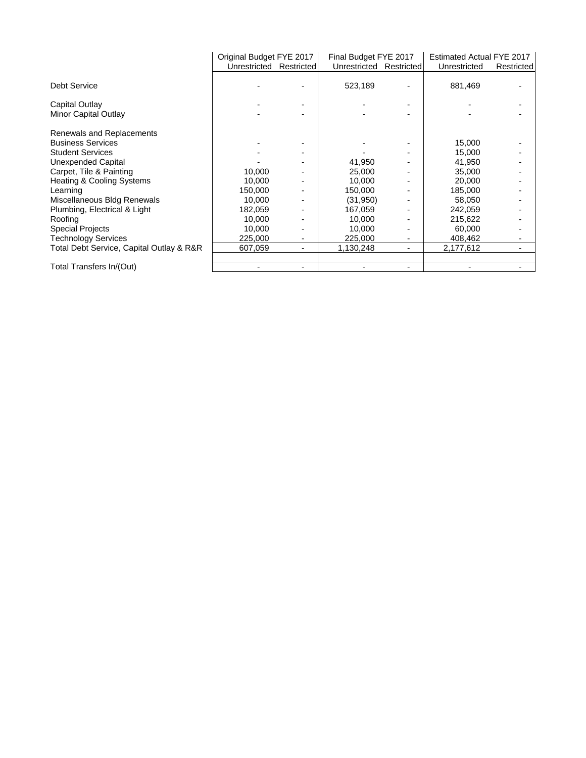|                                          | Original Budget FYE 2017 |                | Final Budget FYE 2017   |                          | Estimated Actual FYE 2017 |                          |
|------------------------------------------|--------------------------|----------------|-------------------------|--------------------------|---------------------------|--------------------------|
|                                          | Unrestricted Restricted  |                | Unrestricted Restricted |                          | Unrestricted              | Restricted               |
| <b>Debt Service</b>                      |                          |                | 523,189                 |                          | 881,469                   |                          |
| Capital Outlay                           |                          |                |                         | $\overline{\phantom{0}}$ |                           |                          |
| Minor Capital Outlay                     |                          |                |                         |                          |                           |                          |
| Renewals and Replacements                |                          |                |                         |                          |                           |                          |
| <b>Business Services</b>                 |                          |                |                         |                          | 15,000                    |                          |
| <b>Student Services</b>                  |                          |                |                         |                          | 15,000                    |                          |
| Unexpended Capital                       |                          |                | 41,950                  |                          | 41,950                    |                          |
| Carpet, Tile & Painting                  | 10,000                   |                | 25,000                  |                          | 35,000                    |                          |
| Heating & Cooling Systems                | 10,000                   |                | 10,000                  |                          | 20,000                    |                          |
| Learning                                 | 150,000                  |                | 150,000                 |                          | 185,000                   |                          |
| Miscellaneous Bldg Renewals              | 10,000                   |                | (31, 950)               |                          | 58,050                    |                          |
| Plumbing, Electrical & Light             | 182,059                  |                | 167,059                 |                          | 242,059                   |                          |
| Roofing                                  | 10,000                   |                | 10,000                  |                          | 215,622                   |                          |
| <b>Special Projects</b>                  | 10,000                   |                | 10,000                  |                          | 60,000                    |                          |
| <b>Technology Services</b>               | 225,000                  | ٠              | 225,000                 | ۰.                       | 408,462                   | ۰                        |
| Total Debt Service, Capital Outlay & R&R | 607,059                  | ٠              | 1,130,248               | ۰.                       | 2,177,612                 | $\overline{\phantom{a}}$ |
| Total Transfers In/(Out)                 | $\overline{\phantom{0}}$ | $\blacksquare$ |                         | $\overline{\phantom{0}}$ |                           |                          |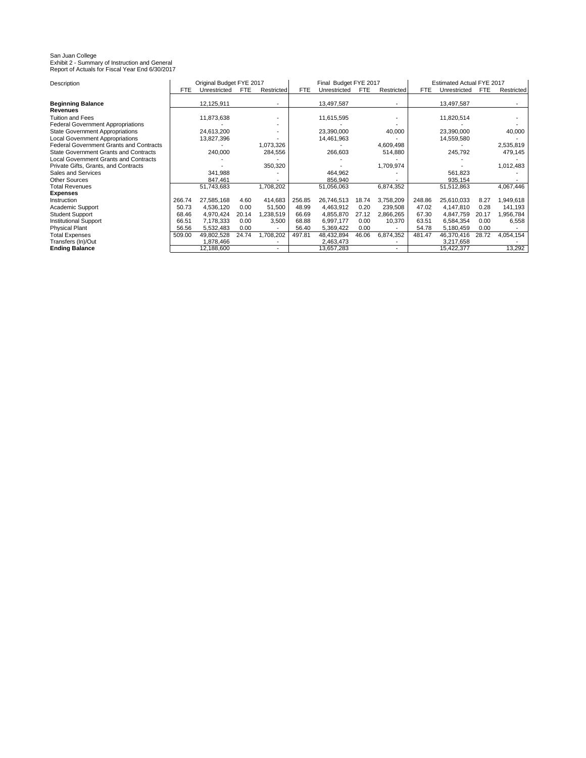#### San Juan College Exhibit 2 - Summary of Instruction and General Report of Actuals for Fiscal Year End 6/30/2017

Description FTE Unrestricted FTE Restricted FTE Unrestricted FTE Restricted FTE Unrestricted FTE Restricted **Beginning Balance** 12,125,911 - 12,125,911 - 13,497,587 - 13,497,587 **Revenues**<br>Tuition and Fees Tuition and Fees 11,873,638 - 11,615,595 - 11,820,514 -Federal Government Appropriations<br>
State Government Appropriations
24,613,200
<br>
24,613,200

23,390,000

23,390,000

23,390,000

23,390,000

23,390,000

23,390,000

23,390,000

23,390,000

23,390,000

23,390,000

23,390,000 State Government Appropriations 24,613,200 - 23,390,000 40,000 23,390,000 23,390,000 23,390,000 23,390,000 23,<br>
Local Government Appropriations 200 13,827,396 - 44,461,963 - 44,461,963 21,559,580 Local Government Appropriations | 13,827,396 10.73.326 14,461,963 14,694,98 14,559,580 14,559,580 2.535.819 Federal Government Grants and Contracts<br>
240,000 - 1,073,326 - 266,603 - 24,880 - 245,792 - 2,535,819<br>
2479,145 - 245,792 - 2,535,819 - 2,535,819 - 2,535,819 - 2,535,819 - 2,535,819 - 2,549,145 **State Government Grants and Contracts** Local Government Grants and Contracts<br>
Private Gifts, Grants, and Contracts<br>
1,012,483 Private Gifts, Grants, and Contracts **1,709,974** - 350,320 - 1,709,974 - 1,709,974 - 1,709,974 - 1,709,974 - 1,709,974 - 1,709,974 - 1,709,974 - 1,709,974 - 1,709,974 - 1,709,974 - 1,709,974 - 1,709,974 - 1,709,974 - 1,861 Sales and Services 341,988 464,962 561,823 -Other Sources 847,461 856,940 935,154 -Total Revenues 51,743,683 1,708,202 | 51,056,063 6,874,352 | 51,512,863 4,067,446 **Expenses** Instruction 266.74 27,585,168 4.60 414,683 256.85 26,746,513 18.74 3,758,209 248.86 25,610,033 8.27 1,949,618 Academic Support 50.73 4,536,120 0.00 51,500 48.99 4,463,912 0.20 239,508 47.02 4,147,810 0.28 141,193 Student Support 68.46 4,970,424 20.14 1,238,519 66.69 4,855,870 27.12 2,866,265 67.30 4,847,759 20.17 1,956,784 Institutional Support **66.51** 7,178,333 0.00 3,500 68.88 6,997,177 0.00 10,370 63.51 6,584,354 0.00 6,558<br>
Physical Plant 56.56 5,532,483 0.00 - 56.40 5,369,422 0.00 - 54.78 5,180,459 0.00 -Physical Plant 56.56 5,532,483 0.00 - 56.40 5,369,422 0.00 - 54.78 5,180,459 0.00 - Total Expenses 509.00 49,802,528 24.74 1,708,202 497.81 48,432,894 46.06 6,874,352 481.47 46,370,416 28.72 4,054,154 Transfers (In)/Out 1,878,466 - 2,463,473 - 2,463,473 - 3,217,658 - 3,217,658 - 3,217,658 - 3,217,658 - 3,217,658 - 3,217,658 - 3,217,658 - 3,217,658 - 3,217,658 - 3,217,658 - 3,217,658 - 3,217,658 - 3,217,658 - 3,217,658 -**Ending Balance** 12,188,600 - 13,657,283 - 15,422,377 13,292 Original Budget FYE 2017 Final Budget FYE 2017 Estimated Actual FYE 2017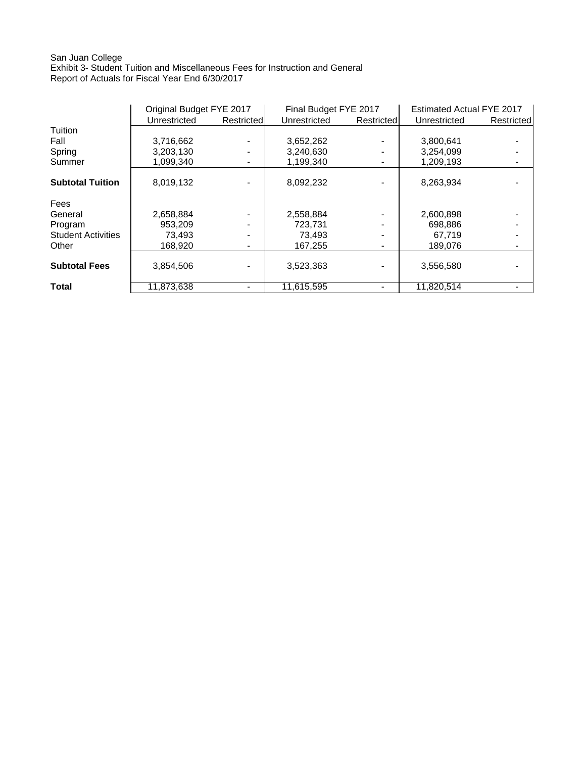## San Juan College Exhibit 3- Student Tuition and Miscellaneous Fees for Instruction and General Report of Actuals for Fiscal Year End 6/30/2017

|                           | Original Budget FYE 2017 |            | Final Budget FYE 2017 |            | Estimated Actual FYE 2017 |            |
|---------------------------|--------------------------|------------|-----------------------|------------|---------------------------|------------|
|                           | Unrestricted             | Restricted | Unrestricted          | Restricted | Unrestricted              | Restricted |
| Tuition                   |                          |            |                       |            |                           |            |
| Fall                      | 3,716,662                |            | 3,652,262             |            | 3,800,641                 |            |
| Spring                    | 3,203,130                |            | 3,240,630             |            | 3,254,099                 |            |
| Summer                    | 1.099.340                |            | 1,199,340             |            | 1,209,193                 |            |
| <b>Subtotal Tuition</b>   | 8,019,132                |            | 8,092,232             |            | 8,263,934                 |            |
| Fees                      |                          |            |                       |            |                           |            |
| General                   | 2,658,884                |            | 2,558,884             |            | 2,600,898                 |            |
| Program                   | 953,209                  |            | 723.731               |            | 698,886                   |            |
| <b>Student Activities</b> | 73,493                   |            | 73,493                |            | 67,719                    |            |
| Other                     | 168,920                  |            | 167,255               |            | 189.076                   |            |
| <b>Subtotal Fees</b>      | 3,854,506                |            | 3,523,363             |            | 3,556,580                 |            |
| <b>Total</b>              | 11.873.638               |            | 11.615.595            |            | 11.820.514                |            |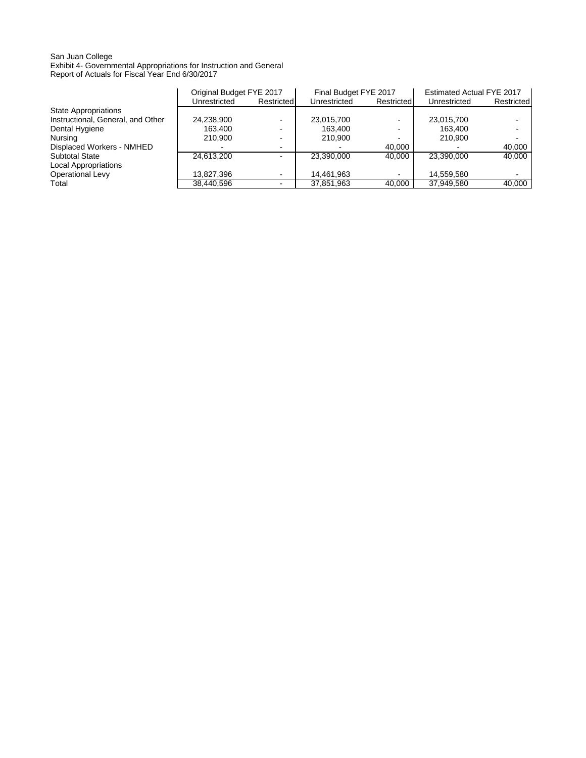### San Juan College Exhibit 4- Governmental Appropriations for Instruction and General Report of Actuals for Fiscal Year End 6/30/2017

|                                   | Original Budget FYE 2017 |                          | Final Budget FYE 2017 |                | Estimated Actual FYE 2017 |            |
|-----------------------------------|--------------------------|--------------------------|-----------------------|----------------|---------------------------|------------|
|                                   | Unrestricted             | Restricted               | Unrestricted          | Restricted     | Unrestricted              | Restricted |
| State Appropriations              |                          |                          |                       |                |                           |            |
| Instructional, General, and Other | 24,238,900               |                          | 23,015,700            | $\blacksquare$ | 23,015,700                |            |
| Dental Hygiene                    | 163.400                  |                          | 163.400               | -              | 163.400                   |            |
| Nursing                           | 210.900                  |                          | 210.900               | $\blacksquare$ | 210.900                   |            |
| Displaced Workers - NMHED         |                          |                          |                       | 40.000         |                           | 40.000     |
| <b>Subtotal State</b>             | 24.613.200               |                          | 23.390.000            | 40.000         | 23.390.000                | 40.000     |
| <b>Local Appropriations</b>       |                          |                          |                       |                |                           |            |
| <b>Operational Levy</b>           | 13,827,396               | $\overline{\phantom{a}}$ | 14,461,963            | $\blacksquare$ | 14.559.580                |            |
| Total                             | 38,440,596               |                          | 37,851,963            | 40.000         | 37,949,580                | 40.000     |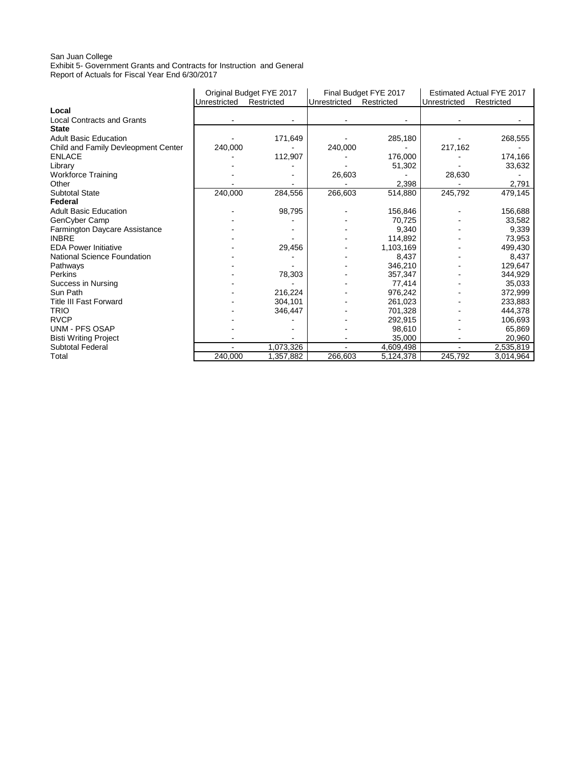## San Juan College

Exhibit 5- Government Grants and Contracts for Instruction and General Report of Actuals for Fiscal Year End 6/30/2017

|                                     |              | Original Budget FYE 2017 |              | Final Budget FYE 2017 | Estimated Actual FYE 2017 |            |
|-------------------------------------|--------------|--------------------------|--------------|-----------------------|---------------------------|------------|
|                                     | Unrestricted | Restricted               | Unrestricted | Restricted            | Unrestricted              | Restricted |
| Local                               |              |                          |              |                       |                           |            |
| <b>Local Contracts and Grants</b>   |              |                          |              |                       |                           |            |
| <b>State</b>                        |              |                          |              |                       |                           |            |
| <b>Adult Basic Education</b>        |              | 171,649                  |              | 285,180               |                           | 268,555    |
| Child and Family Devleopment Center | 240,000      |                          | 240,000      |                       | 217,162                   |            |
| <b>ENLACE</b>                       |              | 112,907                  |              | 176,000               |                           | 174,166    |
| Library                             |              |                          |              | 51,302                |                           | 33,632     |
| <b>Workforce Training</b>           |              |                          | 26,603       |                       | 28,630                    |            |
| Other                               |              |                          |              | 2,398                 |                           | 2,791      |
| <b>Subtotal State</b>               | 240,000      | 284,556                  | 266,603      | 514,880               | 245,792                   | 479,145    |
| Federal                             |              |                          |              |                       |                           |            |
| <b>Adult Basic Education</b>        |              | 98,795                   |              | 156,846               |                           | 156,688    |
| GenCyber Camp                       |              |                          |              | 70,725                |                           | 33,582     |
| Farmington Daycare Assistance       |              |                          |              | 9,340                 |                           | 9,339      |
| <b>INBRE</b>                        |              |                          |              | 114,892               |                           | 73,953     |
| <b>EDA Power Initiative</b>         |              | 29,456                   |              | 1,103,169             |                           | 499,430    |
| National Science Foundation         |              |                          |              | 8,437                 |                           | 8,437      |
| Pathways                            |              |                          |              | 346,210               |                           | 129,647    |
| Perkins                             |              | 78,303                   |              | 357,347               |                           | 344,929    |
| Success in Nursing                  |              |                          |              | 77,414                |                           | 35,033     |
| Sun Path                            |              | 216,224                  |              | 976,242               |                           | 372,999    |
| <b>Title III Fast Forward</b>       |              | 304,101                  |              | 261,023               |                           | 233,883    |
| <b>TRIO</b>                         |              | 346,447                  |              | 701.328               |                           | 444,378    |
| <b>RVCP</b>                         |              |                          |              | 292,915               |                           | 106,693    |
| <b>UNM - PFS OSAP</b>               |              |                          |              | 98,610                |                           | 65,869     |
| <b>Bisti Writing Project</b>        |              |                          |              | 35,000                |                           | 20,960     |
| <b>Subtotal Federal</b>             |              | 1,073,326                |              | 4,609,498             |                           | 2,535,819  |
| Total                               | 240.000      | 1,357,882                | 266,603      | 5,124,378             | 245,792                   | 3,014,964  |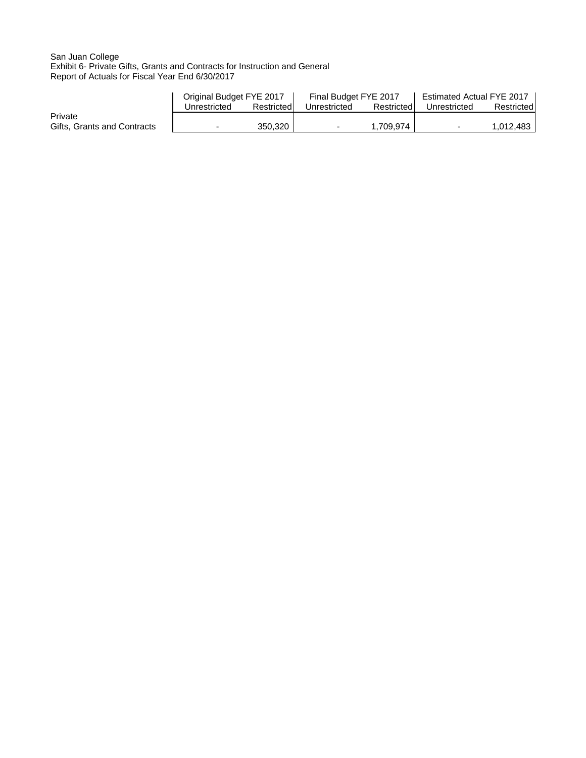## San Juan College Exhibit 6- Private Gifts, Grants and Contracts for Instruction and General Report of Actuals for Fiscal Year End 6/30/2017

|                             | Original Budget FYE 2017 |            | Final Budget FYE 2017 |            | Estimated Actual FYE 2017 |            |
|-----------------------------|--------------------------|------------|-----------------------|------------|---------------------------|------------|
|                             | Unrestricted             | Restricted | Unrestricted          | Restricted | Unrestricted              | Restricted |
| Private                     |                          |            |                       |            |                           |            |
| Gifts, Grants and Contracts |                          | 350.320    |                       | 1.709.974  | $\sim$                    | 1,012,483  |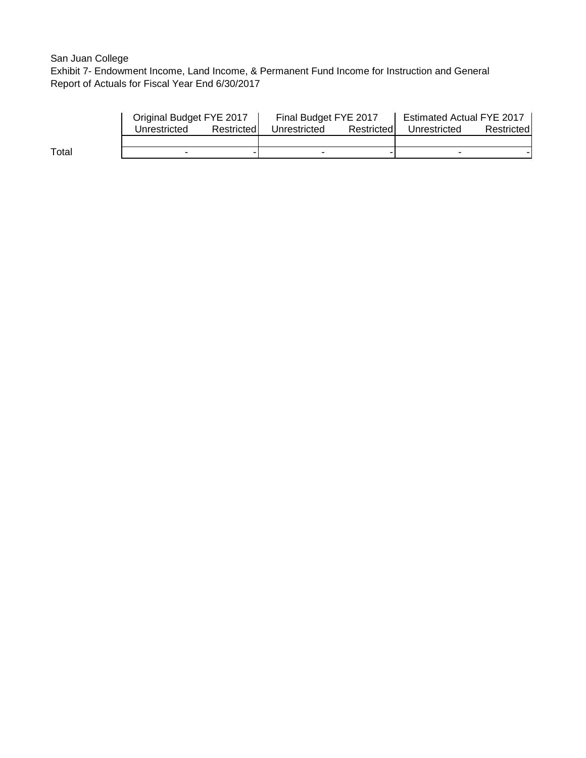# San Juan College

Exhibit 7- Endowment Income, Land Income, & Permanent Fund Income for Instruction and General Report of Actuals for Fiscal Year End 6/30/2017

|       | Original Budget FYE 2017 |            | Final Budget FYE 2017 |            | <b>Estimated Actual FYE 2017</b> |            |  |
|-------|--------------------------|------------|-----------------------|------------|----------------------------------|------------|--|
|       | Unrestricted             | Restricted | Unrestricted          | Restricted | Unrestricted                     | Restricted |  |
|       |                          |            |                       |            |                                  |            |  |
| Total |                          |            |                       |            |                                  |            |  |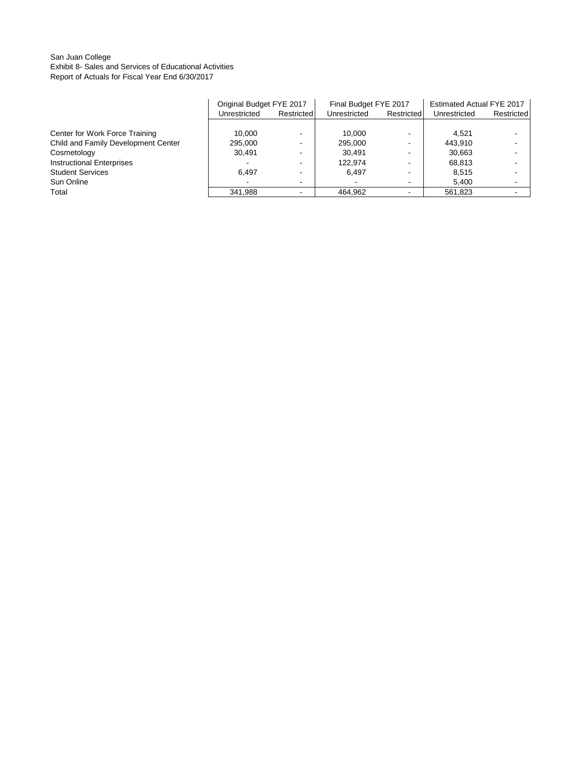## San Juan College Exhibit 8- Sales and Services of Educational Activities Report of Actuals for Fiscal Year End 6/30/2017

|                                     |              | Original Budget FYE 2017 |              | Final Budget FYE 2017    |              | Estimated Actual FYE 2017 |  |
|-------------------------------------|--------------|--------------------------|--------------|--------------------------|--------------|---------------------------|--|
|                                     | Unrestricted | Restricted               | Unrestricted | Restricted               | Unrestricted | Restricted                |  |
|                                     |              |                          |              |                          |              |                           |  |
| Center for Work Force Training      | 10.000       |                          | 10.000       | $\sim$                   | 4.521        |                           |  |
| Child and Family Development Center | 295,000      |                          | 295.000      | $\overline{\phantom{a}}$ | 443.910      | -                         |  |
| Cosmetology                         | 30.491       |                          | 30.491       |                          | 30,663       |                           |  |
| <b>Instructional Enterprises</b>    |              |                          | 122.974      |                          | 68.813       |                           |  |
| <b>Student Services</b>             | 6.497        |                          | 6.497        | -                        | 8.515        |                           |  |
| Sun Online                          |              |                          |              | $\overline{\phantom{0}}$ | 5.400        |                           |  |
| Total                               | 341.988      |                          | 464.962      |                          | 561.823      |                           |  |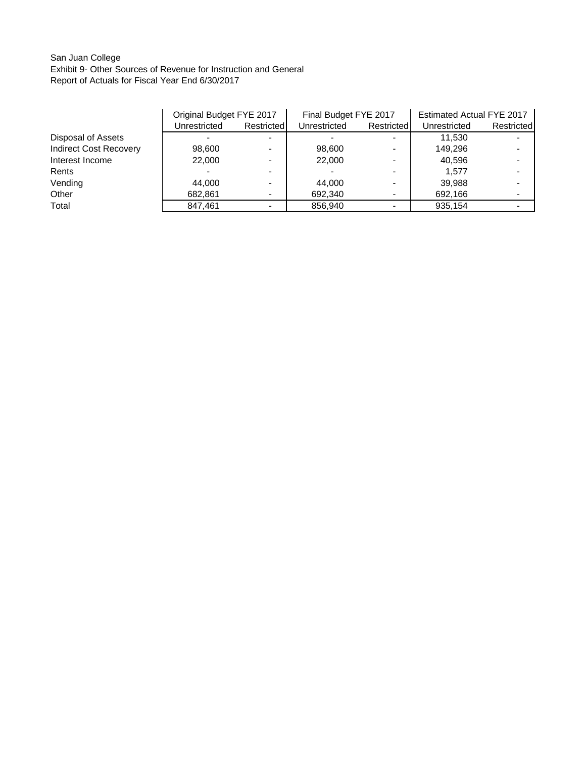# San Juan College Exhibit 9- Other Sources of Revenue for Instruction and General Report of Actuals for Fiscal Year End 6/30/2017

|                               | Original Budget FYE 2017 |            | Final Budget FYE 2017 |            | <b>Estimated Actual FYE 2017</b> |            |
|-------------------------------|--------------------------|------------|-----------------------|------------|----------------------------------|------------|
|                               | Unrestricted             | Restricted | Unrestricted          | Restricted | Unrestricted                     | Restricted |
| Disposal of Assets            |                          |            |                       |            | 11.530                           |            |
| <b>Indirect Cost Recovery</b> | 98,600                   |            | 98,600                |            | 149.296                          |            |
| Interest Income               | 22,000                   |            | 22,000                |            | 40.596                           |            |
| Rents                         |                          |            |                       |            | 1.577                            |            |
| Vending                       | 44.000                   |            | 44.000                |            | 39.988                           |            |
| Other                         | 682,861                  |            | 692,340               |            | 692,166                          |            |
| Total                         | 847,461                  |            | 856,940               |            | 935,154                          |            |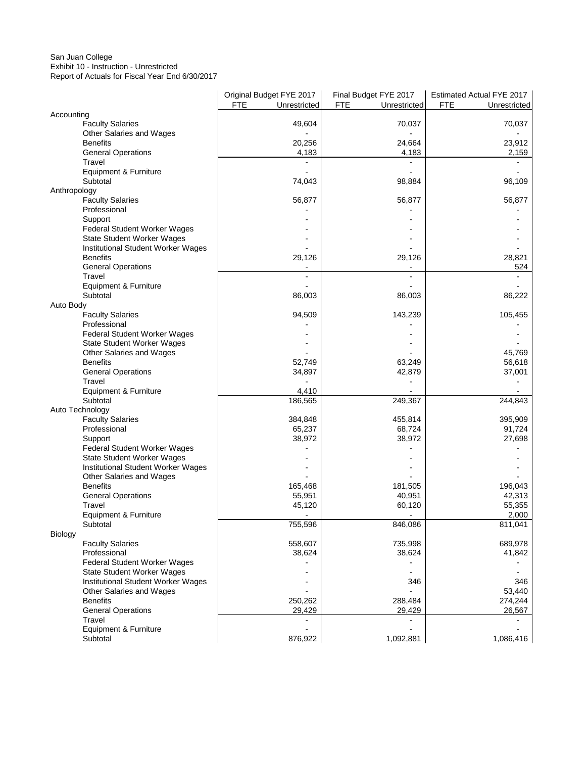## San Juan College Exhibit 10 - Instruction - Unrestricted

Report of Actuals for Fiscal Year End 6/30/2017

|                                         | Original Budget FYE 2017 | Final Budget FYE 2017      | Estimated Actual FYE 2017 |
|-----------------------------------------|--------------------------|----------------------------|---------------------------|
|                                         | FTE<br>Unrestricted      | <b>FTE</b><br>Unrestricted | FTE<br>Unrestricted       |
| Accounting                              |                          |                            |                           |
| <b>Faculty Salaries</b>                 | 49,604                   | 70,037                     | 70,037                    |
| Other Salaries and Wages                |                          |                            |                           |
| <b>Benefits</b>                         | 20,256                   | 24,664                     | 23,912                    |
| <b>General Operations</b>               | 4,183                    | 4,183                      | 2,159                     |
| Travel                                  |                          |                            |                           |
| Equipment & Furniture                   |                          |                            |                           |
| Subtotal                                | 74,043                   | 98,884                     | 96,109                    |
| Anthropology                            |                          | 56,877                     |                           |
| <b>Faculty Salaries</b><br>Professional | 56,877                   |                            | 56,877                    |
| Support                                 |                          |                            |                           |
| Federal Student Worker Wages            |                          |                            |                           |
| State Student Worker Wages              |                          |                            |                           |
| Institutional Student Worker Wages      |                          |                            |                           |
| <b>Benefits</b>                         | 29,126                   | 29,126                     | 28,821                    |
| <b>General Operations</b>               |                          |                            | 524                       |
| Travel                                  | ÷,                       | $\blacksquare$             |                           |
| Equipment & Furniture                   |                          |                            |                           |
| Subtotal                                | 86,003                   | 86,003                     | 86,222                    |
| Auto Body                               |                          |                            |                           |
| <b>Faculty Salaries</b>                 | 94,509                   | 143,239                    | 105,455                   |
| Professional                            |                          |                            |                           |
| Federal Student Worker Wages            |                          |                            |                           |
| State Student Worker Wages              |                          |                            |                           |
| Other Salaries and Wages                |                          |                            | 45,769                    |
| <b>Benefits</b>                         | 52,749                   | 63,249                     | 56,618                    |
| <b>General Operations</b>               | 34,897                   | 42,879                     | 37,001                    |
| Travel                                  |                          |                            |                           |
| Equipment & Furniture                   | 4,410                    |                            |                           |
| Subtotal                                | 186,565                  | 249,367                    | 244,843                   |
| Auto Technology                         |                          |                            |                           |
| <b>Faculty Salaries</b>                 | 384,848                  | 455,814                    | 395,909                   |
| Professional                            | 65,237                   | 68,724                     | 91,724                    |
| Support                                 | 38,972                   | 38,972                     | 27,698                    |
| Federal Student Worker Wages            |                          |                            |                           |
| State Student Worker Wages              |                          |                            |                           |
| Institutional Student Worker Wages      |                          |                            |                           |
| Other Salaries and Wages                |                          |                            |                           |
| <b>Benefits</b>                         | 165,468                  | 181,505                    | 196,043                   |
| <b>General Operations</b>               | 55,951                   | 40,951                     | 42,313                    |
| Travel                                  | 45,120                   | 60,120                     | 55,355                    |
| Equipment & Furniture                   |                          |                            | 2,000                     |
| Subtotal                                | 755,596                  | 846,086                    | 811,041                   |
| Biology                                 |                          |                            |                           |
| <b>Faculty Salaries</b>                 | 558,607                  | 735,998                    | 689,978                   |
| Professional                            | 38,624                   | 38,624                     | 41,842                    |
| Federal Student Worker Wages            |                          |                            |                           |
| <b>State Student Worker Wages</b>       |                          |                            |                           |
| Institutional Student Worker Wages      |                          | 346                        | 346                       |
| Other Salaries and Wages                |                          |                            | 53,440                    |
| <b>Benefits</b>                         | 250,262                  | 288,484                    | 274,244                   |
| <b>General Operations</b>               | 29,429                   | 29,429                     | 26,567                    |
| Travel                                  |                          |                            |                           |
| Equipment & Furniture                   |                          |                            |                           |
| Subtotal                                | 876,922                  | 1,092,881                  | 1,086,416                 |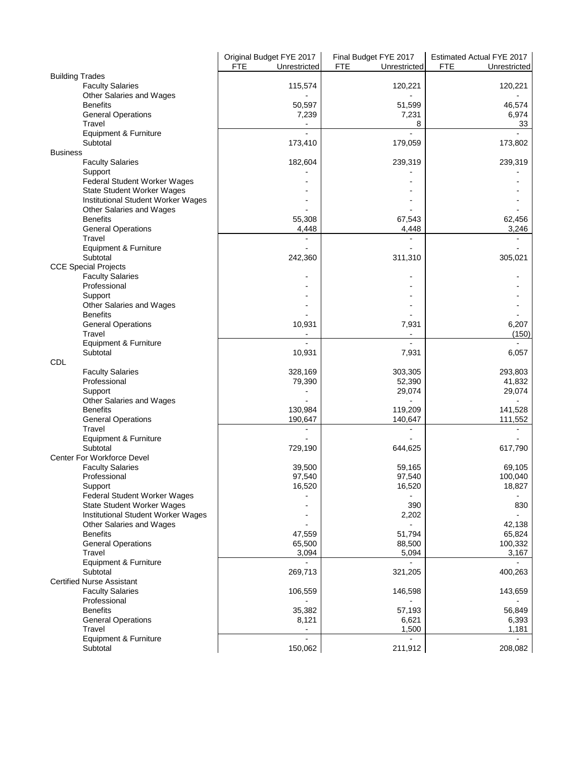|                                             | Original Budget FYE 2017   | Final Budget FYE 2017      | Estimated Actual FYE 2017  |
|---------------------------------------------|----------------------------|----------------------------|----------------------------|
|                                             | <b>FTE</b><br>Unrestricted | <b>FTE</b><br>Unrestricted | <b>FTE</b><br>Unrestricted |
| <b>Building Trades</b>                      |                            |                            |                            |
| <b>Faculty Salaries</b>                     | 115,574                    | 120,221                    | 120,221                    |
| Other Salaries and Wages                    |                            |                            |                            |
| <b>Benefits</b>                             | 50,597                     | 51,599                     | 46,574                     |
| <b>General Operations</b>                   | 7,239                      | 7,231                      | 6,974                      |
| Travel                                      |                            | 8                          | 33                         |
| Equipment & Furniture                       |                            |                            | $\blacksquare$             |
| Subtotal                                    | 173,410                    | 179,059                    | 173,802                    |
| <b>Business</b><br><b>Faculty Salaries</b>  | 182,604                    | 239,319                    | 239,319                    |
| Support                                     |                            |                            |                            |
| Federal Student Worker Wages                |                            |                            |                            |
| State Student Worker Wages                  |                            |                            |                            |
| Institutional Student Worker Wages          |                            |                            |                            |
| Other Salaries and Wages                    |                            |                            |                            |
| <b>Benefits</b>                             | 55,308                     | 67,543                     | 62,456                     |
| <b>General Operations</b>                   | 4,448                      | 4,448                      | 3,246                      |
| Travel                                      |                            |                            |                            |
| Equipment & Furniture                       |                            |                            |                            |
| Subtotal                                    | 242,360                    | 311,310                    | 305,021                    |
| <b>CCE Special Projects</b>                 |                            |                            |                            |
| <b>Faculty Salaries</b>                     |                            |                            |                            |
| Professional                                |                            |                            |                            |
| Support                                     |                            |                            |                            |
| Other Salaries and Wages                    |                            |                            |                            |
| <b>Benefits</b>                             |                            |                            |                            |
| <b>General Operations</b>                   | 10,931                     | 7,931                      | 6,207                      |
| Travel                                      |                            | $\blacksquare$             | (150)                      |
| Equipment & Furniture                       |                            | $\overline{a}$             |                            |
| Subtotal                                    | 10,931                     | 7,931                      | 6,057                      |
| <b>CDL</b>                                  |                            |                            |                            |
| <b>Faculty Salaries</b>                     | 328,169                    | 303,305                    | 293,803                    |
| Professional                                | 79,390                     | 52,390                     | 41,832                     |
| Support                                     |                            | 29,074                     | 29,074                     |
| Other Salaries and Wages<br><b>Benefits</b> | 130,984                    | 119,209                    | 141,528                    |
| <b>General Operations</b>                   | 190,647                    | 140,647                    | 111,552                    |
| Travel                                      | $\blacksquare$             | $\blacksquare$             | $\blacksquare$             |
| Equipment & Furniture                       |                            |                            |                            |
| Subtotal                                    | 729,190                    | 644,625                    | 617,790                    |
| Center For Workforce Devel                  |                            |                            |                            |
| <b>Faculty Salaries</b>                     | 39,500                     | 59,165                     | 69,105                     |
| Professional                                | 97,540                     | 97,540                     | 100,040                    |
| Support                                     | 16,520                     | 16,520                     | 18,827                     |
| Federal Student Worker Wages                |                            |                            |                            |
| State Student Worker Wages                  |                            | 390                        | 830                        |
| Institutional Student Worker Wages          |                            | 2,202                      |                            |
| Other Salaries and Wages                    |                            |                            | 42,138                     |
| <b>Benefits</b>                             | 47,559                     | 51,794                     | 65,824                     |
| <b>General Operations</b>                   | 65,500                     | 88,500                     | 100,332                    |
| Travel                                      | 3,094                      | 5,094                      | 3,167                      |
| Equipment & Furniture                       |                            |                            |                            |
| Subtotal                                    | 269,713                    | 321,205                    | 400,263                    |
| <b>Certified Nurse Assistant</b>            |                            |                            |                            |
| <b>Faculty Salaries</b>                     | 106,559                    | 146,598                    | 143,659                    |
| Professional                                |                            |                            |                            |
| <b>Benefits</b>                             | 35,382                     | 57,193                     | 56,849                     |
| <b>General Operations</b>                   | 8,121                      | 6,621                      | 6,393                      |
| Travel                                      | $\overline{\phantom{a}}$   | 1,500                      | 1,181                      |
| Equipment & Furniture                       |                            |                            |                            |
| Subtotal                                    | 150,062                    | 211,912                    | 208,082                    |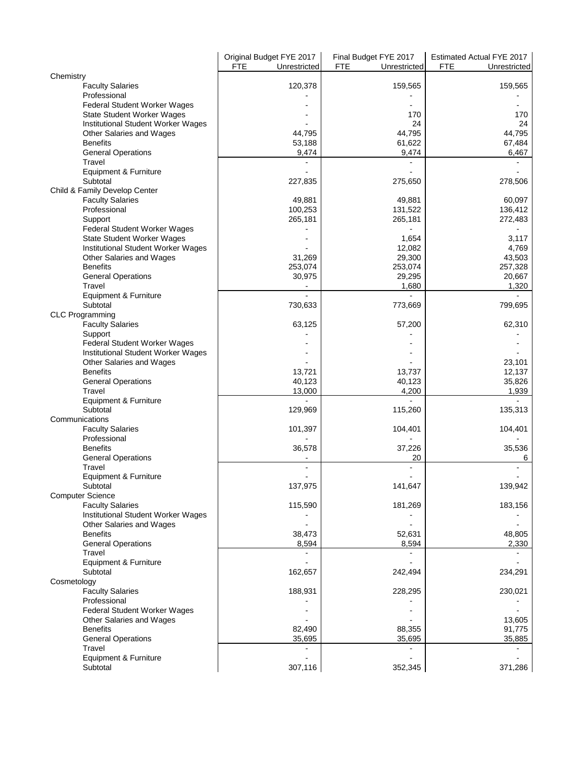|                                                    | Original Budget FYE 2017   | Final Budget FYE 2017      | Estimated Actual FYE 2017  |
|----------------------------------------------------|----------------------------|----------------------------|----------------------------|
|                                                    | <b>FTE</b><br>Unrestricted | <b>FTE</b><br>Unrestricted | <b>FTE</b><br>Unrestricted |
| Chemistry<br><b>Faculty Salaries</b>               | 120,378                    | 159,565                    | 159,565                    |
| Professional                                       |                            |                            |                            |
| Federal Student Worker Wages                       |                            |                            |                            |
| State Student Worker Wages                         |                            | 170                        | 170                        |
| Institutional Student Worker Wages                 |                            | 24                         | 24                         |
| Other Salaries and Wages<br><b>Benefits</b>        | 44,795<br>53,188           | 44,795<br>61,622           | 44,795<br>67,484           |
| <b>General Operations</b>                          | 9,474                      | 9,474                      | 6,467                      |
| Travel                                             |                            |                            |                            |
| Equipment & Furniture                              |                            |                            |                            |
| Subtotal                                           | 227,835                    | 275,650                    | 278,506                    |
| Child & Family Develop Center                      |                            |                            |                            |
| <b>Faculty Salaries</b>                            | 49,881                     | 49,881                     | 60,097                     |
| Professional<br>Support                            | 100,253<br>265,181         | 131,522<br>265,181         | 136,412<br>272,483         |
| Federal Student Worker Wages                       |                            |                            |                            |
| State Student Worker Wages                         |                            | 1,654                      | 3,117                      |
| Institutional Student Worker Wages                 |                            | 12,082                     | 4,769                      |
| Other Salaries and Wages                           | 31,269                     | 29,300                     | 43,503                     |
| <b>Benefits</b>                                    | 253,074                    | 253,074                    | 257,328                    |
| <b>General Operations</b>                          | 30,975                     | 29,295                     | 20,667                     |
| Travel<br>Equipment & Furniture                    |                            | 1,680                      | 1,320                      |
| Subtotal                                           | 730,633                    | 773,669                    | 799,695                    |
| <b>CLC Programming</b>                             |                            |                            |                            |
| <b>Faculty Salaries</b>                            | 63,125                     | 57,200                     | 62,310                     |
| Support                                            |                            |                            |                            |
| Federal Student Worker Wages                       |                            |                            |                            |
| Institutional Student Worker Wages                 |                            |                            | 23,101                     |
| Other Salaries and Wages<br><b>Benefits</b>        | 13,721                     | 13,737                     | 12,137                     |
| <b>General Operations</b>                          | 40,123                     | 40,123                     | 35,826                     |
| Travel                                             | 13,000                     | 4,200                      | 1,939                      |
| Equipment & Furniture                              |                            |                            |                            |
| Subtotal                                           | 129,969                    | 115,260                    | 135,313                    |
| Communications                                     | 101,397                    |                            | 104,401                    |
| <b>Faculty Salaries</b><br>Professional            |                            | 104,401                    |                            |
| <b>Benefits</b>                                    | 36,578                     | 37,226                     | 35,536                     |
| <b>General Operations</b>                          |                            | 20                         | 6                          |
| Travel                                             | $\blacksquare$             |                            |                            |
| Equipment & Furniture                              |                            |                            |                            |
| Subtotal                                           | 137,975                    | 141,647                    | 139,942                    |
| <b>Computer Science</b><br><b>Faculty Salaries</b> | 115,590                    | 181,269                    | 183,156                    |
| Institutional Student Worker Wages                 |                            |                            |                            |
| Other Salaries and Wages                           |                            |                            |                            |
| <b>Benefits</b>                                    | 38,473                     | 52,631                     | 48,805                     |
| <b>General Operations</b>                          | 8,594                      | 8,594                      | 2,330                      |
| Travel                                             |                            |                            |                            |
| Equipment & Furniture<br>Subtotal                  | 162,657                    | 242,494                    | 234,291                    |
| Cosmetology                                        |                            |                            |                            |
| <b>Faculty Salaries</b>                            | 188,931                    | 228,295                    | 230,021                    |
| Professional                                       |                            |                            |                            |
| Federal Student Worker Wages                       |                            |                            |                            |
| Other Salaries and Wages                           |                            |                            | 13,605                     |
| <b>Benefits</b>                                    | 82,490                     | 88,355                     | 91,775                     |
| <b>General Operations</b><br>Travel                | 35,695                     | 35,695                     | 35,885                     |
| Equipment & Furniture                              |                            |                            |                            |
| Subtotal                                           | 307,116                    | 352,345                    | 371,286                    |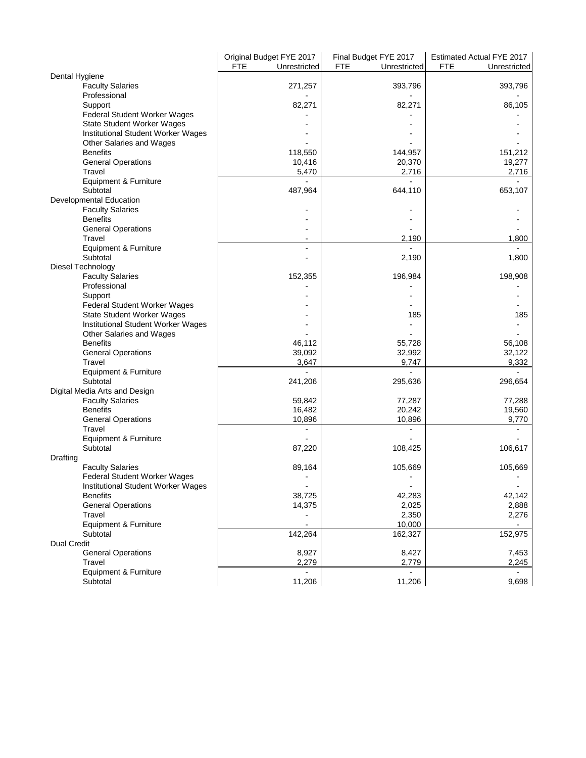|                                                                    | Original Budget FYE 2017   | Final Budget FYE 2017      | Estimated Actual FYE 2017  |
|--------------------------------------------------------------------|----------------------------|----------------------------|----------------------------|
|                                                                    | <b>FTE</b><br>Unrestricted | <b>FTE</b><br>Unrestricted | <b>FTE</b><br>Unrestricted |
| Dental Hygiene                                                     |                            |                            |                            |
| <b>Faculty Salaries</b>                                            | 271,257                    | 393,796                    | 393,796                    |
| Professional                                                       |                            |                            |                            |
| Support                                                            | 82,271                     | 82,271                     | 86,105                     |
| Federal Student Worker Wages                                       |                            |                            |                            |
| <b>State Student Worker Wages</b>                                  |                            |                            |                            |
| Institutional Student Worker Wages                                 |                            |                            |                            |
| Other Salaries and Wages                                           |                            |                            |                            |
| <b>Benefits</b>                                                    | 118,550                    | 144,957                    | 151,212                    |
| <b>General Operations</b>                                          | 10,416                     | 20,370                     | 19,277                     |
| Travel                                                             | 5,470                      | 2,716                      | 2,716                      |
| Equipment & Furniture<br>Subtotal                                  | 487,964                    | 644,110                    | 653,107                    |
| Developmental Education                                            |                            |                            |                            |
| <b>Faculty Salaries</b>                                            |                            |                            |                            |
| <b>Benefits</b>                                                    |                            |                            |                            |
| <b>General Operations</b>                                          |                            |                            |                            |
| Travel                                                             |                            | 2,190                      | 1,800                      |
| Equipment & Furniture                                              |                            |                            |                            |
| Subtotal                                                           |                            | 2,190                      | 1,800                      |
| Diesel Technology                                                  |                            |                            |                            |
| <b>Faculty Salaries</b>                                            | 152,355                    | 196,984                    | 198,908                    |
| Professional                                                       |                            |                            |                            |
| Support                                                            |                            |                            |                            |
| Federal Student Worker Wages                                       |                            |                            |                            |
| <b>State Student Worker Wages</b>                                  |                            | 185                        | 185                        |
| Institutional Student Worker Wages                                 |                            |                            |                            |
| Other Salaries and Wages                                           |                            |                            |                            |
| <b>Benefits</b>                                                    | 46,112                     | 55,728                     | 56,108                     |
| <b>General Operations</b>                                          | 39,092                     | 32,992                     | 32,122                     |
| Travel                                                             | 3,647                      | 9,747                      | 9,332                      |
| Equipment & Furniture                                              |                            |                            |                            |
| Subtotal                                                           | 241,206                    | 295,636                    | 296,654                    |
| Digital Media Arts and Design                                      |                            |                            |                            |
| <b>Faculty Salaries</b>                                            | 59,842                     | 77,287                     | 77,288                     |
| <b>Benefits</b>                                                    | 16,482                     | 20,242                     | 19,560                     |
| <b>General Operations</b>                                          | 10,896                     | 10,896                     | 9,770                      |
| Travel                                                             | $\overline{a}$             | $\overline{a}$             |                            |
| Equipment & Furniture                                              |                            |                            |                            |
| Subtotal                                                           | 87,220                     | 108,425                    | 106,617                    |
| Drafting                                                           |                            |                            |                            |
| <b>Faculty Salaries</b>                                            | 89,164                     | 105,669                    | 105,669                    |
| Federal Student Worker Wages<br>Institutional Student Worker Wages |                            | $\blacksquare$             | $\blacksquare$             |
| <b>Benefits</b>                                                    | 38,725                     | 42,283                     | 42,142                     |
| <b>General Operations</b>                                          | 14,375                     | 2,025                      | 2,888                      |
| Travel                                                             |                            | 2,350                      | 2,276                      |
| Equipment & Furniture                                              | $\overline{a}$             | 10,000                     |                            |
| Subtotal                                                           | 142,264                    | 162,327                    | 152,975                    |
| <b>Dual Credit</b>                                                 |                            |                            |                            |
| <b>General Operations</b>                                          | 8,927                      | 8,427                      | 7,453                      |
| Travel                                                             | 2,279                      | 2,779                      | 2,245                      |
| Equipment & Furniture                                              |                            |                            |                            |
| Subtotal                                                           | 11,206                     | 11,206                     | 9,698                      |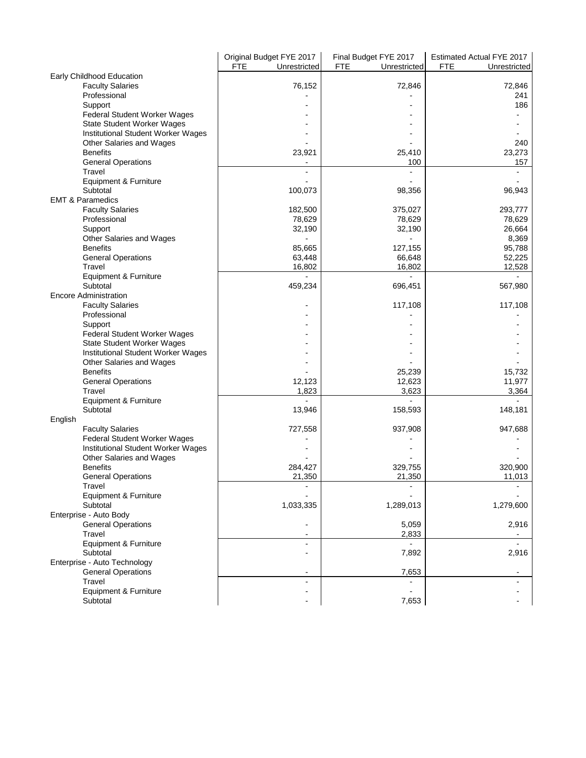|                                     | Original Budget FYE 2017 | Final Budget FYE 2017      | Estimated Actual FYE 2017  |
|-------------------------------------|--------------------------|----------------------------|----------------------------|
|                                     | FTE<br>Unrestricted      | <b>FTE</b><br>Unrestricted | <b>FTE</b><br>Unrestricted |
| Early Childhood Education           |                          |                            |                            |
| <b>Faculty Salaries</b>             | 76,152                   | 72,846                     | 72,846                     |
| Professional                        |                          |                            | 241                        |
| Support                             |                          |                            | 186                        |
| Federal Student Worker Wages        |                          |                            |                            |
| <b>State Student Worker Wages</b>   |                          |                            |                            |
| Institutional Student Worker Wages  |                          |                            |                            |
| Other Salaries and Wages            |                          |                            | 240                        |
| <b>Benefits</b>                     | 23,921                   | 25,410                     | 23,273                     |
| <b>General Operations</b>           |                          | 100                        | 157                        |
| Travel                              |                          |                            |                            |
| Equipment & Furniture<br>Subtotal   |                          |                            |                            |
| <b>EMT &amp; Paramedics</b>         | 100,073                  | 98,356                     | 96,943                     |
|                                     |                          |                            |                            |
| <b>Faculty Salaries</b>             | 182,500                  | 375,027                    | 293,777                    |
| Professional                        | 78,629                   | 78,629                     | 78,629                     |
| Support<br>Other Salaries and Wages | 32,190                   | 32,190                     | 26,664<br>8,369            |
| <b>Benefits</b>                     | 85,665                   | 127,155                    | 95,788                     |
| <b>General Operations</b>           | 63,448                   | 66,648                     | 52,225                     |
| Travel                              | 16,802                   | 16,802                     | 12,528                     |
| Equipment & Furniture               |                          |                            |                            |
| Subtotal                            | 459,234                  | 696,451                    | 567,980                    |
| <b>Encore Administration</b>        |                          |                            |                            |
| <b>Faculty Salaries</b>             |                          | 117,108                    | 117,108                    |
| Professional                        |                          |                            |                            |
| Support                             |                          |                            |                            |
| Federal Student Worker Wages        |                          |                            |                            |
| <b>State Student Worker Wages</b>   |                          |                            |                            |
| Institutional Student Worker Wages  |                          |                            |                            |
| Other Salaries and Wages            |                          |                            |                            |
| <b>Benefits</b>                     |                          | 25,239                     | 15,732                     |
| <b>General Operations</b>           | 12,123                   | 12,623                     | 11,977                     |
| Travel                              | 1,823                    | 3,623                      | 3,364                      |
| Equipment & Furniture               |                          |                            |                            |
| Subtotal                            | 13,946                   | 158,593                    | 148,181                    |
| English                             |                          |                            |                            |
| <b>Faculty Salaries</b>             | 727,558                  | 937,908                    | 947,688                    |
| Federal Student Worker Wages        |                          |                            |                            |
| Institutional Student Worker Wages  |                          |                            |                            |
| Other Salaries and Wages            |                          |                            |                            |
| <b>Benefits</b>                     | 284,427                  | 329,755                    | 320,900                    |
| <b>General Operations</b>           | 21,350                   | 21,350                     | 11,013                     |
| Travel                              |                          |                            |                            |
| Equipment & Furniture               |                          |                            |                            |
| Subtotal                            | 1,033,335                | 1,289,013                  | 1,279,600                  |
| Enterprise - Auto Body              |                          |                            |                            |
| <b>General Operations</b>           |                          | 5,059                      | 2,916                      |
| Travel<br>Equipment & Furniture     |                          | 2,833                      |                            |
| Subtotal                            |                          | 7,892                      | 2,916                      |
| Enterprise - Auto Technology        |                          |                            |                            |
| <b>General Operations</b>           | ۰                        | 7,653                      | $\blacksquare$             |
| Travel                              | ٠                        |                            |                            |
| Equipment & Furniture               |                          |                            |                            |
| Subtotal                            |                          | 7,653                      |                            |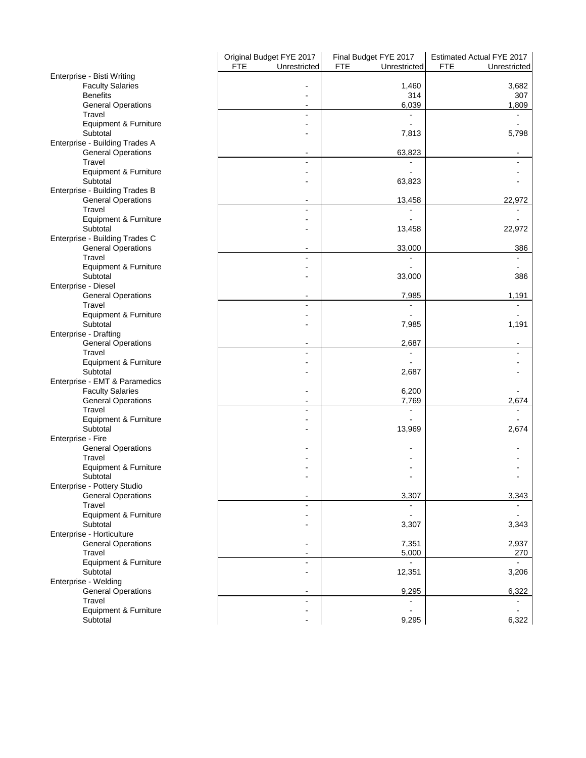|                                                          | Original Budget FYE 2017<br><b>FTE</b><br>Unrestricted | Final Budget FYE 2017<br><b>FTE</b><br>Unrestricted | Estimated Actual FYE 2017<br><b>FTE</b><br>Unrestricted |
|----------------------------------------------------------|--------------------------------------------------------|-----------------------------------------------------|---------------------------------------------------------|
| Enterprise - Bisti Writing                               |                                                        |                                                     |                                                         |
| <b>Faculty Salaries</b>                                  |                                                        | 1,460                                               | 3,682                                                   |
| <b>Benefits</b>                                          |                                                        | 314                                                 | 307                                                     |
| <b>General Operations</b>                                |                                                        | 6,039                                               | 1,809                                                   |
| Travel                                                   | $\overline{a}$                                         | $\overline{\phantom{a}}$                            |                                                         |
| Equipment & Furniture<br>Subtotal                        |                                                        |                                                     |                                                         |
| Enterprise - Building Trades A                           |                                                        | 7,813                                               | 5,798                                                   |
| <b>General Operations</b>                                |                                                        | 63,823                                              |                                                         |
| Travel                                                   | $\blacksquare$                                         |                                                     |                                                         |
| Equipment & Furniture                                    |                                                        |                                                     |                                                         |
| Subtotal                                                 |                                                        | 63,823                                              |                                                         |
| Enterprise - Building Trades B                           |                                                        |                                                     |                                                         |
| <b>General Operations</b><br>Travel                      | $\overline{\phantom{a}}$<br>$\overline{\phantom{a}}$   | 13,458                                              | 22,972                                                  |
| Equipment & Furniture                                    |                                                        |                                                     |                                                         |
| Subtotal                                                 |                                                        | 13,458                                              | 22,972                                                  |
| Enterprise - Building Trades C                           |                                                        |                                                     |                                                         |
| <b>General Operations</b>                                |                                                        | 33,000                                              | 386                                                     |
| Travel<br>Equipment & Furniture                          | $\blacksquare$                                         |                                                     |                                                         |
| Subtotal                                                 |                                                        | 33,000                                              | 386                                                     |
| Enterprise - Diesel                                      |                                                        |                                                     |                                                         |
| <b>General Operations</b>                                | $\overline{\phantom{a}}$                               | 7,985                                               | 1,191                                                   |
| Travel                                                   | ÷,                                                     | $\blacksquare$                                      |                                                         |
| Equipment & Furniture                                    |                                                        |                                                     |                                                         |
| Subtotal<br>Enterprise - Drafting                        |                                                        | 7,985                                               | 1,191                                                   |
| <b>General Operations</b>                                | -                                                      | 2,687                                               |                                                         |
| Travel                                                   | $\qquad \qquad \blacksquare$                           | $\overline{\phantom{a}}$                            |                                                         |
| Equipment & Furniture                                    |                                                        |                                                     |                                                         |
| Subtotal                                                 |                                                        | 2,687                                               |                                                         |
| Enterprise - EMT & Paramedics<br><b>Faculty Salaries</b> |                                                        | 6,200                                               |                                                         |
| <b>General Operations</b>                                | $\overline{a}$                                         | 7,769                                               | 2,674                                                   |
| Travel                                                   | $\blacksquare$                                         | $\blacksquare$                                      |                                                         |
| Equipment & Furniture                                    |                                                        | $\blacksquare$                                      |                                                         |
| Subtotal                                                 |                                                        | 13,969                                              | 2,674                                                   |
| Enterprise - Fire                                        |                                                        |                                                     |                                                         |
| <b>General Operations</b><br>Travel                      |                                                        |                                                     |                                                         |
| Equipment & Furniture                                    |                                                        |                                                     |                                                         |
| Subtotal                                                 |                                                        |                                                     |                                                         |
| Enterprise - Pottery Studio                              |                                                        |                                                     |                                                         |
| <b>General Operations</b>                                | $\overline{\phantom{0}}$                               | 3,307                                               | 3,343                                                   |
| Travel                                                   | ÷                                                      |                                                     |                                                         |
| Equipment & Furniture<br>Subtotal                        |                                                        | $\blacksquare$<br>3,307                             | 3,343                                                   |
| Enterprise - Horticulture                                |                                                        |                                                     |                                                         |
| <b>General Operations</b>                                | ۰                                                      | 7,351                                               | 2,937                                                   |
| Travel                                                   | $\qquad \qquad \blacksquare$                           | 5,000                                               | 270                                                     |
| Equipment & Furniture                                    | $\overline{a}$                                         |                                                     |                                                         |
| Subtotal<br>Enterprise - Welding                         | ٠                                                      | 12,351                                              | 3,206                                                   |
| <b>General Operations</b>                                | $\overline{\phantom{a}}$                               | 9,295                                               | 6,322                                                   |
| Travel                                                   | $\overline{\phantom{a}}$                               |                                                     |                                                         |
| Equipment & Furniture                                    | $\blacksquare$                                         |                                                     |                                                         |
| Subtotal                                                 | $\blacksquare$                                         | 9,295                                               | 6,322                                                   |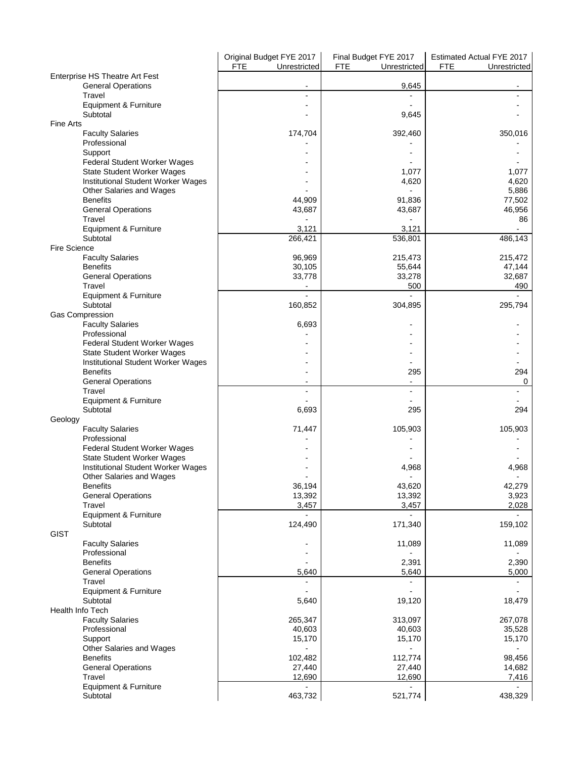|                                                                  | Original Budget FYE 2017   | Final Budget FYE 2017      | Estimated Actual FYE 2017  |
|------------------------------------------------------------------|----------------------------|----------------------------|----------------------------|
|                                                                  | <b>FTE</b><br>Unrestricted | <b>FTE</b><br>Unrestricted | <b>FTE</b><br>Unrestricted |
| Enterprise HS Theatre Art Fest<br><b>General Operations</b>      |                            | 9,645                      |                            |
| Travel                                                           |                            |                            |                            |
| Equipment & Furniture                                            |                            |                            |                            |
| Subtotal<br><b>Fine Arts</b>                                     |                            | 9,645                      |                            |
| <b>Faculty Salaries</b>                                          | 174,704                    | 392,460                    | 350,016                    |
| Professional                                                     |                            |                            |                            |
| Support                                                          |                            |                            |                            |
| Federal Student Worker Wages                                     |                            |                            |                            |
| State Student Worker Wages<br>Institutional Student Worker Wages |                            | 1,077<br>4,620             | 1,077<br>4,620             |
| Other Salaries and Wages                                         |                            |                            | 5,886                      |
| <b>Benefits</b>                                                  | 44,909                     | 91,836                     | 77,502                     |
| <b>General Operations</b>                                        | 43,687                     | 43,687                     | 46,956                     |
| Travel                                                           |                            |                            | 86                         |
| Equipment & Furniture<br>Subtotal                                | 3,121<br>266,421           | 3,121<br>536,801           | 486,143                    |
| <b>Fire Science</b>                                              |                            |                            |                            |
| <b>Faculty Salaries</b>                                          | 96,969                     | 215,473                    | 215,472                    |
| <b>Benefits</b>                                                  | 30,105                     | 55,644                     | 47,144                     |
| <b>General Operations</b>                                        | 33,778                     | 33,278                     | 32,687                     |
| Travel                                                           |                            | 500                        | 490                        |
| Equipment & Furniture<br>Subtotal                                | 160,852                    |                            | $\overline{a}$<br>295,794  |
| <b>Gas Compression</b>                                           |                            | 304,895                    |                            |
| <b>Faculty Salaries</b>                                          | 6,693                      |                            |                            |
| Professional                                                     |                            |                            |                            |
| Federal Student Worker Wages                                     |                            |                            |                            |
| State Student Worker Wages                                       |                            |                            |                            |
| Institutional Student Worker Wages                               |                            |                            |                            |
| <b>Benefits</b><br><b>General Operations</b>                     |                            | 295                        | 294<br>0                   |
| Travel                                                           |                            |                            | $\blacksquare$             |
| Equipment & Furniture                                            |                            |                            |                            |
| Subtotal                                                         | 6,693                      | 295                        | 294                        |
| Geology                                                          |                            |                            |                            |
| <b>Faculty Salaries</b>                                          | 71,447                     | 105,903                    | 105,903                    |
| Professional<br>Federal Student Worker Wages                     |                            |                            |                            |
| State Student Worker Wages                                       |                            |                            |                            |
| Institutional Student Worker Wages                               |                            | 4,968                      | 4.968                      |
| Other Salaries and Wages                                         |                            |                            |                            |
| <b>Benefits</b>                                                  | 36,194                     | 43,620                     | 42,279                     |
| <b>General Operations</b><br>Travel                              | 13,392<br>3,457            | 13,392<br>3,457            | 3,923<br>2,028             |
| Equipment & Furniture                                            |                            |                            |                            |
| Subtotal                                                         | 124,490                    | 171,340                    | 159,102                    |
| <b>GIST</b>                                                      |                            |                            |                            |
| <b>Faculty Salaries</b>                                          |                            | 11,089                     | 11,089                     |
| Professional                                                     |                            |                            |                            |
| <b>Benefits</b><br><b>General Operations</b>                     | 5,640                      | 2,391<br>5,640             | 2,390<br>5,000             |
| Travel                                                           |                            |                            |                            |
| Equipment & Furniture                                            |                            |                            |                            |
| Subtotal                                                         | 5,640                      | 19,120                     | 18,479                     |
| Health Info Tech                                                 |                            |                            |                            |
| <b>Faculty Salaries</b>                                          | 265,347                    | 313,097                    | 267,078                    |
| Professional<br>Support                                          | 40,603<br>15,170           | 40,603<br>15,170           | 35,528<br>15,170           |
| Other Salaries and Wages                                         |                            |                            |                            |
| <b>Benefits</b>                                                  | 102,482                    | 112,774                    | 98,456                     |
| <b>General Operations</b>                                        | 27,440                     | 27,440                     | 14,682                     |
| Travel                                                           | 12,690                     | 12,690                     | 7,416                      |
| Equipment & Furniture                                            |                            |                            |                            |
| Subtotal                                                         | 463,732                    | 521,774                    | 438,329                    |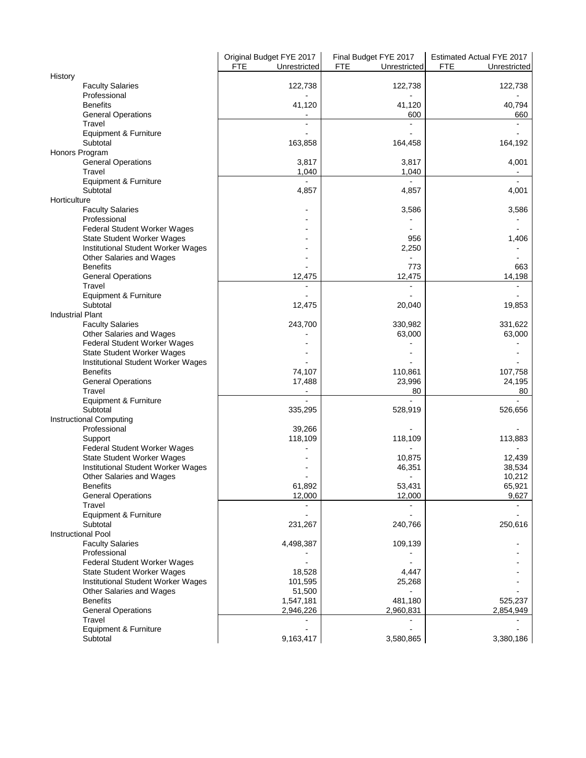|                                              | Original Budget FYE 2017<br><b>FTE</b><br>Unrestricted | Final Budget FYE 2017<br><b>FTE</b><br>Unrestricted | Estimated Actual FYE 2017<br><b>FTE</b><br>Unrestricted |
|----------------------------------------------|--------------------------------------------------------|-----------------------------------------------------|---------------------------------------------------------|
| History                                      |                                                        |                                                     |                                                         |
| <b>Faculty Salaries</b>                      | 122,738                                                | 122,738                                             | 122,738                                                 |
| Professional                                 |                                                        |                                                     |                                                         |
| <b>Benefits</b>                              | 41,120                                                 | 41,120                                              | 40,794                                                  |
| <b>General Operations</b>                    |                                                        | 600                                                 | 660                                                     |
| Travel                                       |                                                        | $\overline{a}$                                      |                                                         |
| Equipment & Furniture                        |                                                        |                                                     |                                                         |
| Subtotal                                     | 163,858                                                | 164,458                                             | 164,192                                                 |
| Honors Program                               |                                                        |                                                     |                                                         |
| <b>General Operations</b>                    | 3,817                                                  | 3,817                                               | 4,001                                                   |
| Travel                                       | 1,040                                                  | 1,040                                               |                                                         |
| Equipment & Furniture                        |                                                        |                                                     |                                                         |
| Subtotal                                     | 4,857                                                  | 4,857                                               | 4,001                                                   |
| Horticulture                                 |                                                        |                                                     |                                                         |
| <b>Faculty Salaries</b>                      |                                                        | 3,586                                               | 3,586                                                   |
| Professional                                 |                                                        |                                                     |                                                         |
| Federal Student Worker Wages                 |                                                        |                                                     |                                                         |
| State Student Worker Wages                   |                                                        | 956                                                 | 1,406                                                   |
| Institutional Student Worker Wages           |                                                        | 2,250                                               |                                                         |
| Other Salaries and Wages                     |                                                        |                                                     |                                                         |
| <b>Benefits</b>                              |                                                        | 773                                                 | 663                                                     |
| <b>General Operations</b>                    | 12,475                                                 | 12,475                                              | 14,198                                                  |
| Travel                                       |                                                        |                                                     |                                                         |
|                                              |                                                        |                                                     |                                                         |
| <b>Equipment &amp; Furniture</b><br>Subtotal |                                                        |                                                     |                                                         |
|                                              | 12,475                                                 | 20,040                                              | 19,853                                                  |
| <b>Industrial Plant</b>                      |                                                        |                                                     |                                                         |
| <b>Faculty Salaries</b>                      | 243,700                                                | 330,982                                             | 331,622                                                 |
| Other Salaries and Wages                     |                                                        | 63,000                                              | 63,000                                                  |
| Federal Student Worker Wages                 |                                                        |                                                     |                                                         |
| State Student Worker Wages                   |                                                        |                                                     |                                                         |
| Institutional Student Worker Wages           |                                                        |                                                     |                                                         |
| <b>Benefits</b>                              | 74,107                                                 | 110,861                                             | 107,758                                                 |
| <b>General Operations</b>                    | 17,488                                                 | 23,996                                              | 24,195                                                  |
| Travel                                       |                                                        | 80                                                  | 80                                                      |
| Equipment & Furniture                        | $\overline{a}$                                         | $\overline{a}$                                      | $\overline{a}$                                          |
| Subtotal                                     | 335,295                                                | 528,919                                             | 526,656                                                 |
| <b>Instructional Computing</b>               |                                                        |                                                     |                                                         |
| Professional                                 | 39,266                                                 |                                                     |                                                         |
| Support                                      | 118,109                                                | 118,109                                             | 113,883                                                 |
| Federal Student Worker Wages                 |                                                        |                                                     |                                                         |
| <b>State Student Worker Wages</b>            |                                                        | 10,875                                              | 12,439                                                  |
| <b>Institutional Student Worker Wages</b>    |                                                        | 46,351                                              | 38,534                                                  |
| Other Salaries and Wages                     |                                                        |                                                     | 10,212                                                  |
| <b>Benefits</b>                              | 61,892                                                 | 53,431                                              | 65,921                                                  |
| <b>General Operations</b>                    | 12,000                                                 | 12,000                                              | 9,627                                                   |
| Travel                                       |                                                        |                                                     |                                                         |
| Equipment & Furniture                        |                                                        |                                                     |                                                         |
| Subtotal                                     | 231,267                                                | 240,766                                             | 250,616                                                 |
| <b>Instructional Pool</b>                    |                                                        |                                                     |                                                         |
| <b>Faculty Salaries</b>                      | 4,498,387                                              | 109,139                                             |                                                         |
| Professional                                 |                                                        |                                                     |                                                         |
| Federal Student Worker Wages                 |                                                        |                                                     |                                                         |
| <b>State Student Worker Wages</b>            | 18,528                                                 | 4,447                                               |                                                         |
| Institutional Student Worker Wages           | 101,595                                                | 25,268                                              |                                                         |
|                                              |                                                        |                                                     |                                                         |
| Other Salaries and Wages                     | 51,500                                                 |                                                     |                                                         |
| <b>Benefits</b>                              | 1,547,181                                              | 481,180                                             | 525,237                                                 |
| <b>General Operations</b>                    | 2,946,226                                              | 2,960,831                                           | 2,854,949                                               |
| Travel                                       |                                                        |                                                     |                                                         |
| Equipment & Furniture                        |                                                        |                                                     |                                                         |
| Subtotal                                     | 9,163,417                                              | 3,580,865                                           | 3,380,186                                               |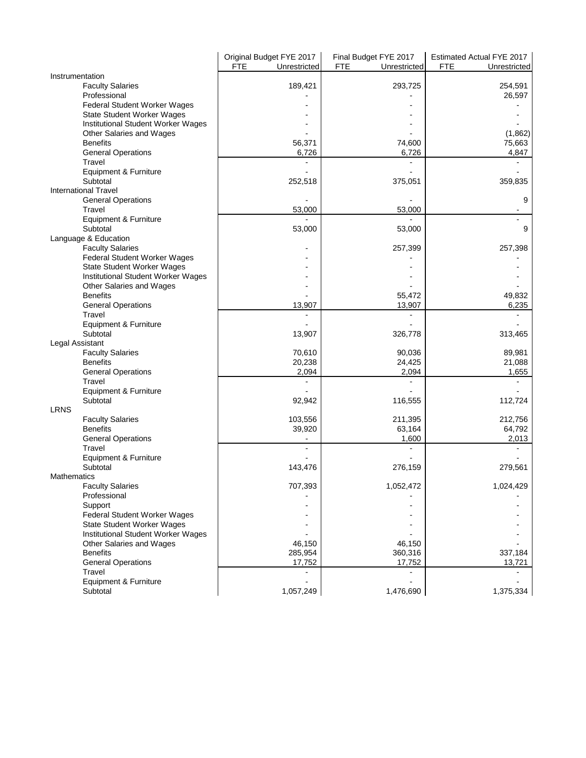|                                           | Original Budget FYE 2017   | Final Budget FYE 2017      | Estimated Actual FYE 2017  |
|-------------------------------------------|----------------------------|----------------------------|----------------------------|
|                                           | <b>FTE</b><br>Unrestricted | <b>FTE</b><br>Unrestricted | <b>FTE</b><br>Unrestricted |
| Instrumentation                           |                            |                            |                            |
| <b>Faculty Salaries</b>                   | 189,421                    | 293,725                    | 254,591                    |
| Professional                              |                            |                            | 26,597                     |
| Federal Student Worker Wages              |                            |                            |                            |
| <b>State Student Worker Wages</b>         |                            |                            |                            |
| Institutional Student Worker Wages        |                            |                            |                            |
| Other Salaries and Wages                  |                            |                            | (1,862)                    |
| <b>Benefits</b>                           | 56,371                     | 74,600                     | 75,663                     |
| <b>General Operations</b>                 | 6,726                      | 6,726                      | 4,847                      |
| Travel                                    |                            |                            |                            |
| Equipment & Furniture                     |                            |                            |                            |
| Subtotal                                  | 252,518                    | 375,051                    | 359,835                    |
| <b>International Travel</b>               |                            |                            |                            |
| <b>General Operations</b>                 |                            |                            | 9                          |
| Travel                                    | 53,000                     | 53,000                     |                            |
| Equipment & Furniture                     |                            |                            |                            |
| Subtotal                                  | 53,000                     | 53,000                     | 9                          |
| Language & Education                      |                            |                            |                            |
| <b>Faculty Salaries</b>                   |                            | 257,399                    | 257,398                    |
| Federal Student Worker Wages              |                            |                            |                            |
| State Student Worker Wages                |                            |                            |                            |
| <b>Institutional Student Worker Wages</b> |                            |                            |                            |
| Other Salaries and Wages                  |                            |                            |                            |
| <b>Benefits</b>                           |                            | 55,472                     | 49,832                     |
| <b>General Operations</b>                 | 13,907                     | 13,907                     | 6,235                      |
| Travel                                    | $\overline{a}$             | $\overline{a}$             |                            |
| Equipment & Furniture                     |                            |                            |                            |
| Subtotal                                  | 13,907                     |                            | 313,465                    |
| Legal Assistant                           |                            | 326,778                    |                            |
| <b>Faculty Salaries</b>                   | 70,610                     | 90,036                     | 89,981                     |
| <b>Benefits</b>                           | 20,238                     | 24,425                     | 21,088                     |
| <b>General Operations</b>                 | 2,094                      | 2,094                      | 1,655                      |
| Travel                                    |                            |                            |                            |
| Equipment & Furniture                     |                            |                            |                            |
| Subtotal                                  | 92,942                     | 116,555                    | 112,724                    |
| <b>LRNS</b>                               |                            |                            |                            |
| <b>Faculty Salaries</b>                   | 103,556                    | 211,395                    | 212,756                    |
| <b>Benefits</b>                           |                            | 63,164                     | 64,792                     |
| <b>General Operations</b>                 | 39,920                     |                            |                            |
| Travel                                    |                            | 1,600                      | 2,013                      |
| Equipment & Furniture                     |                            |                            |                            |
| Subtotal                                  |                            |                            |                            |
|                                           | 143,476                    | 276,159                    | 279,561                    |
| <b>Mathematics</b>                        |                            |                            |                            |
| <b>Faculty Salaries</b>                   | 707,393                    | 1,052,472                  | 1,024,429                  |
| Professional                              |                            |                            |                            |
| Support                                   |                            |                            |                            |
| Federal Student Worker Wages              |                            |                            |                            |
| State Student Worker Wages                |                            |                            |                            |
| Institutional Student Worker Wages        |                            |                            |                            |
| Other Salaries and Wages                  | 46,150                     | 46,150                     |                            |
| <b>Benefits</b>                           | 285,954                    | 360,316                    | 337,184                    |
| <b>General Operations</b>                 | 17,752                     | 17,752                     | 13,721                     |
| Travel                                    |                            |                            |                            |
| Equipment & Furniture                     |                            |                            |                            |
| Subtotal                                  | 1,057,249                  | 1,476,690                  | 1,375,334                  |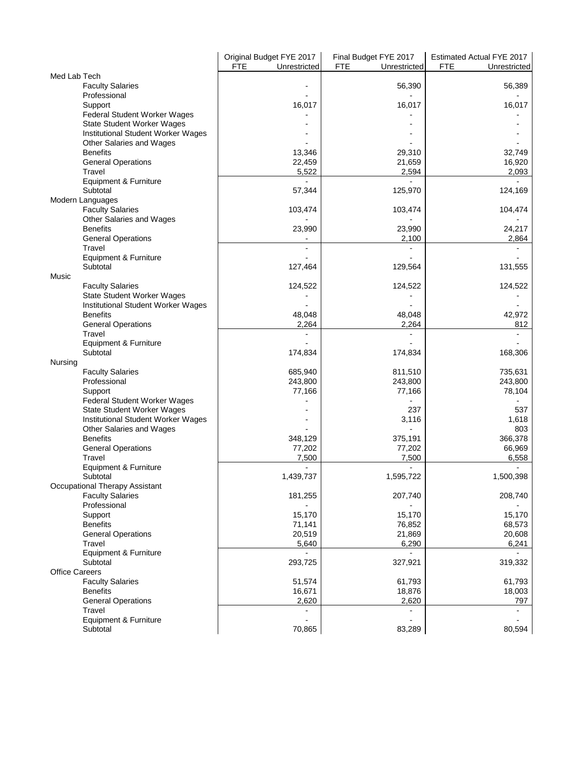|                                                       | Original Budget FYE 2017   | Final Budget FYE 2017      | Estimated Actual FYE 2017  |
|-------------------------------------------------------|----------------------------|----------------------------|----------------------------|
|                                                       | <b>FTE</b><br>Unrestricted | <b>FTE</b><br>Unrestricted | <b>FTE</b><br>Unrestricted |
| Med Lab Tech                                          |                            |                            |                            |
| <b>Faculty Salaries</b>                               |                            | 56,390                     | 56,389                     |
| Professional                                          | 16,017                     | 16,017                     |                            |
| Support<br>Federal Student Worker Wages               |                            |                            | 16,017                     |
| <b>State Student Worker Wages</b>                     |                            |                            |                            |
| Institutional Student Worker Wages                    |                            |                            |                            |
| Other Salaries and Wages                              |                            |                            |                            |
| <b>Benefits</b>                                       | 13,346                     | 29,310                     | 32,749                     |
| <b>General Operations</b>                             | 22,459                     | 21,659                     | 16,920                     |
| Travel                                                | 5,522                      | 2,594                      | 2,093                      |
| Equipment & Furniture                                 |                            |                            |                            |
| Subtotal                                              | 57,344                     | 125,970                    | 124,169                    |
| Modern Languages                                      |                            |                            |                            |
| <b>Faculty Salaries</b>                               | 103,474                    | 103,474                    | 104,474                    |
| Other Salaries and Wages                              |                            |                            |                            |
| <b>Benefits</b>                                       | 23,990                     | 23,990                     | 24,217                     |
| <b>General Operations</b>                             |                            | 2,100                      | 2,864                      |
| Travel                                                |                            |                            |                            |
| Equipment & Furniture                                 |                            |                            |                            |
| Subtotal                                              | 127,464                    | 129,564                    | 131,555                    |
| Music                                                 |                            |                            |                            |
| <b>Faculty Salaries</b>                               | 124,522                    | 124,522                    | 124,522                    |
| State Student Worker Wages                            |                            |                            |                            |
| Institutional Student Worker Wages<br><b>Benefits</b> | 48,048                     |                            |                            |
| <b>General Operations</b>                             | 2,264                      | 48,048<br>2,264            | 42,972<br>812              |
| Travel                                                |                            |                            |                            |
| Equipment & Furniture                                 |                            |                            |                            |
| Subtotal                                              | 174,834                    | 174,834                    | 168,306                    |
| Nursing                                               |                            |                            |                            |
| <b>Faculty Salaries</b>                               | 685,940                    | 811,510                    | 735,631                    |
| Professional                                          | 243,800                    | 243,800                    | 243,800                    |
| Support                                               | 77,166                     | 77,166                     | 78,104                     |
| Federal Student Worker Wages                          |                            |                            |                            |
| State Student Worker Wages                            |                            | 237                        | 537                        |
| Institutional Student Worker Wages                    |                            | 3,116                      | 1,618                      |
| Other Salaries and Wages                              |                            |                            | 803                        |
| <b>Benefits</b>                                       | 348,129                    | 375,191                    | 366,378                    |
| <b>General Operations</b>                             | 77,202                     | 77,202                     | 66,969                     |
| Travel                                                | 7,500                      | 7,500                      | 6,558                      |
| Equipment & Furniture                                 |                            |                            |                            |
| Subtotal<br>Occupational Therapy Assistant            | 1,439,737                  | 1,595,722                  | 1,500,398                  |
| <b>Faculty Salaries</b>                               | 181,255                    | 207,740                    | 208,740                    |
| Professional                                          |                            |                            |                            |
| Support                                               | 15,170                     | 15,170                     | 15,170                     |
| <b>Benefits</b>                                       | 71,141                     | 76,852                     | 68,573                     |
| <b>General Operations</b>                             | 20,519                     | 21,869                     | 20,608                     |
| Travel                                                | 5,640                      | 6,290                      | 6,241                      |
| Equipment & Furniture                                 |                            |                            | $\blacksquare$             |
| Subtotal                                              | 293,725                    | 327,921                    | 319,332                    |
| <b>Office Careers</b>                                 |                            |                            |                            |
| <b>Faculty Salaries</b>                               | 51,574                     | 61,793                     | 61,793                     |
| <b>Benefits</b>                                       | 16,671                     | 18,876                     | 18,003                     |
| <b>General Operations</b>                             | 2,620                      | 2,620                      | 797                        |
| Travel                                                |                            |                            |                            |
| Equipment & Furniture                                 |                            |                            |                            |
| Subtotal                                              | 70,865                     | 83,289                     | 80,594                     |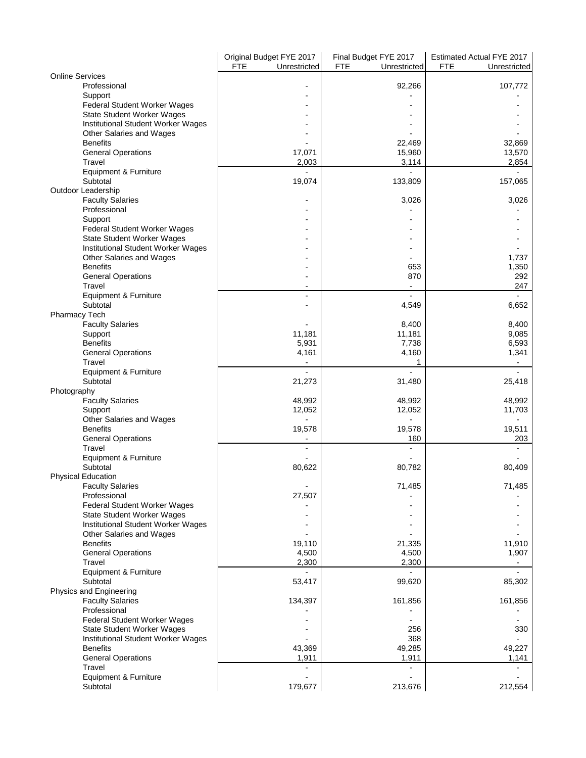|                                                            | Original Budget FYE 2017   | Final Budget FYE 2017      | Estimated Actual FYE 2017  |
|------------------------------------------------------------|----------------------------|----------------------------|----------------------------|
| <b>Online Services</b>                                     | <b>FTE</b><br>Unrestricted | <b>FTE</b><br>Unrestricted | <b>FTE</b><br>Unrestricted |
| Professional                                               |                            | 92,266                     | 107,772                    |
| Support                                                    |                            |                            |                            |
| Federal Student Worker Wages                               |                            |                            |                            |
| State Student Worker Wages                                 |                            |                            |                            |
| Institutional Student Worker Wages                         |                            |                            |                            |
| Other Salaries and Wages                                   |                            |                            |                            |
| <b>Benefits</b><br><b>General Operations</b>               | 17,071                     | 22,469<br>15,960           | 32,869<br>13,570           |
| Travel                                                     | 2,003                      | 3,114                      | 2,854                      |
| Equipment & Furniture                                      |                            |                            |                            |
| Subtotal                                                   | 19,074                     | 133,809                    | 157,065                    |
| Outdoor Leadership                                         |                            |                            |                            |
| <b>Faculty Salaries</b>                                    |                            | 3,026                      | 3,026                      |
| Professional                                               |                            |                            |                            |
| Support                                                    |                            |                            |                            |
| Federal Student Worker Wages<br>State Student Worker Wages |                            |                            |                            |
| Institutional Student Worker Wages                         |                            |                            |                            |
| Other Salaries and Wages                                   |                            |                            | 1,737                      |
| <b>Benefits</b>                                            |                            | 653                        | 1,350                      |
| <b>General Operations</b>                                  |                            | 870                        | 292                        |
| Travel                                                     | $\overline{\phantom{a}}$   | $\blacksquare$             | 247                        |
| Equipment & Furniture<br>Subtotal                          | $\overline{\phantom{a}}$   | $\blacksquare$             |                            |
| Pharmacy Tech                                              |                            | 4,549                      | 6,652                      |
| <b>Faculty Salaries</b>                                    |                            | 8,400                      | 8,400                      |
| Support                                                    | 11,181                     | 11,181                     | 9,085                      |
| <b>Benefits</b>                                            | 5,931                      | 7,738                      | 6,593                      |
| <b>General Operations</b>                                  | 4,161                      | 4,160                      | 1,341                      |
| Travel                                                     |                            | 1                          | $\blacksquare$             |
| Equipment & Furniture                                      | $\overline{a}$             | $\overline{a}$             | $\overline{a}$             |
| Subtotal<br>Photography                                    | 21,273                     | 31,480                     | 25,418                     |
| <b>Faculty Salaries</b>                                    | 48,992                     | 48,992                     | 48,992                     |
| Support                                                    | 12,052                     | 12,052                     | 11,703                     |
| Other Salaries and Wages                                   |                            |                            |                            |
| <b>Benefits</b>                                            | 19,578                     | 19,578                     | 19,511                     |
| <b>General Operations</b>                                  |                            | 160                        | 203                        |
| Travel                                                     |                            |                            |                            |
| Equipment & Furniture<br>Subtotal                          | 80,622                     | 80,782                     | 80,409                     |
| <b>Physical Education</b>                                  |                            |                            |                            |
| <b>Faculty Salaries</b>                                    | $\blacksquare$             | 71,485                     | 71,485                     |
| Professional                                               | 27,507                     |                            |                            |
| Federal Student Worker Wages                               |                            |                            |                            |
| <b>State Student Worker Wages</b>                          |                            |                            |                            |
| Institutional Student Worker Wages                         |                            |                            |                            |
| Other Salaries and Wages<br><b>Benefits</b>                | 19,110                     | 21,335                     | 11,910                     |
| <b>General Operations</b>                                  | 4,500                      | 4,500                      | 1,907                      |
| Travel                                                     | 2,300                      | 2,300                      |                            |
| Equipment & Furniture                                      |                            |                            |                            |
| Subtotal                                                   | 53,417                     | 99,620                     | 85,302                     |
| Physics and Engineering                                    |                            |                            |                            |
| <b>Faculty Salaries</b><br>Professional                    | 134,397                    | 161,856                    | 161,856                    |
| Federal Student Worker Wages                               |                            |                            |                            |
| State Student Worker Wages                                 |                            | 256                        | 330                        |
| Institutional Student Worker Wages                         |                            | 368                        |                            |
| <b>Benefits</b>                                            | 43,369                     | 49,285                     | 49,227                     |
| <b>General Operations</b>                                  | 1,911                      | 1,911                      | 1,141                      |
| Travel                                                     |                            |                            |                            |
| Equipment & Furniture                                      |                            |                            |                            |
| Subtotal                                                   | 179,677                    | 213,676                    | 212,554                    |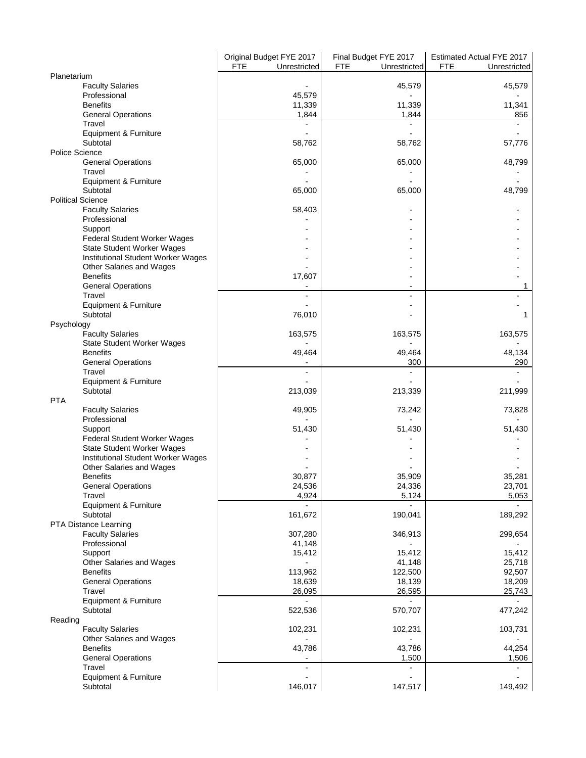|                                                                         | Original Budget FYE 2017   | Final Budget FYE 2017      | Estimated Actual FYE 2017  |
|-------------------------------------------------------------------------|----------------------------|----------------------------|----------------------------|
| Planetarium                                                             | <b>FTE</b><br>Unrestricted | <b>FTE</b><br>Unrestricted | <b>FTE</b><br>Unrestricted |
| <b>Faculty Salaries</b>                                                 |                            | 45,579                     | 45,579                     |
| Professional                                                            | 45,579                     |                            |                            |
| <b>Benefits</b>                                                         | 11,339                     | 11,339                     | 11,341                     |
| <b>General Operations</b>                                               | 1,844                      | 1,844                      | 856                        |
| Travel                                                                  |                            |                            |                            |
| Equipment & Furniture                                                   |                            |                            |                            |
| Subtotal                                                                | 58,762                     | 58,762                     | 57,776                     |
| <b>Police Science</b>                                                   |                            |                            |                            |
| <b>General Operations</b>                                               | 65,000                     | 65,000                     | 48,799                     |
| Travel                                                                  |                            |                            |                            |
| Equipment & Furniture<br>Subtotal                                       |                            |                            |                            |
| <b>Political Science</b>                                                | 65,000                     | 65,000                     | 48,799                     |
| <b>Faculty Salaries</b>                                                 | 58,403                     |                            |                            |
| Professional                                                            |                            |                            |                            |
| Support                                                                 |                            |                            |                            |
| Federal Student Worker Wages                                            |                            |                            |                            |
| State Student Worker Wages                                              |                            |                            |                            |
| Institutional Student Worker Wages                                      |                            |                            |                            |
| Other Salaries and Wages                                                |                            |                            |                            |
| <b>Benefits</b>                                                         | 17,607                     |                            |                            |
| <b>General Operations</b>                                               |                            |                            | 1                          |
| Travel                                                                  |                            | $\blacksquare$             |                            |
| Equipment & Furniture                                                   |                            |                            |                            |
| Subtotal                                                                | 76,010                     |                            | 1                          |
| Psychology                                                              |                            |                            |                            |
| <b>Faculty Salaries</b>                                                 | 163,575                    | 163,575                    | 163,575                    |
| State Student Worker Wages                                              |                            |                            |                            |
| <b>Benefits</b>                                                         | 49,464                     | 49,464                     | 48,134                     |
| <b>General Operations</b>                                               |                            | 300                        | 290                        |
| Travel                                                                  |                            | $\blacksquare$             | $\overline{a}$             |
| Equipment & Furniture                                                   |                            |                            |                            |
| Subtotal                                                                | 213,039                    | 213,339                    | 211,999                    |
| <b>PTA</b>                                                              |                            |                            |                            |
| <b>Faculty Salaries</b>                                                 | 49,905                     | 73,242                     | 73,828                     |
| Professional                                                            |                            |                            |                            |
| Support                                                                 | 51,430                     | 51,430                     | 51,430                     |
| Federal Student Worker Wages                                            |                            |                            |                            |
| State Student Worker Wages<br><b>Institutional Student Worker Wages</b> |                            |                            |                            |
| Other Salaries and Wages                                                |                            |                            |                            |
| <b>Benefits</b>                                                         | 30,877                     | 35,909                     | 35,281                     |
| <b>General Operations</b>                                               | 24,536                     | 24,336                     | 23,701                     |
| Travel                                                                  | 4,924                      | 5,124                      | 5,053                      |
| Equipment & Furniture                                                   |                            |                            |                            |
| Subtotal                                                                | 161,672                    | 190,041                    | 189,292                    |
| PTA Distance Learning                                                   |                            |                            |                            |
| <b>Faculty Salaries</b>                                                 | 307,280                    | 346,913                    | 299,654                    |
| Professional                                                            | 41,148                     |                            |                            |
| Support                                                                 | 15,412                     | 15,412                     | 15,412                     |
| Other Salaries and Wages                                                |                            | 41,148                     | 25,718                     |
| <b>Benefits</b>                                                         | 113,962                    | 122,500                    | 92,507                     |
| <b>General Operations</b>                                               | 18,639                     | 18,139                     | 18,209                     |
| Travel                                                                  | 26,095                     | 26,595                     | 25,743                     |
| Equipment & Furniture                                                   |                            |                            |                            |
| Subtotal                                                                | 522,536                    | 570,707                    | 477,242                    |
| Reading                                                                 |                            |                            |                            |
| <b>Faculty Salaries</b>                                                 | 102,231                    | 102,231                    | 103,731                    |
| Other Salaries and Wages                                                |                            |                            |                            |
| <b>Benefits</b>                                                         | 43,786                     | 43,786                     | 44,254                     |
| <b>General Operations</b>                                               |                            | 1,500                      | 1,506                      |
| Travel                                                                  | $\overline{a}$             | $\overline{a}$             | $\blacksquare$             |
| Equipment & Furniture                                                   |                            |                            |                            |
| Subtotal                                                                | 146,017                    | 147,517                    | 149,492                    |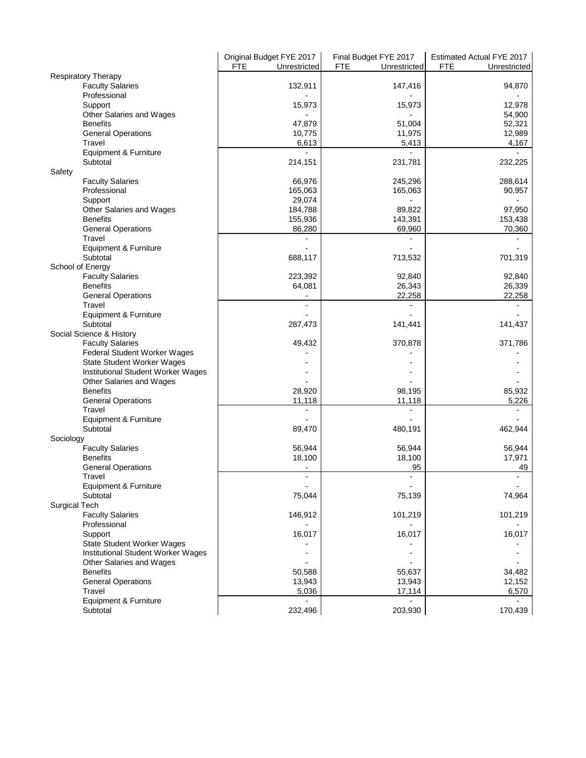|                                         | Original Budget FYE 2017<br><b>FTE</b><br>Unrestricted | Final Budget FYE 2017<br><b>FTE</b><br>Unrestricted | Estimated Actual FYE 2017<br><b>FTE</b><br>Unrestricted |
|-----------------------------------------|--------------------------------------------------------|-----------------------------------------------------|---------------------------------------------------------|
| <b>Respiratory Therapy</b>              |                                                        |                                                     |                                                         |
| <b>Faculty Salaries</b><br>Professional | 132,911                                                | 147,416                                             | 94,870                                                  |
| Support                                 | 15,973                                                 | 15,973                                              | 12,978                                                  |
| Other Salaries and Wages                |                                                        |                                                     | 54,900                                                  |
| <b>Benefits</b>                         | 47,879                                                 | 51,004                                              | 52,321                                                  |
| <b>General Operations</b>               | 10,775                                                 | 11,975                                              | 12,989                                                  |
| Travel                                  | 6,613                                                  | 5,413                                               | 4,167                                                   |
| Equipment & Furniture                   |                                                        |                                                     |                                                         |
| Subtotal                                | 214,151                                                | 231,781                                             | 232,225                                                 |
| Safety                                  |                                                        |                                                     |                                                         |
| <b>Faculty Salaries</b>                 | 66,976                                                 | 245,296                                             | 288,614                                                 |
| Professional                            | 165,063                                                | 165,063                                             | 90,957                                                  |
| Support                                 | 29,074                                                 |                                                     |                                                         |
| Other Salaries and Wages                | 184,788                                                | 89,822                                              | 97,950                                                  |
| <b>Benefits</b>                         | 155,936                                                | 143,391                                             | 153,438                                                 |
| <b>General Operations</b>               | 86,280                                                 | 69,960                                              | 70,360                                                  |
| Travel                                  |                                                        |                                                     |                                                         |
| Equipment & Furniture                   |                                                        |                                                     |                                                         |
| Subtotal                                | 688,117                                                | 713,532                                             | 701,319                                                 |
| School of Energy                        |                                                        |                                                     |                                                         |
| <b>Faculty Salaries</b>                 | 223,392                                                | 92,840                                              | 92,840                                                  |
| <b>Benefits</b>                         | 64,081                                                 | 26,343                                              | 26,339                                                  |
| <b>General Operations</b>               |                                                        | 22,258                                              | 22,258                                                  |
| Travel                                  |                                                        |                                                     |                                                         |
| Equipment & Furniture                   |                                                        |                                                     |                                                         |
| Subtotal                                | 287,473                                                | 141,441                                             | 141,437                                                 |
| Social Science & History                |                                                        |                                                     |                                                         |
| <b>Faculty Salaries</b>                 | 49,432                                                 | 370,878                                             | 371,786                                                 |
| Federal Student Worker Wages            |                                                        |                                                     |                                                         |
| State Student Worker Wages              |                                                        |                                                     |                                                         |
| Institutional Student Worker Wages      |                                                        |                                                     |                                                         |
| Other Salaries and Wages                |                                                        |                                                     |                                                         |
| <b>Benefits</b>                         | 28,920                                                 | 98,195                                              | 85,932                                                  |
| <b>General Operations</b>               | 11,118                                                 | 11,118                                              | 5,226                                                   |
| Travel                                  |                                                        |                                                     |                                                         |
| Equipment & Furniture                   |                                                        |                                                     |                                                         |
| Subtotal                                | 89,470                                                 | 480,191                                             | 462,944                                                 |
| Sociology                               |                                                        |                                                     |                                                         |
| <b>Faculty Salaries</b>                 | 56,944                                                 | 56,944                                              | 56,944                                                  |
| <b>Benefits</b>                         | 18,100                                                 | 18,100                                              | 17,971                                                  |
| <b>General Operations</b>               | ٠                                                      | 95                                                  | 49                                                      |
| Travel                                  | $\blacksquare$                                         |                                                     |                                                         |
| Equipment & Furniture                   |                                                        |                                                     |                                                         |
| Subtotal                                | 75,044                                                 | 75,139                                              | 74,964                                                  |
| Surgical Tech                           |                                                        |                                                     |                                                         |
| <b>Faculty Salaries</b>                 | 146,912                                                | 101,219                                             | 101,219                                                 |
| Professional                            |                                                        |                                                     |                                                         |
| Support                                 | 16,017                                                 | 16,017                                              | 16,017                                                  |
| State Student Worker Wages              |                                                        |                                                     |                                                         |
| Institutional Student Worker Wages      |                                                        |                                                     |                                                         |
| Other Salaries and Wages                |                                                        |                                                     |                                                         |
| <b>Benefits</b>                         | 50,588                                                 | 55,637                                              | 34,482                                                  |
| <b>General Operations</b>               | 13,943                                                 | 13,943                                              | 12,152                                                  |
| Travel                                  | 5,036                                                  | 17,114                                              | 6,570                                                   |
| Equipment & Furniture                   |                                                        | $\blacksquare$                                      |                                                         |
| Subtotal                                | 232,496                                                | 203,930                                             | 170,439                                                 |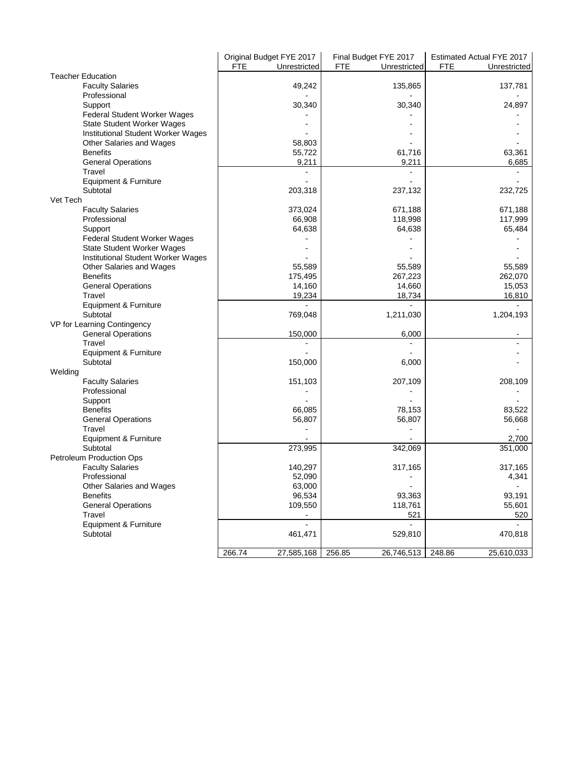|                                    | <b>FTE</b> | Original Budget FYE 2017<br>Unrestricted | Final Budget FYE 2017<br><b>FTE</b><br>Unrestricted | Estimated Actual FYE 2017<br><b>FTE</b><br>Unrestricted |
|------------------------------------|------------|------------------------------------------|-----------------------------------------------------|---------------------------------------------------------|
| <b>Teacher Education</b>           |            |                                          |                                                     |                                                         |
| <b>Faculty Salaries</b>            |            | 49,242                                   | 135,865                                             | 137,781                                                 |
| Professional                       |            |                                          |                                                     |                                                         |
| Support                            |            | 30,340                                   | 30,340                                              | 24,897                                                  |
| Federal Student Worker Wages       |            |                                          |                                                     |                                                         |
| <b>State Student Worker Wages</b>  |            |                                          |                                                     |                                                         |
| Institutional Student Worker Wages |            |                                          |                                                     |                                                         |
| Other Salaries and Wages           |            | 58,803                                   |                                                     |                                                         |
| <b>Benefits</b>                    |            | 55,722                                   | 61,716                                              | 63,361                                                  |
| <b>General Operations</b>          |            | 9,211                                    | 9,211                                               | 6,685                                                   |
| Travel                             |            |                                          |                                                     |                                                         |
| Equipment & Furniture              |            |                                          |                                                     |                                                         |
| Subtotal                           |            | 203,318                                  | 237,132                                             | 232,725                                                 |
| Vet Tech                           |            |                                          |                                                     |                                                         |
| <b>Faculty Salaries</b>            |            | 373,024                                  | 671,188                                             | 671,188                                                 |
| Professional                       |            | 66,908                                   | 118,998                                             | 117,999                                                 |
| Support                            |            | 64,638                                   | 64,638                                              | 65,484                                                  |
| Federal Student Worker Wages       |            |                                          |                                                     |                                                         |
| <b>State Student Worker Wages</b>  |            |                                          |                                                     |                                                         |
| Institutional Student Worker Wages |            |                                          |                                                     |                                                         |
| Other Salaries and Wages           |            | 55,589                                   | 55,589                                              | 55,589                                                  |
| <b>Benefits</b>                    |            | 175,495                                  | 267,223                                             | 262,070                                                 |
| <b>General Operations</b>          |            | 14,160                                   | 14,660                                              | 15,053                                                  |
| Travel                             |            | 19,234                                   | 18,734                                              | 16,810                                                  |
| Equipment & Furniture              |            |                                          |                                                     |                                                         |
| Subtotal                           |            | 769,048                                  | 1,211,030                                           | 1,204,193                                               |
| VP for Learning Contingency        |            |                                          |                                                     |                                                         |
| <b>General Operations</b>          |            | 150,000                                  | 6,000                                               |                                                         |
| Travel                             |            |                                          |                                                     |                                                         |
| Equipment & Furniture              |            |                                          |                                                     |                                                         |
| Subtotal                           |            | 150,000                                  | 6,000                                               |                                                         |
| Welding                            |            |                                          |                                                     |                                                         |
| <b>Faculty Salaries</b>            |            | 151,103                                  | 207,109                                             | 208,109                                                 |
| Professional                       |            |                                          |                                                     |                                                         |
| Support                            |            |                                          |                                                     |                                                         |
| <b>Benefits</b>                    |            | 66,085                                   | 78,153                                              | 83,522                                                  |
| <b>General Operations</b>          |            | 56,807                                   | 56,807                                              | 56,668                                                  |
| Travel                             |            |                                          |                                                     |                                                         |
| Equipment & Furniture              |            |                                          |                                                     | 2,700                                                   |
| Subtotal                           |            | 273,995                                  | 342,069                                             | 351,000                                                 |
| Petroleum Production Ops           |            |                                          |                                                     |                                                         |
| <b>Faculty Salaries</b>            |            | 140,297                                  | 317,165                                             | 317,165                                                 |
| Professional                       |            | 52,090                                   |                                                     | 4,341                                                   |
| Other Salaries and Wages           |            | 63,000                                   |                                                     |                                                         |
| <b>Benefits</b>                    |            | 96,534                                   | 93,363                                              | 93,191                                                  |
| <b>General Operations</b>          |            | 109,550                                  | 118,761                                             | 55,601                                                  |
| Travel                             |            | $\overline{\phantom{a}}$                 | 521                                                 | 520                                                     |
| Equipment & Furniture              |            |                                          |                                                     |                                                         |
| Subtotal                           |            | 461,471                                  | 529,810                                             | 470,818                                                 |
|                                    |            |                                          |                                                     |                                                         |
|                                    | 266.74     | 27,585,168                               | 256.85<br>26,746,513 248.86                         | 25,610,033                                              |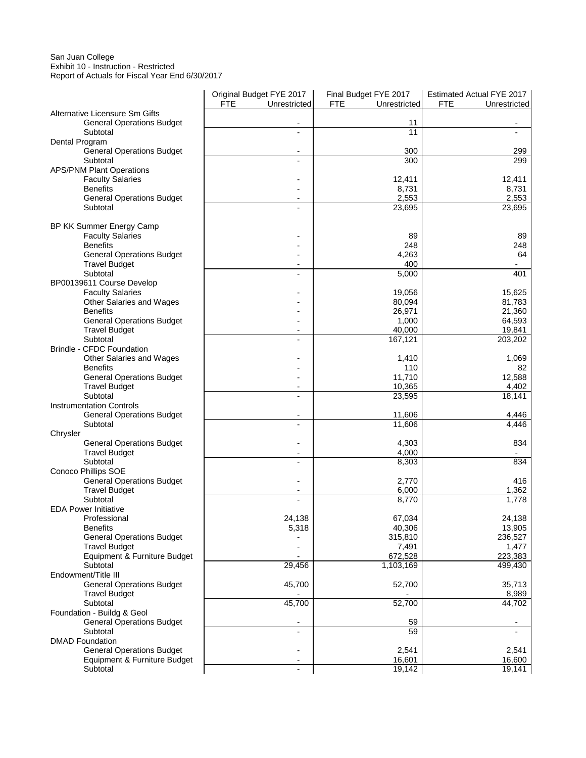## San Juan College Exhibit 10 - Instruction - Restricted

Report of Actuals for Fiscal Year End 6/30/2017

|                                  | Original Budget FYE 2017   | Final Budget FYE 2017      | <b>Estimated Actual FYE 2017</b> |
|----------------------------------|----------------------------|----------------------------|----------------------------------|
|                                  | <b>FTE</b><br>Unrestricted | <b>FTE</b><br>Unrestricted | <b>FTE</b><br>Unrestricted       |
| Alternative Licensure Sm Gifts   |                            |                            |                                  |
| <b>General Operations Budget</b> |                            | 11                         |                                  |
| Subtotal                         |                            | 11                         |                                  |
| Dental Program                   |                            |                            |                                  |
| <b>General Operations Budget</b> | $\overline{a}$             | 300                        | 299                              |
| Subtotal                         | $\overline{a}$             | 300                        | 299                              |
| <b>APS/PNM Plant Operations</b>  |                            |                            |                                  |
| <b>Faculty Salaries</b>          |                            | 12,411                     | 12,411                           |
| <b>Benefits</b>                  |                            | 8,731                      | 8,731                            |
| <b>General Operations Budget</b> |                            | 2,553                      | 2,553                            |
| Subtotal                         | $\overline{a}$             | 23,695                     | 23,695                           |
|                                  |                            |                            |                                  |
| BP KK Summer Energy Camp         |                            |                            |                                  |
| <b>Faculty Salaries</b>          |                            | 89                         | 89                               |
| <b>Benefits</b>                  |                            | 248                        | 248                              |
| <b>General Operations Budget</b> |                            | 4,263                      | 64                               |
| <b>Travel Budget</b>             |                            | 400                        |                                  |
| Subtotal                         |                            | 5,000                      | 401                              |
| BP00139611 Course Develop        |                            |                            |                                  |
| <b>Faculty Salaries</b>          |                            | 19,056                     | 15,625                           |
| Other Salaries and Wages         |                            | 80,094                     | 81,783                           |
| <b>Benefits</b>                  |                            | 26,971                     | 21,360                           |
| <b>General Operations Budget</b> |                            | 1,000                      | 64,593                           |
| <b>Travel Budget</b>             |                            | 40,000                     | 19,841                           |
| Subtotal                         |                            | 167,121                    | 203,202                          |
| <b>Brindle - CFDC Foundation</b> |                            |                            |                                  |
| Other Salaries and Wages         |                            | 1,410                      | 1,069                            |
| <b>Benefits</b>                  |                            | 110                        | 82                               |
| <b>General Operations Budget</b> |                            | 11,710                     | 12,588                           |
| <b>Travel Budget</b>             |                            | 10,365                     | 4,402                            |
| Subtotal                         | $\overline{a}$             | 23,595                     | 18,141                           |
| <b>Instrumentation Controls</b>  |                            |                            |                                  |
| <b>General Operations Budget</b> | $\overline{\phantom{a}}$   | 11,606                     | 4,446                            |
| Subtotal                         |                            | 11,606                     | 4,446                            |
| Chrysler                         |                            |                            |                                  |
| <b>General Operations Budget</b> |                            | 4,303                      | 834                              |
| <b>Travel Budget</b>             |                            | 4,000                      |                                  |
| Subtotal                         |                            | 8,303                      | 834                              |
| Conoco Phillips SOE              |                            |                            |                                  |
| <b>General Operations Budget</b> |                            | 2,770                      | 416                              |
| <b>Travel Budget</b>             |                            | 6,000                      | 1,362                            |
| Subtotal                         |                            | 8,770                      | 1,778                            |
| <b>EDA Power Initiative</b>      |                            |                            |                                  |
| Professional                     | 24,138                     | 67,034                     | 24,138                           |
| <b>Benefits</b>                  | 5,318                      | 40,306                     | 13,905                           |
| <b>General Operations Budget</b> |                            | 315,810                    | 236,527                          |
| <b>Travel Budget</b>             |                            | 7,491                      | 1,477                            |
| Equipment & Furniture Budget     |                            | 672,528                    | 223,383                          |
| Subtotal                         | 29,456                     | 1,103,169                  | 499,430                          |
| Endowment/Title III              |                            |                            |                                  |
| <b>General Operations Budget</b> | 45,700                     | 52,700                     | 35,713                           |
| <b>Travel Budget</b>             |                            |                            | 8,989                            |
| Subtotal                         | 45,700                     | 52,700                     | 44,702                           |
| Foundation - Buildg & Geol       |                            |                            |                                  |
| <b>General Operations Budget</b> |                            | 59                         |                                  |
| Subtotal                         |                            | 59                         |                                  |
| <b>DMAD Foundation</b>           |                            |                            |                                  |
| <b>General Operations Budget</b> |                            | 2,541                      | 2,541                            |
| Equipment & Furniture Budget     |                            | 16,601                     | 16,600                           |
| Subtotal                         |                            | 19,142                     | 19,141                           |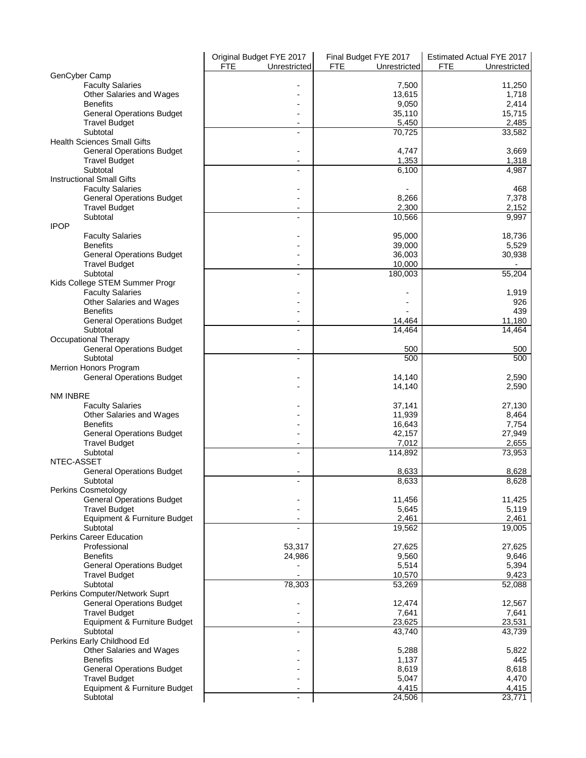|                                    | Original Budget FYE 2017   | Final Budget FYE 2017      | Estimated Actual FYE 2017  |
|------------------------------------|----------------------------|----------------------------|----------------------------|
|                                    | <b>FTE</b><br>Unrestricted | <b>FTE</b><br>Unrestricted | <b>FTE</b><br>Unrestricted |
| GenCyber Camp                      |                            |                            |                            |
| <b>Faculty Salaries</b>            |                            | 7,500                      | 11,250                     |
| Other Salaries and Wages           |                            | 13,615                     | 1,718                      |
| <b>Benefits</b>                    |                            | 9,050                      | 2,414                      |
| <b>General Operations Budget</b>   |                            | 35,110                     | 15,715                     |
| <b>Travel Budget</b>               |                            | 5,450                      | 2,485                      |
| Subtotal                           |                            | 70,725                     | 33,582                     |
| <b>Health Sciences Small Gifts</b> |                            |                            |                            |
| <b>General Operations Budget</b>   |                            | 4,747                      | 3.669                      |
| <b>Travel Budget</b>               |                            | 1,353                      | 1,318                      |
| Subtotal                           |                            | 6,100                      | 4,987                      |
| <b>Instructional Small Gifts</b>   |                            |                            |                            |
| <b>Faculty Salaries</b>            |                            |                            | 468                        |
| <b>General Operations Budget</b>   |                            | 8,266                      | 7,378                      |
| <b>Travel Budget</b>               |                            | 2,300                      | 2,152                      |
| Subtotal                           |                            | 10,566                     | 9,997                      |
| <b>IPOP</b>                        |                            |                            |                            |
| <b>Faculty Salaries</b>            |                            | 95,000                     | 18,736                     |
| <b>Benefits</b>                    |                            | 39,000                     | 5,529                      |
| <b>General Operations Budget</b>   |                            | 36,003                     | 30,938                     |
| <b>Travel Budget</b>               |                            | 10,000                     |                            |
| Subtotal                           |                            | 180,003                    | 55,204                     |
| Kids College STEM Summer Progr     |                            |                            |                            |
| <b>Faculty Salaries</b>            |                            |                            | 1,919                      |
| Other Salaries and Wages           |                            |                            | 926                        |
| <b>Benefits</b>                    |                            |                            | 439                        |
| <b>General Operations Budget</b>   | $\overline{\phantom{0}}$   | 14,464                     | 11,180                     |
| Subtotal<br>Occupational Therapy   |                            | 14,464                     | 14,464                     |
| <b>General Operations Budget</b>   |                            | 500                        | 500                        |
| Subtotal                           |                            | 500                        | 500                        |
| Merrion Honors Program             |                            |                            |                            |
| <b>General Operations Budget</b>   |                            | 14,140                     | 2,590                      |
|                                    |                            | 14,140                     | 2,590                      |
| NM INBRE                           |                            |                            |                            |
| <b>Faculty Salaries</b>            |                            | 37,141                     | 27,130                     |
| Other Salaries and Wages           |                            | 11,939                     | 8,464                      |
| <b>Benefits</b>                    |                            | 16,643                     | 7,754                      |
| <b>General Operations Budget</b>   |                            | 42,157                     | 27,949                     |
| <b>Travel Budget</b>               |                            | 7,012                      | 2,655                      |
| Subtotal                           |                            | 114,892                    | 73,953                     |
| NTEC-ASSET                         |                            |                            |                            |
| <b>General Operations Budget</b>   |                            | 8,633                      | 8,628                      |
| Subtotal                           |                            | 8,633                      | 8,628                      |
| Perkins Cosmetology                |                            |                            |                            |
| <b>General Operations Budget</b>   |                            | 11,456                     | 11,425                     |
| <b>Travel Budget</b>               |                            | 5,645                      | 5,119                      |
| Equipment & Furniture Budget       |                            | 2,461                      | 2,461                      |
| Subtotal                           |                            | 19,562                     | 19,005                     |
| <b>Perkins Career Education</b>    |                            |                            |                            |
| Professional                       | 53,317                     | 27,625                     | 27,625                     |
| <b>Benefits</b>                    | 24,986                     | 9,560                      | 9,646<br>5,394             |
| <b>General Operations Budget</b>   |                            | 5,514                      |                            |
| <b>Travel Budget</b><br>Subtotal   | 78,303                     | 10,570<br>53,269           | 9,423<br>52,088            |
| Perkins Computer/Network Suprt     |                            |                            |                            |
| <b>General Operations Budget</b>   |                            | 12,474                     | 12,567                     |
| <b>Travel Budget</b>               |                            | 7,641                      | 7,641                      |
| Equipment & Furniture Budget       |                            | 23,625                     | 23,531                     |
| Subtotal                           |                            | 43,740                     | 43,739                     |
| Perkins Early Childhood Ed         |                            |                            |                            |
| Other Salaries and Wages           |                            | 5,288                      | 5,822                      |
| <b>Benefits</b>                    |                            | 1,137                      | 445                        |
| <b>General Operations Budget</b>   |                            | 8,619                      | 8,618                      |
| <b>Travel Budget</b>               |                            | 5,047                      | 4,470                      |
| Equipment & Furniture Budget       |                            | 4,415                      | 4,415                      |
| Subtotal                           |                            | 24,506                     | 23,771                     |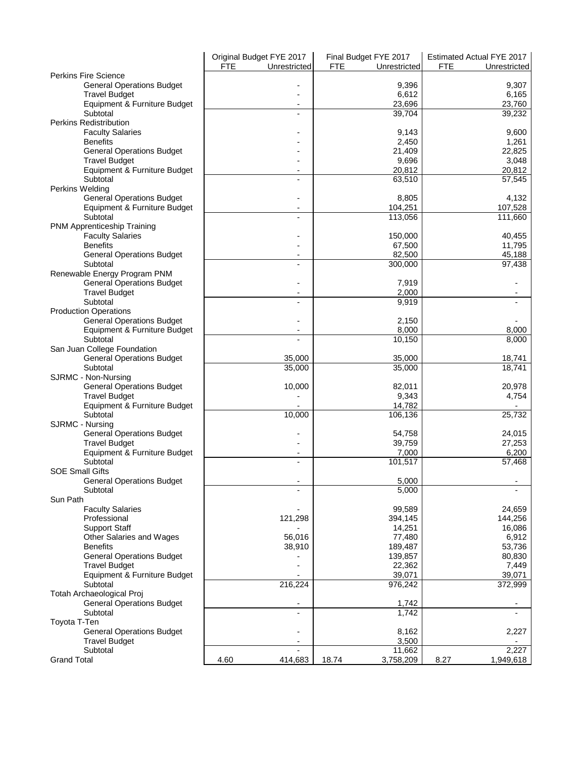|                                  | Original Budget FYE 2017   | Final Budget FYE 2017      | Estimated Actual FYE 2017  |
|----------------------------------|----------------------------|----------------------------|----------------------------|
|                                  | <b>FTE</b><br>Unrestricted | <b>FTE</b><br>Unrestricted | <b>FTE</b><br>Unrestricted |
| <b>Perkins Fire Science</b>      |                            |                            |                            |
| <b>General Operations Budget</b> |                            | 9,396                      | 9,307                      |
| <b>Travel Budget</b>             |                            | 6,612                      | 6,165                      |
| Equipment & Furniture Budget     |                            | 23,696                     | 23.760                     |
| Subtotal                         |                            | 39,704                     | 39,232                     |
| <b>Perkins Redistribution</b>    |                            |                            |                            |
| <b>Faculty Salaries</b>          |                            | 9,143                      | 9,600                      |
| <b>Benefits</b>                  |                            | 2,450                      | 1,261                      |
| <b>General Operations Budget</b> |                            | 21,409                     | 22,825                     |
| <b>Travel Budget</b>             |                            | 9,696                      | 3,048                      |
| Equipment & Furniture Budget     |                            | 20,812                     | 20,812                     |
| Subtotal                         |                            | 63,510                     |                            |
|                                  |                            |                            | 57,545                     |
| Perkins Welding                  |                            |                            |                            |
| <b>General Operations Budget</b> |                            | 8,805                      | 4,132                      |
| Equipment & Furniture Budget     |                            | 104,251                    | 107,528                    |
| Subtotal                         |                            | 113,056                    | 111,660                    |
| PNM Apprenticeship Training      |                            |                            |                            |
| <b>Faculty Salaries</b>          |                            | 150,000                    | 40,455                     |
| <b>Benefits</b>                  |                            | 67,500                     | 11,795                     |
| <b>General Operations Budget</b> |                            | 82,500                     | 45,188                     |
| Subtotal                         |                            | 300,000                    | $\overline{97,438}$        |
| Renewable Energy Program PNM     |                            |                            |                            |
| <b>General Operations Budget</b> |                            | 7,919                      |                            |
| <b>Travel Budget</b>             |                            | 2,000                      |                            |
| Subtotal                         |                            | 9,919                      |                            |
| <b>Production Operations</b>     |                            |                            |                            |
| <b>General Operations Budget</b> |                            | 2,150                      |                            |
| Equipment & Furniture Budget     |                            | 8,000                      | 8,000                      |
| Subtotal                         |                            | 10,150                     |                            |
|                                  |                            |                            | 8,000                      |
| San Juan College Foundation      |                            |                            |                            |
| <b>General Operations Budget</b> | 35,000                     | 35,000                     | 18,741                     |
| Subtotal                         | 35,000                     | 35,000                     | 18,741                     |
| SJRMC - Non-Nursing              |                            |                            |                            |
| <b>General Operations Budget</b> | 10,000                     | 82,011                     | 20,978                     |
| <b>Travel Budget</b>             |                            | 9,343                      | 4,754                      |
| Equipment & Furniture Budget     |                            | 14,782                     |                            |
| Subtotal                         | 10,000                     | 106,136                    | 25,732                     |
| SJRMC - Nursing                  |                            |                            |                            |
| <b>General Operations Budget</b> |                            | 54,758                     | 24,015                     |
| <b>Travel Budget</b>             |                            | 39,759                     | 27,253                     |
| Equipment & Furniture Budget     | -                          | 7,000                      | 6,200                      |
| Subtotal                         |                            | 101,517                    | 57,468                     |
| <b>SOE Small Gifts</b>           |                            |                            |                            |
| <b>General Operations Budget</b> |                            | 5,000                      |                            |
|                                  |                            |                            |                            |
| Subtotal<br>Sun Path             |                            | 5,000                      |                            |
|                                  |                            |                            |                            |
| <b>Faculty Salaries</b>          |                            | 99,589                     | 24,659                     |
| Professional                     | 121,298                    | 394,145                    | 144,256                    |
| <b>Support Staff</b>             |                            | 14,251                     | 16,086                     |
| Other Salaries and Wages         | 56,016                     | 77,480                     | 6,912                      |
| <b>Benefits</b>                  | 38,910                     | 189,487                    | 53,736                     |
| <b>General Operations Budget</b> |                            | 139.857                    | 80,830                     |
| <b>Travel Budget</b>             |                            | 22,362                     | 7,449                      |
| Equipment & Furniture Budget     |                            | 39,071                     | 39,071                     |
| Subtotal                         | 216,224                    | 976,242                    | 372,999                    |
| Totah Archaeological Proj        |                            |                            |                            |
| <b>General Operations Budget</b> |                            | 1,742                      |                            |
| Subtotal                         |                            | 1,742                      |                            |
| Toyota T-Ten                     |                            |                            |                            |
| <b>General Operations Budget</b> |                            | 8,162                      | 2,227                      |
|                                  |                            |                            |                            |
| <b>Travel Budget</b>             |                            | 3,500                      |                            |
| Subtotal                         |                            | 11,662                     | 2,227                      |
| <b>Grand Total</b>               | 4.60<br>414,683            | 3,758,209<br>18.74         | 8.27<br>1,949,618          |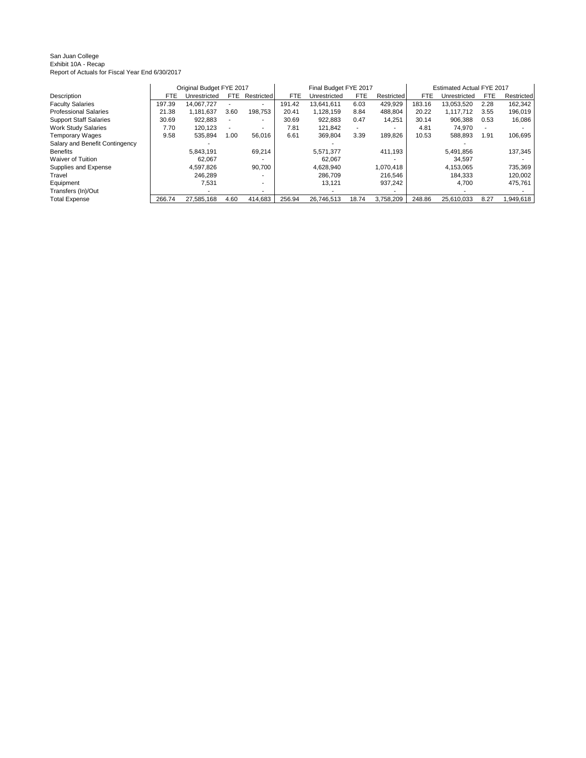#### San Juan College Exhibit 10A - Recap Report of Actuals for Fiscal Year End 6/30/2017

|                                |        | Original Budget FYE 2017 |                          |            |            | Final Budget FYE 2017 |       |            |            | Estimated Actual FYE 2017 |      |            |
|--------------------------------|--------|--------------------------|--------------------------|------------|------------|-----------------------|-------|------------|------------|---------------------------|------|------------|
| Description                    | FTE    | Unrestricted             | FTE.                     | Restricted | <b>FTE</b> | Unrestricted          | FTE   | Restricted | <b>FTE</b> | Unrestricted              | FTE. | Restricted |
| <b>Faculty Salaries</b>        | 197.39 | 14.067.727               |                          |            | 191.42     | 13.641.611            | 6.03  | 429.929    | 183.16     | 13.053.520                | 2.28 | 162.342    |
| <b>Professional Salaries</b>   | 21.38  | 1.181.637                | 3.60                     | 198.753    | 20.41      | 1.128.159             | 8.84  | 488.804    | 20.22      | 1.117.712                 | 3.55 | 196,019    |
| <b>Support Staff Salaries</b>  | 30.69  | 922.883                  | $\overline{\phantom{a}}$ | ۰          | 30.69      | 922.883               | 0.47  | 14.251     | 30.14      | 906.388                   | 0.53 | 16,086     |
| <b>Work Study Salaries</b>     | 7.70   | 120.123                  | $\overline{\phantom{a}}$ |            | 7.81       | 121.842               |       |            | 4.81       | 74,970                    |      |            |
| <b>Temporary Wages</b>         | 9.58   | 535.894                  | 1.00                     | 56.016     | 6.61       | 369.804               | 3.39  | 189.826    | 10.53      | 588,893                   | 1.91 | 106.695    |
| Salary and Benefit Contingency |        |                          |                          |            |            |                       |       |            |            |                           |      |            |
| <b>Benefits</b>                |        | 5.843.191                |                          | 69,214     |            | 5.571.377             |       | 411.193    |            | 5.491.856                 |      | 137,345    |
| Waiver of Tuition              |        | 62.067                   |                          |            |            | 62.067                |       |            |            | 34,597                    |      |            |
| Supplies and Expense           |        | 4.597.826                |                          | 90.700     |            | 4.628.940             |       | 1,070,418  |            | 4.153.065                 |      | 735,369    |
| Travel                         |        | 246.289                  |                          |            |            | 286.709               |       | 216,546    |            | 184.333                   |      | 120,002    |
| Equipment                      |        | 7.531                    |                          |            |            | 13.121                |       | 937.242    |            | 4.700                     |      | 475.761    |
| Transfers (In)/Out             |        |                          |                          |            |            |                       |       |            |            |                           |      |            |
| <b>Total Expense</b>           | 266.74 | 27,585,168               | 4.60                     | 414,683    | 256.94     | 26,746,513            | 18.74 | 3,758,209  | 248.86     | 25,610,033                | 8.27 | 1,949,618  |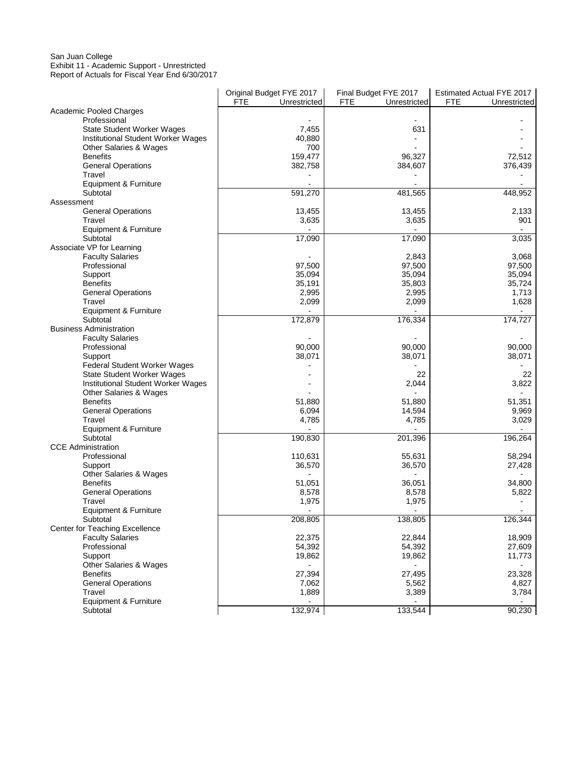### San Juan College Exhibit 11 - Academic Support - Unrestricted Report of Actuals for Fiscal Year End 6/30/2017

i.

|                                       | Original Budget FYE 2017 | Final Budget FYE 2017      | Estimated Actual FYE 2017  |
|---------------------------------------|--------------------------|----------------------------|----------------------------|
|                                       | FTE<br>Unrestricted      | <b>FTE</b><br>Unrestricted | <b>FTE</b><br>Unrestricted |
| <b>Academic Pooled Charges</b>        |                          |                            |                            |
| Professional                          |                          |                            |                            |
| <b>State Student Worker Wages</b>     | 7,455                    | 631                        |                            |
| Institutional Student Worker Wages    | 40,880                   |                            |                            |
| Other Salaries & Wages                | 700                      |                            |                            |
| <b>Benefits</b>                       | 159,477                  | 96,327                     | 72,512                     |
| <b>General Operations</b>             | 382,758                  | 384,607                    | 376,439                    |
| Travel                                |                          |                            |                            |
| Equipment & Furniture                 |                          |                            |                            |
| Subtotal                              | 591,270                  |                            |                            |
|                                       |                          | 481,565                    | 448,952                    |
| Assessment                            |                          |                            |                            |
| <b>General Operations</b>             | 13,455                   | 13,455                     | 2,133                      |
| Travel                                | 3,635                    | 3,635                      | 901                        |
| Equipment & Furniture                 |                          |                            |                            |
| Subtotal                              | 17,090                   | 17,090                     | 3,035                      |
| Associate VP for Learning             |                          |                            |                            |
| <b>Faculty Salaries</b>               |                          | 2,843                      | 3,068                      |
| Professional                          | 97,500                   | 97,500                     | 97,500                     |
| Support                               | 35,094                   | 35,094                     | 35,094                     |
| <b>Benefits</b>                       | 35,191                   | 35,803                     | 35,724                     |
| <b>General Operations</b>             | 2,995                    | 2,995                      | 1,713                      |
| Travel                                | 2,099                    | 2,099                      | 1,628                      |
| Equipment & Furniture                 |                          |                            |                            |
| Subtotal                              | 172,879                  | 176,334                    | 174,727                    |
| <b>Business Administration</b>        |                          |                            |                            |
|                                       |                          |                            |                            |
| <b>Faculty Salaries</b>               |                          |                            |                            |
| Professional                          | 90,000                   | 90,000                     | 90,000                     |
| Support                               | 38,071                   | 38,071                     | 38,071                     |
| Federal Student Worker Wages          |                          |                            |                            |
| <b>State Student Worker Wages</b>     |                          | 22                         | 22                         |
| Institutional Student Worker Wages    |                          | 2,044                      | 3,822                      |
| Other Salaries & Wages                |                          |                            |                            |
| <b>Benefits</b>                       | 51,880                   | 51,880                     | 51,351                     |
| <b>General Operations</b>             | 6,094                    | 14,594                     | 9,969                      |
| Travel                                | 4,785                    | 4,785                      | 3,029                      |
| Equipment & Furniture                 |                          |                            |                            |
| Subtotal                              | 190,830                  | 201,396                    | 196,264                    |
| <b>CCE Administration</b>             |                          |                            |                            |
| Professional                          | 110,631                  | 55,631                     | 58,294                     |
| Support                               | 36,570                   | 36,570                     | 27,428                     |
| Other Salaries & Wages                |                          |                            |                            |
| <b>Benefits</b>                       | 51,051                   | 36,051                     | 34,800                     |
| <b>General Operations</b>             | 8,578                    | 8,578                      | 5,822                      |
| Travel                                | 1,975                    | 1,975                      |                            |
| Equipment & Furniture                 |                          |                            |                            |
|                                       | 208,805                  | 138,805                    | 126,344                    |
| Subtotal                              |                          |                            |                            |
| <b>Center for Teaching Excellence</b> |                          |                            |                            |
| <b>Faculty Salaries</b>               | 22,375                   | 22,844                     | 18,909                     |
| Professional                          | 54,392                   | 54,392                     | 27,609                     |
| Support                               | 19,862                   | 19,862                     | 11,773                     |
| Other Salaries & Wages                |                          |                            |                            |
| <b>Benefits</b>                       | 27,394                   | 27,495                     | 23,328                     |
| <b>General Operations</b>             | 7,062                    | 5,562                      | 4,827                      |
| Travel                                | 1,889                    | 3,389                      | 3,784                      |
| Equipment & Furniture                 |                          |                            |                            |
| Subtotal                              | 132,974                  | 133,544                    | 90,230                     |

J.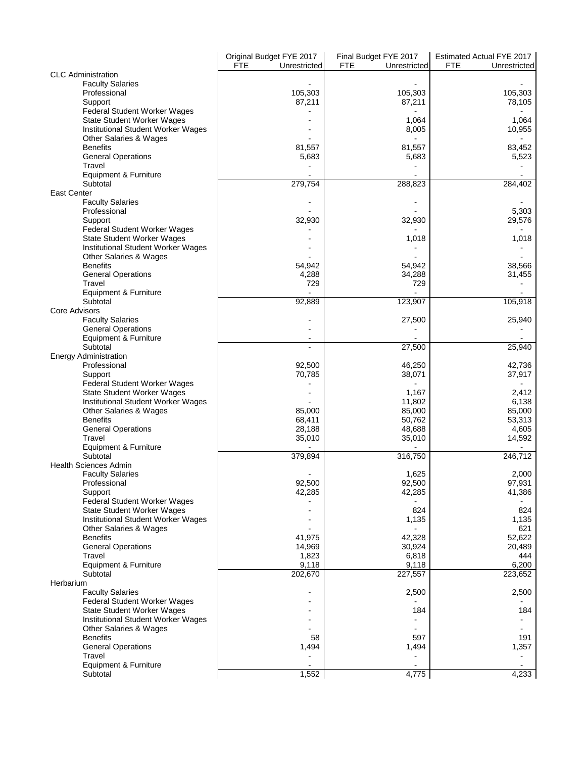|                                                              | Original Budget FYE 2017   | Final Budget FYE 2017 | Estimated Actual FYE 2017  |
|--------------------------------------------------------------|----------------------------|-----------------------|----------------------------|
|                                                              | <b>FTE</b><br>Unrestricted | FTE<br>Unrestricted   | <b>FTE</b><br>Unrestricted |
| <b>CLC</b> Administration<br><b>Faculty Salaries</b>         |                            |                       |                            |
| Professional                                                 | 105,303                    | 105,303               | 105,303                    |
| Support                                                      | 87,211                     | 87,211                | 78,105                     |
| Federal Student Worker Wages                                 |                            |                       |                            |
| <b>State Student Worker Wages</b>                            |                            | 1,064                 | 1,064                      |
| Institutional Student Worker Wages                           |                            | 8,005                 | 10,955                     |
| Other Salaries & Wages                                       |                            |                       |                            |
| <b>Benefits</b>                                              | 81,557                     | 81,557                | 83,452                     |
| <b>General Operations</b>                                    | 5,683                      | 5,683                 | 5,523                      |
| Travel                                                       |                            |                       |                            |
| Equipment & Furniture                                        |                            |                       |                            |
| Subtotal<br><b>East Center</b>                               | 279,754                    | 288,823               | 284,402                    |
| <b>Faculty Salaries</b>                                      |                            |                       |                            |
| Professional                                                 |                            |                       | 5,303                      |
| Support                                                      | 32,930                     | 32,930                | 29,576                     |
| Federal Student Worker Wages                                 |                            |                       |                            |
| <b>State Student Worker Wages</b>                            |                            | 1,018                 | 1,018                      |
| Institutional Student Worker Wages                           |                            |                       |                            |
| Other Salaries & Wages                                       |                            |                       |                            |
| <b>Benefits</b>                                              | 54,942                     | 54,942                | 38,566                     |
| <b>General Operations</b>                                    | 4,288                      | 34,288                | 31,455                     |
| Travel<br>Equipment & Furniture                              | 729                        | 729                   |                            |
| Subtotal                                                     | 92,889                     | 123,907               | 105,918                    |
| Core Advisors                                                |                            |                       |                            |
| <b>Faculty Salaries</b>                                      |                            | 27,500                | 25,940                     |
| <b>General Operations</b>                                    |                            |                       |                            |
| Equipment & Furniture                                        | $\overline{\phantom{a}}$   |                       |                            |
| Subtotal                                                     |                            | 27,500                | 25,940                     |
| <b>Energy Administration</b>                                 |                            |                       |                            |
| Professional<br>Support                                      | 92,500<br>70,785           | 46,250<br>38,071      | 42,736<br>37,917           |
| Federal Student Worker Wages                                 |                            |                       |                            |
| <b>State Student Worker Wages</b>                            |                            | 1,167                 | 2,412                      |
| Institutional Student Worker Wages                           |                            | 11,802                | 6,138                      |
| Other Salaries & Wages                                       | 85,000                     | 85,000                | 85,000                     |
| <b>Benefits</b>                                              | 68,411                     | 50,762                | 53,313                     |
| <b>General Operations</b>                                    | 28,188                     | 48.688                | 4,605                      |
| Travel<br>Equipment & Furniture                              | 35,010                     | 35,010                | 14,592                     |
| Subtotal                                                     | 379,894                    | 316,750               | 246,712                    |
| <b>Health Sciences Admin</b>                                 |                            |                       |                            |
| <b>Faculty Salaries</b>                                      |                            | 1,625                 | 2,000                      |
| Professional                                                 | 92,500                     | 92,500                | 97,931                     |
| Support                                                      | 42,285                     | 42,285                | 41,386                     |
| Federal Student Worker Wages                                 |                            |                       |                            |
| <b>State Student Worker Wages</b>                            |                            | 824                   | 824                        |
| Institutional Student Worker Wages                           |                            | 1,135                 | 1,135                      |
| <b>Other Salaries &amp; Wages</b><br><b>Benefits</b>         | 41,975                     | 42,328                | 621<br>52,622              |
| <b>General Operations</b>                                    | 14,969                     | 30,924                | 20,489                     |
| Travel                                                       | 1,823                      | 6,818                 | 444                        |
| Equipment & Furniture                                        | 9,118                      | 9,118                 | 6,200                      |
| Subtotal                                                     | 202,670                    | 227,557               | 223,652                    |
| Herbarium                                                    |                            |                       |                            |
| <b>Faculty Salaries</b>                                      | ۰                          | 2,500                 | 2,500                      |
| Federal Student Worker Wages                                 |                            |                       |                            |
| <b>State Student Worker Wages</b>                            |                            | 184                   | 184                        |
| Institutional Student Worker Wages<br>Other Salaries & Wages |                            |                       |                            |
| <b>Benefits</b>                                              | 58                         | 597                   | 191                        |
| <b>General Operations</b>                                    | 1,494                      | 1,494                 | 1,357                      |
| Travel                                                       |                            |                       |                            |
| Equipment & Furniture                                        |                            |                       |                            |
| Subtotal                                                     | 1,552                      | 4,775                 | 4,233                      |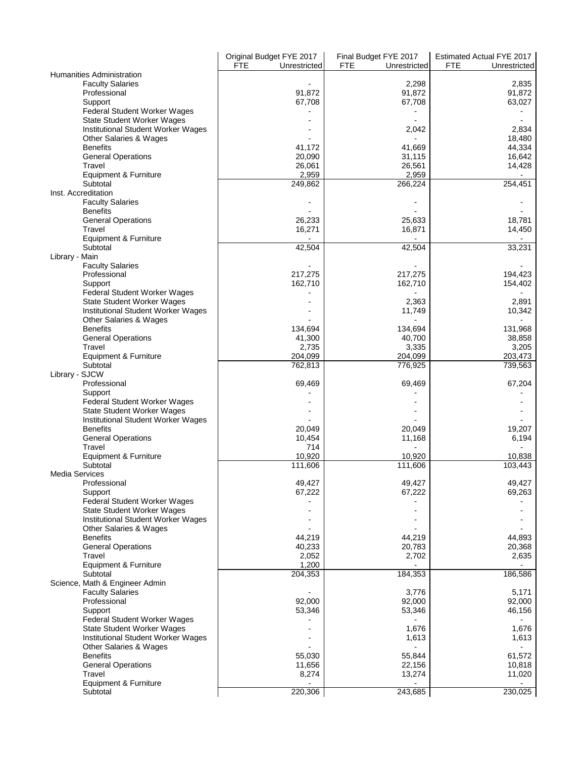|                                    | Original Budget FYE 2017   | Final Budget FYE 2017      | Estimated Actual FYE 2017 |
|------------------------------------|----------------------------|----------------------------|---------------------------|
|                                    | <b>FTE</b><br>Unrestricted | <b>FTE</b><br>Unrestricted | FTE<br>Unrestricted       |
| Humanities Administration          |                            |                            |                           |
| <b>Faculty Salaries</b>            |                            | 2,298                      | 2,835                     |
| Professional                       | 91,872                     | 91,872                     | 91,872                    |
|                                    |                            |                            |                           |
| Support                            | 67,708                     | 67,708                     | 63,027                    |
| Federal Student Worker Wages       |                            |                            |                           |
| <b>State Student Worker Wages</b>  |                            |                            |                           |
| Institutional Student Worker Wages |                            | 2,042                      | 2,834                     |
| Other Salaries & Wages             |                            |                            | 18,480                    |
| <b>Benefits</b>                    | 41,172                     | 41,669                     | 44,334                    |
| <b>General Operations</b>          | 20,090                     | 31,115                     | 16,642                    |
| Travel                             | 26,061                     | 26,561                     | 14,428                    |
| Equipment & Furniture              | 2,959                      | 2,959                      |                           |
| Subtotal                           | 249,862                    | 266,224                    | 254,451                   |
| Inst. Accreditation                |                            |                            |                           |
|                                    |                            |                            |                           |
| <b>Faculty Salaries</b>            |                            |                            |                           |
| <b>Benefits</b>                    |                            |                            |                           |
| <b>General Operations</b>          | 26,233                     | 25,633                     | 18,781                    |
| Travel                             | 16,271                     | 16,871                     | 14,450                    |
| Equipment & Furniture              |                            |                            |                           |
| Subtotal                           | 42,504                     | 42,504                     | 33,231                    |
| Library - Main                     |                            |                            |                           |
| <b>Faculty Salaries</b>            |                            |                            |                           |
| Professional                       | 217,275                    | 217,275                    | 194,423                   |
| Support                            | 162,710                    | 162,710                    | 154,402                   |
|                                    |                            |                            |                           |
| Federal Student Worker Wages       |                            |                            |                           |
| <b>State Student Worker Wages</b>  |                            | 2,363                      | 2,891                     |
| Institutional Student Worker Wages |                            | 11,749                     | 10,342                    |
| Other Salaries & Wages             |                            |                            |                           |
| <b>Benefits</b>                    | 134,694                    | 134,694                    | 131,968                   |
| <b>General Operations</b>          | 41,300                     | 40,700                     | 38,858                    |
| Travel                             | 2,735                      | 3,335                      | 3,205                     |
| Equipment & Furniture              | 204,099                    | 204,099                    | 203,473                   |
| Subtotal                           | 762,813                    | 776,925                    | 739,563                   |
|                                    |                            |                            |                           |
| Library - SJCW                     |                            |                            |                           |
| Professional                       | 69,469                     | 69,469                     | 67,204                    |
| Support                            |                            |                            |                           |
| Federal Student Worker Wages       |                            |                            |                           |
| <b>State Student Worker Wages</b>  |                            |                            |                           |
| Institutional Student Worker Wages |                            |                            |                           |
| <b>Benefits</b>                    | 20,049                     | 20,049                     | 19,207                    |
| <b>General Operations</b>          | 10,454                     | 11,168                     | 6,194                     |
| Travel                             | 714                        |                            |                           |
|                                    |                            |                            |                           |
| Equipment & Furniture              | 10,920                     | 10,920                     | 10,838                    |
| Subtotal                           | 111,606                    | 111,606                    | 103,443                   |
| <b>Media Services</b>              |                            |                            |                           |
| Professional                       | 49,427                     | 49,427                     | 49,427                    |
| Support                            | 67,222                     | 67,222                     | 69,263                    |
| Federal Student Worker Wages       |                            |                            |                           |
| <b>State Student Worker Wages</b>  |                            |                            |                           |
| Institutional Student Worker Wages |                            |                            |                           |
|                                    |                            |                            |                           |
| Other Salaries & Wages             |                            |                            |                           |
| <b>Benefits</b>                    | 44,219                     | 44,219                     | 44,893                    |
| <b>General Operations</b>          | 40,233                     | 20,783                     | 20,368                    |
| Travel                             | 2,052                      | 2,702                      | 2,635                     |
| Equipment & Furniture              | 1,200                      |                            |                           |
| Subtotal                           | 204,353                    | 184,353                    | 186,586                   |
| Science, Math & Engineer Admin     |                            |                            |                           |
| <b>Faculty Salaries</b>            |                            | 3,776                      | 5,171                     |
| Professional                       | 92.000                     | 92,000                     | 92,000                    |
|                                    | 53,346                     | 53,346                     | 46,156                    |
| Support                            |                            |                            |                           |
| Federal Student Worker Wages       |                            |                            |                           |
| <b>State Student Worker Wages</b>  |                            | 1,676                      | 1,676                     |
| Institutional Student Worker Wages |                            | 1,613                      | 1,613                     |
| Other Salaries & Wages             |                            |                            |                           |
| <b>Benefits</b>                    | 55,030                     | 55,844                     | 61,572                    |
| <b>General Operations</b>          | 11,656                     | 22,156                     | 10,818                    |
| Travel                             | 8,274                      | 13,274                     | 11,020                    |
|                                    |                            |                            |                           |
| Equipment & Furniture              |                            |                            |                           |
| Subtotal                           | 220,306                    | 243,685                    | 230,025                   |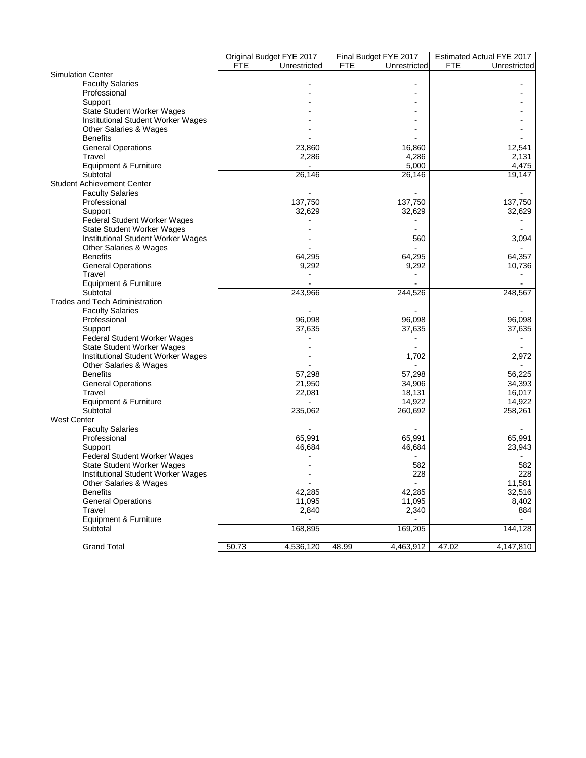|                                                                   | Original Budget FYE 2017 | Final Budget FYE 2017      | Estimated Actual FYE 2017 |
|-------------------------------------------------------------------|--------------------------|----------------------------|---------------------------|
|                                                                   | FTE<br>Unrestricted      | <b>FTE</b><br>Unrestricted | FTE<br>Unrestricted       |
| <b>Simulation Center</b>                                          |                          |                            |                           |
| <b>Faculty Salaries</b>                                           |                          |                            |                           |
| Professional                                                      |                          |                            |                           |
| Support                                                           |                          |                            |                           |
| <b>State Student Worker Wages</b>                                 |                          |                            |                           |
| Institutional Student Worker Wages                                |                          |                            |                           |
| Other Salaries & Wages                                            |                          |                            |                           |
| <b>Benefits</b>                                                   |                          |                            |                           |
| <b>General Operations</b>                                         | 23,860                   | 16,860                     | 12,541                    |
| Travel                                                            | 2,286                    | 4,286                      | 2,131                     |
| Equipment & Furniture                                             |                          | 5,000                      | 4,475                     |
| Subtotal                                                          | 26,146                   | 26,146                     | 19,147                    |
| <b>Student Achievement Center</b>                                 |                          |                            |                           |
| <b>Faculty Salaries</b>                                           |                          | 137,750                    | 137,750                   |
| Professional                                                      | 137,750                  |                            |                           |
| Support                                                           | 32,629                   | 32,629                     | 32,629                    |
| Federal Student Worker Wages<br><b>State Student Worker Wages</b> |                          |                            |                           |
| <b>Institutional Student Worker Wages</b>                         |                          | 560                        | 3,094                     |
| Other Salaries & Wages                                            |                          |                            |                           |
| <b>Benefits</b>                                                   | 64,295                   | 64,295                     | 64,357                    |
| <b>General Operations</b>                                         | 9,292                    | 9,292                      | 10,736                    |
| Travel                                                            |                          |                            |                           |
| Equipment & Furniture                                             |                          |                            |                           |
| Subtotal                                                          | 243,966                  | 244,526                    | 248,567                   |
| <b>Trades and Tech Administration</b>                             |                          |                            |                           |
| <b>Faculty Salaries</b>                                           |                          |                            |                           |
| Professional                                                      | 96,098                   | 96,098                     | 96,098                    |
| Support                                                           | 37,635                   | 37,635                     | 37,635                    |
| <b>Federal Student Worker Wages</b>                               |                          |                            |                           |
| <b>State Student Worker Wages</b>                                 |                          |                            |                           |
| <b>Institutional Student Worker Wages</b>                         |                          | 1,702                      | 2,972                     |
| Other Salaries & Wages                                            |                          |                            |                           |
| <b>Benefits</b>                                                   | 57,298                   | 57,298                     | 56,225                    |
| <b>General Operations</b>                                         | 21,950                   | 34,906                     | 34,393                    |
| Travel                                                            | 22,081                   | 18,131                     | 16,017                    |
| Equipment & Furniture                                             |                          | 14,922                     | 14,922                    |
| Subtotal                                                          | 235,062                  | 260,692                    | 258,261                   |
| <b>West Center</b>                                                |                          |                            |                           |
| <b>Faculty Salaries</b>                                           |                          |                            |                           |
| Professional                                                      | 65.991                   | 65.991                     | 65.991                    |
| Support                                                           | 46,684                   | 46,684                     | 23,943                    |
| Federal Student Worker Wages                                      |                          |                            |                           |
| <b>State Student Worker Wages</b>                                 |                          | 582                        | 582<br>228                |
| <b>Institutional Student Worker Wages</b>                         |                          | 228                        |                           |
| Other Salaries & Wages<br><b>Benefits</b>                         |                          |                            | 11,581                    |
|                                                                   | 42,285                   | 42,285                     | 32,516                    |
| <b>General Operations</b><br>Travel                               | 11,095<br>2,840          | 11,095<br>2,340            | 8,402<br>884              |
| Equipment & Furniture                                             |                          |                            |                           |
| Subtotal                                                          | 168,895                  | 169,205                    | 144,128                   |
|                                                                   |                          |                            |                           |
| <b>Grand Total</b>                                                | 50.73<br>4,536,120       | 48.99<br>4,463,912         | 47.02<br>4,147,810        |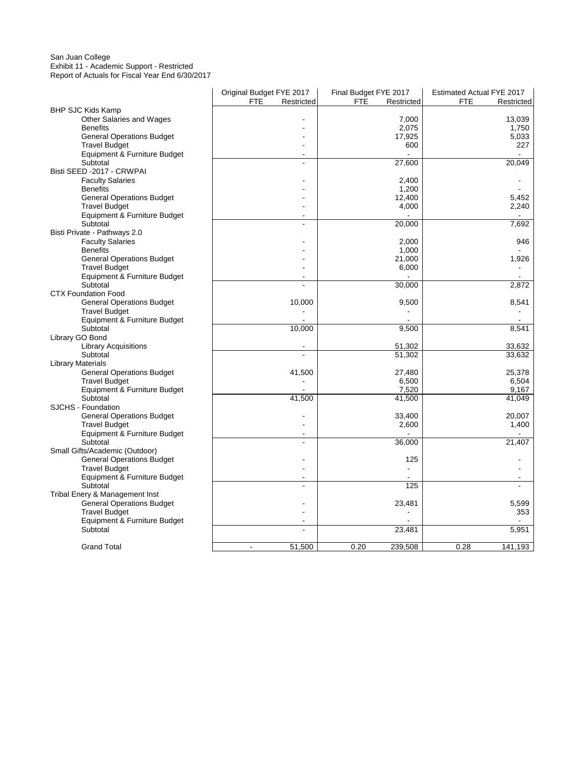### San Juan College Exhibit 11 - Academic Support - Restricted Report of Actuals for Fiscal Year End 6/30/2017

|                                  | Original Budget FYE 2017 | Final Budget FYE 2017    | Estimated Actual FYE 2017 |
|----------------------------------|--------------------------|--------------------------|---------------------------|
|                                  | <b>FTE</b><br>Restricted | <b>FTE</b><br>Restricted | <b>FTE</b><br>Restricted  |
| <b>BHP SJC Kids Kamp</b>         |                          |                          |                           |
| <b>Other Salaries and Wages</b>  |                          | 7,000                    | 13,039                    |
| <b>Benefits</b>                  |                          | 2,075                    | 1,750                     |
| <b>General Operations Budget</b> |                          | 17,925                   | 5,033                     |
| <b>Travel Budget</b>             |                          | 600                      | 227                       |
| Equipment & Furniture Budget     |                          |                          |                           |
| Subtotal                         | ÷.                       | 27,600                   | 20,049                    |
| Bisti SEED -2017 - CRWPAI        |                          |                          |                           |
| <b>Faculty Salaries</b>          |                          | 2,400                    |                           |
| <b>Benefits</b>                  |                          | 1,200                    |                           |
| <b>General Operations Budget</b> |                          | 12,400                   | 5,452                     |
| <b>Travel Budget</b>             |                          | 4,000                    | 2,240                     |
| Equipment & Furniture Budget     |                          |                          |                           |
| Subtotal                         | $\overline{a}$           | 20,000                   | 7,692                     |
| Bisti Private - Pathways 2.0     |                          |                          |                           |
| <b>Faculty Salaries</b>          |                          | 2,000                    | 946                       |
| <b>Benefits</b>                  |                          | 1,000                    |                           |
| <b>General Operations Budget</b> |                          | 21,000                   | 1,926                     |
| <b>Travel Budget</b>             |                          | 6,000                    |                           |
| Equipment & Furniture Budget     |                          |                          |                           |
| Subtotal                         |                          | 30,000                   | 2,872                     |
| <b>CTX Foundation Food</b>       |                          |                          |                           |
| <b>General Operations Budget</b> | 10,000                   | 9,500                    | 8,541                     |
| <b>Travel Budget</b>             |                          |                          |                           |
| Equipment & Furniture Budget     |                          |                          |                           |
| Subtotal                         | 10,000                   | 9,500                    | 8,541                     |
| Library GO Bond                  |                          |                          |                           |
| <b>Library Acquisitions</b>      |                          | 51,302                   | 33,632                    |
| Subtotal                         | ÷.                       | 51,302                   | 33,632                    |
| <b>Library Materials</b>         |                          |                          |                           |
| <b>General Operations Budget</b> | 41,500                   | 27,480                   | 25,378                    |
| <b>Travel Budget</b>             |                          | 6,500                    | 6,504                     |
| Equipment & Furniture Budget     |                          | 7,520                    | 9,167                     |
| Subtotal                         | 41,500                   | 41,500                   | 41,049                    |
| SJCHS - Foundation               |                          |                          |                           |
| <b>General Operations Budget</b> |                          | 33,400                   | 20,007                    |
| <b>Travel Budget</b>             |                          | 2,600                    | 1,400                     |
| Equipment & Furniture Budget     |                          |                          |                           |
| Subtotal                         |                          | 36,000                   | 21,407                    |
| Small Gifts/Academic (Outdoor)   |                          |                          |                           |
| <b>General Operations Budget</b> |                          | 125                      |                           |
| <b>Travel Budget</b>             |                          |                          |                           |
| Equipment & Furniture Budget     |                          |                          |                           |
| Subtotal                         |                          | 125                      |                           |
| Tribal Enery & Management Inst   |                          |                          |                           |
| <b>General Operations Budget</b> |                          | 23,481                   | 5,599                     |
| <b>Travel Budget</b>             |                          |                          | 353                       |
| Equipment & Furniture Budget     |                          |                          |                           |
| Subtotal                         |                          | 23,481                   | 5,951                     |
| <b>Grand Total</b>               | 51,500<br>$\sim$         | 0.20<br>239,508          | 0.28<br>141,193           |
|                                  |                          |                          |                           |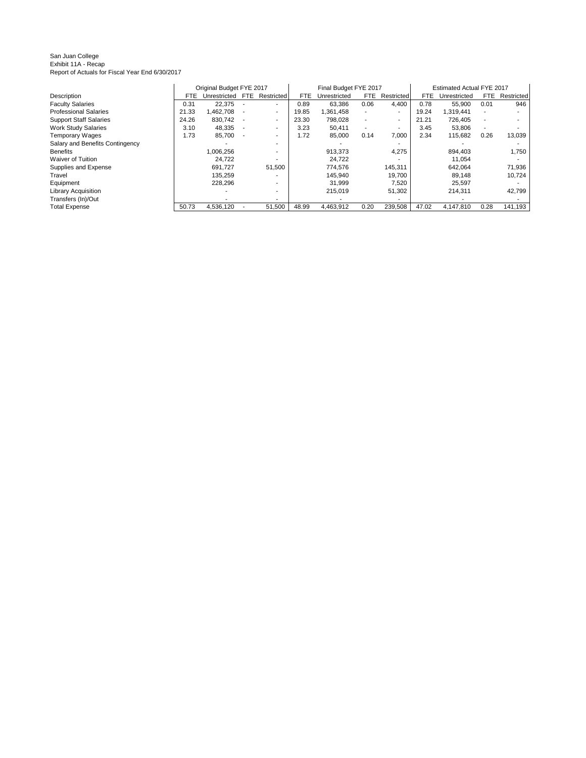#### San Juan College Exhibit 11A - Recap Report of Actuals for Fiscal Year End 6/30/2017

|                                 |       | Original Budget FYE 2017 |            |                          |       | Final Budget FYE 2017 |      |                |       | Estimated Actual FYE 2017 |      |            |
|---------------------------------|-------|--------------------------|------------|--------------------------|-------|-----------------------|------|----------------|-------|---------------------------|------|------------|
| Description                     | FTE.  | Unrestricted             | <b>FTE</b> | Restricted               | FTE   | Unrestricted          | FTE. | Restricted     | FTE.  | Unrestricted              | FTE. | Restricted |
| <b>Faculty Salaries</b>         | 0.31  | 22,375                   |            | $\overline{\phantom{a}}$ | 0.89  | 63.386                | 0.06 | 4.400          | 0.78  | 55,900                    | 0.01 | 946        |
| <b>Professional Salaries</b>    | 21.33 |                          |            |                          | 19.85 | 1.361.458             |      | ۰.             | 19.24 | 1.319.441                 |      |            |
|                                 |       | ,462,708                 |            | $\overline{\phantom{a}}$ |       |                       |      |                |       |                           |      |            |
| <b>Support Staff Salaries</b>   | 24.26 | 830,742                  |            | $\sim$                   | 23.30 | 798,028               | ۰.   | $\blacksquare$ | 21.21 | 726.405                   | ۰.   | ۰          |
| <b>Work Study Salaries</b>      | 3.10  | 48,335                   |            | $\overline{\phantom{a}}$ | 3.23  | 50.411                |      | ۰.             | 3.45  | 53,806                    |      | ۰          |
| <b>Temporary Wages</b>          | 1.73  | 85,700                   |            | $\overline{\phantom{a}}$ | 1.72  | 85,000                | 0.14 | 7,000          | 2.34  | 115,682                   | 0.26 | 13,039     |
| Salary and Benefits Contingency |       |                          |            |                          |       |                       |      |                |       |                           |      |            |
| <b>Benefits</b>                 |       | .006.256                 |            |                          |       | 913.373               |      | 4,275          |       | 894.403                   |      | 1,750      |
| <b>Waiver of Tuition</b>        |       | 24.722                   |            |                          |       | 24.722                |      |                |       | 11.054                    |      |            |
| Supplies and Expense            |       | 691.727                  |            | 51,500                   |       | 774.576               |      | 145,311        |       | 642.064                   |      | 71,936     |
| Travel                          |       | 135,259                  |            |                          |       | 145.940               |      | 19.700         |       | 89.148                    |      | 10,724     |
| Equipment                       |       | 228,296                  |            |                          |       | 31.999                |      | 7,520          |       | 25,597                    |      | ۰          |
| <b>Library Acquisition</b>      |       |                          |            |                          |       | 215.019               |      | 51.302         |       | 214.311                   |      | 42,799     |
| Transfers (In)/Out              |       |                          |            |                          |       |                       |      |                |       |                           |      |            |
| <b>Total Expense</b>            | 50.73 | 4.536.120                |            | 51,500                   | 48.99 | 4.463.912             | 0.20 | 239.508        | 47.02 | 4.147.810                 | 0.28 | 141,193    |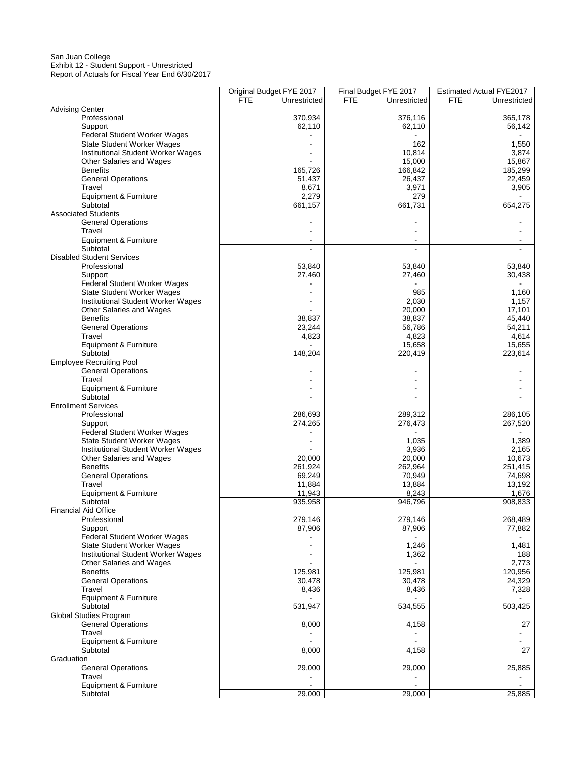#### San Juan College Exhibit 12 - Student Support - Unrestricted Report of Actuals for Fiscal Year End 6/30/2017

|                                                | Original Budget FYE 2017   | Final Budget FYE 2017      | <b>Estimated Actual FYE2017</b> |
|------------------------------------------------|----------------------------|----------------------------|---------------------------------|
|                                                | <b>FTE</b><br>Unrestricted | <b>FTE</b><br>Unrestricted | <b>FTE</b><br>Unrestricted      |
| <b>Advising Center</b>                         |                            |                            |                                 |
| Professional                                   | 370,934                    | 376,116                    | 365,178                         |
| Support                                        | 62,110                     | 62,110                     | 56,142                          |
| Federal Student Worker Wages                   |                            |                            |                                 |
| <b>State Student Worker Wages</b>              |                            | 162                        | 1,550                           |
| Institutional Student Worker Wages             |                            | 10,814                     | 3,874                           |
| Other Salaries and Wages                       |                            | 15,000                     | 15,867                          |
| <b>Benefits</b>                                | 165,726                    | 166,842                    | 185,299                         |
| <b>General Operations</b>                      | 51,437                     | 26,437                     | 22,459                          |
| Travel                                         | 8,671                      | 3,971                      | 3,905                           |
| <b>Equipment &amp; Furniture</b>               | 2,279                      | 279                        |                                 |
| Subtotal                                       | 661,157                    | 661,731                    | 654,275                         |
| <b>Associated Students</b>                     |                            |                            |                                 |
| <b>General Operations</b>                      |                            |                            |                                 |
| Travel                                         |                            |                            |                                 |
| Equipment & Furniture<br>Subtotal              | $\overline{\phantom{a}}$   | $\overline{\phantom{a}}$   | $\overline{\phantom{a}}$        |
|                                                |                            |                            |                                 |
| <b>Disabled Student Services</b>               |                            |                            |                                 |
| Professional                                   | 53,840                     | 53,840                     | 53,840                          |
| Support                                        | 27,460                     | 27,460                     | 30,438                          |
| Federal Student Worker Wages                   |                            |                            |                                 |
| <b>State Student Worker Wages</b>              |                            | 985                        | 1,160                           |
| Institutional Student Worker Wages             |                            | 2,030                      | 1,157                           |
| Other Salaries and Wages                       |                            | 20,000                     | 17,101                          |
| <b>Benefits</b>                                | 38,837                     | 38,837                     | 45,440                          |
| <b>General Operations</b>                      | 23,244                     | 56,786                     | 54,211                          |
| Travel                                         | 4,823                      | 4,823                      | 4,614                           |
| Equipment & Furniture                          |                            | 15,658                     | 15,655                          |
| Subtotal                                       | 148,204                    | 220,419                    | 223,614                         |
| <b>Employee Recruiting Pool</b>                |                            |                            |                                 |
| <b>General Operations</b>                      |                            |                            |                                 |
| Travel                                         |                            |                            |                                 |
| Equipment & Furniture                          |                            |                            |                                 |
| Subtotal                                       |                            |                            |                                 |
| <b>Enrollment Services</b>                     |                            |                            |                                 |
| Professional                                   | 286,693                    | 289,312                    | 286,105                         |
| Support                                        | 274,265                    | 276,473                    | 267,520                         |
| Federal Student Worker Wages                   |                            |                            |                                 |
| <b>State Student Worker Wages</b>              |                            | 1,035                      | 1,389                           |
| Institutional Student Worker Wages             |                            | 3,936                      | 2,165                           |
| Other Salaries and Wages                       | 20,000                     | 20,000                     | 10,673                          |
| <b>Benefits</b>                                | 261,924                    | 262,964                    | 251,415                         |
| <b>General Operations</b>                      | 69,249                     | 70,949                     | 74,698                          |
| Travel                                         | 11,884                     | 13,884                     | 13,192                          |
| Equipment & Furniture<br>Subtotal              | 11,943                     | 8,243                      | 1,676                           |
|                                                | 935,958                    | 946,796                    | 908,833                         |
| <b>Financial Aid Office</b>                    | 279,146                    | 279,146                    |                                 |
| Professional                                   | 87,906                     | 87,906                     | 268,489<br>77,882               |
| Support<br><b>Federal Student Worker Wages</b> |                            |                            |                                 |
| <b>State Student Worker Wages</b>              |                            |                            |                                 |
|                                                |                            | 1,246                      | 1,481                           |
| Institutional Student Worker Wages             |                            | 1,362                      | 188<br>2,773                    |
| Other Salaries and Wages<br><b>Benefits</b>    |                            | 125,981                    |                                 |
| <b>General Operations</b>                      | 125,981                    |                            | 120,956                         |
| Travel                                         | 30,478                     | 30,478                     | 24,329                          |
| Equipment & Furniture                          | 8,436                      | 8,436                      | 7,328                           |
| Subtotal                                       | 531,947                    | 534,555                    | 503,425                         |
| <b>Global Studies Program</b>                  |                            |                            |                                 |
|                                                |                            |                            |                                 |
| <b>General Operations</b>                      | 8,000                      | 4,158                      | 27                              |
| Travel<br>Equipment & Furniture                |                            |                            |                                 |
| Subtotal                                       | 8,000                      | 4,158                      | $\overline{27}$                 |
|                                                |                            |                            |                                 |
| Graduation<br><b>General Operations</b>        |                            |                            |                                 |
| Travel                                         | 29,000                     | 29,000                     | 25,885                          |
| Equipment & Furniture                          |                            |                            |                                 |
| Subtotal                                       | 29,000                     | 29,000                     | 25,885                          |
|                                                |                            |                            |                                 |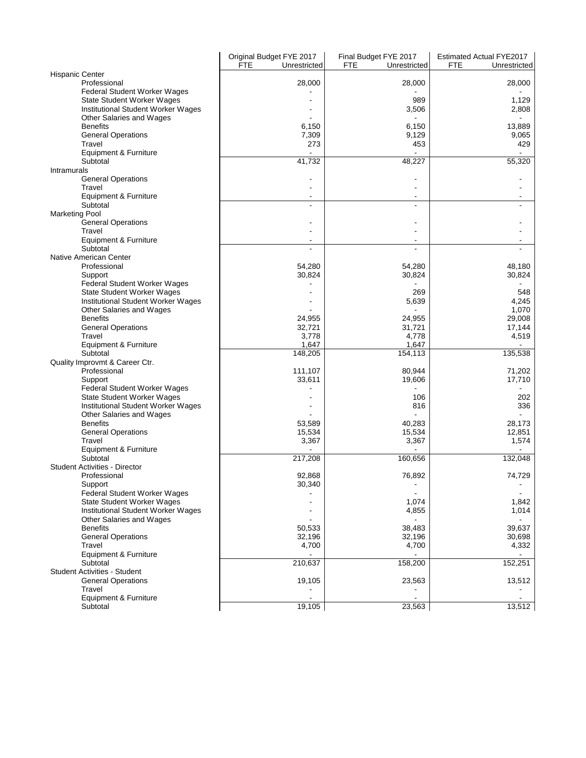|                                                                  | Original Budget FYE 2017 | Final Budget FYE 2017      | <b>Estimated Actual FYE2017</b> |
|------------------------------------------------------------------|--------------------------|----------------------------|---------------------------------|
| <b>Hispanic Center</b>                                           | FTE<br>Unrestricted      | <b>FTE</b><br>Unrestricted | FTE<br>Unrestricted             |
| Professional                                                     | 28,000                   | 28,000                     | 28,000                          |
| <b>Federal Student Worker Wages</b>                              |                          |                            |                                 |
| State Student Worker Wages                                       |                          | 989                        | 1,129                           |
| Institutional Student Worker Wages                               |                          | 3,506                      | 2,808                           |
| Other Salaries and Wages                                         |                          |                            |                                 |
| <b>Benefits</b>                                                  | 6,150                    | 6,150                      | 13,889                          |
| <b>General Operations</b><br>Travel                              | 7,309<br>273             | 9,129<br>453               | 9,065<br>429                    |
| Equipment & Furniture                                            |                          |                            |                                 |
| Subtotal                                                         | 41,732                   | 48,227                     | 55,320                          |
| <b>Intramurals</b>                                               |                          |                            |                                 |
| <b>General Operations</b>                                        |                          |                            |                                 |
| Travel                                                           |                          |                            |                                 |
| Equipment & Furniture<br>Subtotal                                | ä,                       | $\blacksquare$             |                                 |
| <b>Marketing Pool</b>                                            |                          |                            |                                 |
| <b>General Operations</b>                                        |                          |                            |                                 |
| Travel                                                           |                          |                            |                                 |
| Equipment & Furniture                                            |                          |                            |                                 |
| Subtotal                                                         |                          |                            |                                 |
| <b>Native American Center</b>                                    |                          |                            |                                 |
| Professional                                                     | 54,280<br>30,824         | 54,280                     | 48,180                          |
| Support<br><b>Federal Student Worker Wages</b>                   |                          | 30,824                     | 30,824                          |
| State Student Worker Wages                                       |                          | 269                        | 548                             |
| Institutional Student Worker Wages                               |                          | 5,639                      | 4,245                           |
| Other Salaries and Wages                                         |                          |                            | 1,070                           |
| <b>Benefits</b>                                                  | 24,955                   | 24,955                     | 29,008                          |
| <b>General Operations</b>                                        | 32,721                   | 31,721                     | 17,144                          |
| Travel<br>Equipment & Furniture                                  | 3,778<br>1,647           | 4,778<br>1,647             | 4,519                           |
| Subtotal                                                         | 148,205                  | 154,113                    | 135,538                         |
| Quality Improvmt & Career Ctr.                                   |                          |                            |                                 |
| Professional                                                     | 111,107                  | 80,944                     | 71,202                          |
| Support                                                          | 33,611                   | 19,606                     | 17,710                          |
| <b>Federal Student Worker Wages</b>                              |                          |                            |                                 |
| State Student Worker Wages<br>Institutional Student Worker Wages |                          | 106<br>816                 | 202<br>336                      |
| Other Salaries and Wages                                         |                          |                            |                                 |
| <b>Benefits</b>                                                  | 53,589                   | 40,283                     | 28.173                          |
| <b>General Operations</b>                                        | 15,534                   | 15,534                     | 12,851                          |
| Travel                                                           | 3,367                    | 3,367                      | 1,574                           |
| Equipment & Furniture                                            |                          |                            |                                 |
| Subtotal<br><b>Student Activities - Director</b>                 | 217,208                  | 160,656                    | 132,048                         |
| Professional                                                     | 92,868                   | 76,892                     | 74,729                          |
| Support                                                          | 30,340                   |                            | $\overline{\phantom{a}}$        |
| <b>Federal Student Worker Wages</b>                              |                          |                            |                                 |
| <b>State Student Worker Wages</b>                                |                          | 1,074                      | 1,842                           |
| Institutional Student Worker Wages                               |                          | 4,855                      | 1,014                           |
| <b>Other Salaries and Wages</b><br><b>Benefits</b>               | 50,533                   |                            | 39,637                          |
| <b>General Operations</b>                                        | 32,196                   | 38,483<br>32,196           | 30,698                          |
| Travel                                                           | 4,700                    | 4,700                      | 4,332                           |
| Equipment & Furniture                                            |                          |                            |                                 |
| Subtotal                                                         | 210,637                  | 158,200                    | 152,251                         |
| <b>Student Activities - Student</b>                              |                          |                            |                                 |
| <b>General Operations</b>                                        | 19,105                   | 23,563                     | 13,512                          |
| Travel<br>Equipment & Furniture                                  |                          |                            |                                 |
| Subtotal                                                         | 19,105                   | 23,563                     | 13,512                          |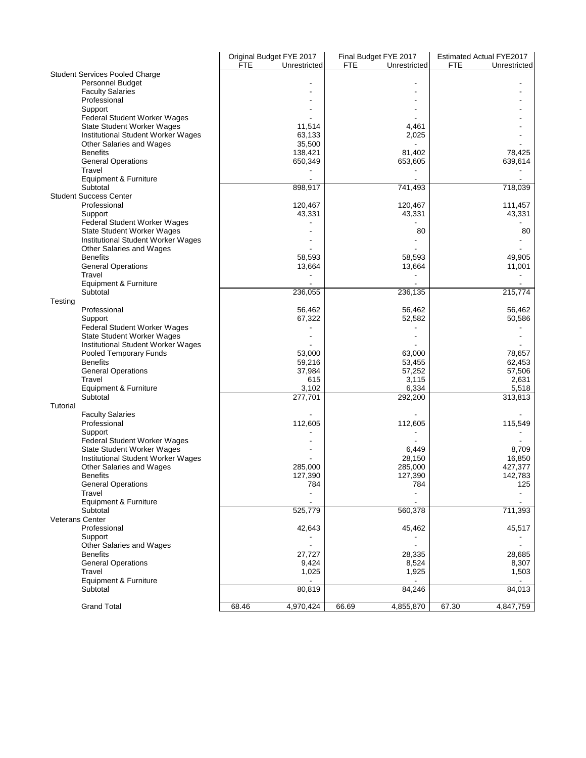|                                                | FTE   | Original Budget FYE 2017<br>Unrestricted | Final Budget FYE 2017<br><b>FTE</b> | Unrestricted       | <b>FTE</b> | <b>Estimated Actual FYE2017</b><br>Unrestricted |
|------------------------------------------------|-------|------------------------------------------|-------------------------------------|--------------------|------------|-------------------------------------------------|
| <b>Student Services Pooled Charge</b>          |       |                                          |                                     |                    |            |                                                 |
| Personnel Budget                               |       |                                          |                                     |                    |            |                                                 |
| <b>Faculty Salaries</b>                        |       |                                          |                                     |                    |            |                                                 |
| Professional                                   |       |                                          |                                     |                    |            |                                                 |
| Support                                        |       |                                          |                                     |                    |            |                                                 |
| <b>Federal Student Worker Wages</b>            |       |                                          |                                     |                    |            |                                                 |
| <b>State Student Worker Wages</b>              |       | 11,514                                   |                                     | 4,461              |            |                                                 |
| Institutional Student Worker Wages             |       | 63,133                                   |                                     | 2,025              |            |                                                 |
| Other Salaries and Wages                       |       | 35,500                                   |                                     |                    |            |                                                 |
| <b>Benefits</b>                                |       | 138,421                                  |                                     | 81,402             |            | 78,425                                          |
| <b>General Operations</b>                      |       | 650,349                                  |                                     | 653,605            |            | 639,614                                         |
| Travel<br>Equipment & Furniture                |       |                                          |                                     |                    |            |                                                 |
| Subtotal                                       |       | 898,917                                  |                                     | 741,493            |            | 718,039                                         |
| <b>Student Success Center</b>                  |       |                                          |                                     |                    |            |                                                 |
| Professional                                   |       | 120,467                                  |                                     | 120,467            |            | 111,457                                         |
| Support                                        |       | 43,331                                   |                                     | 43,331             |            | 43,331                                          |
| <b>Federal Student Worker Wages</b>            |       |                                          |                                     |                    |            |                                                 |
| <b>State Student Worker Wages</b>              |       |                                          |                                     | 80                 |            | 80                                              |
| Institutional Student Worker Wages             |       |                                          |                                     |                    |            |                                                 |
| Other Salaries and Wages                       |       |                                          |                                     |                    |            |                                                 |
| <b>Benefits</b>                                |       | 58,593                                   |                                     | 58,593             |            | 49,905                                          |
| <b>General Operations</b>                      |       | 13,664                                   |                                     | 13,664             |            | 11,001                                          |
| Travel                                         |       |                                          |                                     |                    |            |                                                 |
| Equipment & Furniture                          |       |                                          |                                     |                    |            |                                                 |
| Subtotal                                       |       | 236,055                                  |                                     | 236,135            |            | 215,774                                         |
| Testing                                        |       |                                          |                                     |                    |            |                                                 |
| Professional                                   |       | 56,462                                   |                                     | 56.462             |            | 56.462<br>50,586                                |
| Support<br><b>Federal Student Worker Wages</b> |       | 67,322                                   |                                     | 52,582             |            |                                                 |
| <b>State Student Worker Wages</b>              |       | $\overline{a}$                           |                                     |                    |            |                                                 |
| Institutional Student Worker Wages             |       |                                          |                                     |                    |            |                                                 |
| Pooled Temporary Funds                         |       | 53,000                                   |                                     | 63,000             |            | 78,657                                          |
| <b>Benefits</b>                                |       | 59,216                                   |                                     | 53,455             |            | 62,453                                          |
| <b>General Operations</b>                      |       | 37,984                                   |                                     | 57,252             |            | 57,506                                          |
| Travel                                         |       | 615                                      |                                     | 3,115              |            | 2,631                                           |
| Equipment & Furniture                          |       | 3,102                                    |                                     | 6,334              |            | 5,518                                           |
| Subtotal                                       |       | 277,701                                  |                                     | 292,200            |            | 313,813                                         |
| Tutorial                                       |       |                                          |                                     |                    |            |                                                 |
| <b>Faculty Salaries</b>                        |       |                                          |                                     |                    |            |                                                 |
| Professional                                   |       | 112,605                                  |                                     | 112,605            |            | 115,549                                         |
| Support                                        |       |                                          |                                     |                    |            |                                                 |
| <b>Federal Student Worker Wages</b>            |       |                                          |                                     |                    |            |                                                 |
| <b>State Student Worker Wages</b>              |       |                                          |                                     | 6,449              |            | 8,709                                           |
| Institutional Student Worker Wages             |       |                                          |                                     | 28,150             |            | 16,850                                          |
| Other Salaries and Wages<br><b>Benefits</b>    |       | 285,000<br>127,390                       |                                     | 285,000<br>127,390 |            | 427,377<br>142,783                              |
| General Operations                             |       | 784                                      |                                     | 784                |            | 125                                             |
| Travel                                         |       |                                          |                                     |                    |            |                                                 |
| Equipment & Furniture                          |       |                                          |                                     |                    |            |                                                 |
| Subtotal                                       |       | 525,779                                  |                                     | 560,378            |            | 711,393                                         |
| <b>Veterans Center</b>                         |       |                                          |                                     |                    |            |                                                 |
| Professional                                   |       | 42,643                                   |                                     | 45,462             |            | 45,517                                          |
| Support                                        |       |                                          |                                     |                    |            |                                                 |
| Other Salaries and Wages                       |       |                                          |                                     |                    |            |                                                 |
| <b>Benefits</b>                                |       | 27,727                                   |                                     | 28,335             |            | 28,685                                          |
| <b>General Operations</b>                      |       | 9,424                                    |                                     | 8,524              |            | 8,307                                           |
| Travel                                         |       | 1,025                                    |                                     | 1,925              |            | 1,503                                           |
| Equipment & Furniture                          |       |                                          |                                     |                    |            |                                                 |
| Subtotal                                       |       | 80,819                                   |                                     | 84,246             |            | 84,013                                          |
| <b>Grand Total</b>                             | 68.46 | 4,970,424                                | 66.69                               | 4,855,870          | 67.30      | 4,847,759                                       |
|                                                |       |                                          |                                     |                    |            |                                                 |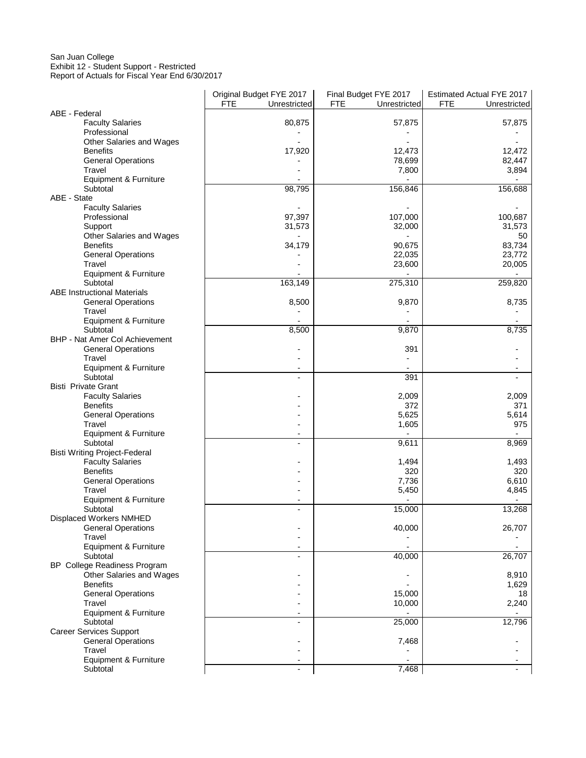## San Juan College Exhibit 12 - Student Support - Restricted

Report of Actuals for Fiscal Year End 6/30/2017

|                                             | Original Budget FYE 2017   | Final Budget FYE 2017      | Estimated Actual FYE 2017  |
|---------------------------------------------|----------------------------|----------------------------|----------------------------|
|                                             | <b>FTE</b><br>Unrestricted | <b>FTE</b><br>Unrestricted | <b>FTE</b><br>Unrestricted |
| ABE - Federal                               |                            |                            |                            |
| <b>Faculty Salaries</b>                     | 80,875                     | 57,875                     | 57,875                     |
| Professional                                |                            |                            |                            |
| Other Salaries and Wages<br><b>Benefits</b> |                            | 12.473                     |                            |
| <b>General Operations</b>                   | 17,920                     | 78,699                     | 12,472<br>82,447           |
| Travel                                      |                            | 7,800                      | 3,894                      |
| Equipment & Furniture                       |                            |                            |                            |
| Subtotal                                    | 98,795                     | 156,846                    | 156,688                    |
| ABE - State                                 |                            |                            |                            |
| <b>Faculty Salaries</b>                     |                            |                            |                            |
| Professional                                | 97,397                     | 107,000                    | 100,687                    |
| Support                                     | 31,573                     | 32,000                     | 31,573                     |
| Other Salaries and Wages                    |                            |                            | 50                         |
| <b>Benefits</b>                             | 34,179                     | 90,675                     | 83,734                     |
| <b>General Operations</b>                   |                            | 22,035                     | 23,772                     |
| Travel                                      |                            | 23,600                     | 20,005                     |
| Equipment & Furniture<br>Subtotal           | 163,149                    |                            |                            |
| <b>ABE Instructional Materials</b>          |                            | 275,310                    | 259,820                    |
| <b>General Operations</b>                   | 8,500                      | 9,870                      | 8,735                      |
| Travel                                      |                            |                            |                            |
| Equipment & Furniture                       |                            |                            |                            |
| Subtotal                                    | 8,500                      | 9,870                      | 8,735                      |
| BHP - Nat Amer Col Achievement              |                            |                            |                            |
| <b>General Operations</b>                   |                            | 391                        |                            |
| Travel                                      |                            |                            |                            |
| Equipment & Furniture                       |                            |                            | $\overline{\phantom{a}}$   |
| Subtotal                                    |                            | 391                        |                            |
| <b>Bisti Private Grant</b>                  |                            |                            |                            |
| <b>Faculty Salaries</b>                     |                            | 2,009                      | 2,009                      |
| <b>Benefits</b>                             |                            | 372                        | 371                        |
| <b>General Operations</b><br>Travel         |                            | 5,625<br>1,605             | 5,614<br>975               |
| Equipment & Furniture                       |                            |                            |                            |
| Subtotal                                    |                            | 9,611                      | 8,969                      |
| <b>Bisti Writing Project-Federal</b>        |                            |                            |                            |
| <b>Faculty Salaries</b>                     |                            | 1,494                      | 1,493                      |
| <b>Benefits</b>                             |                            | 320                        | 320                        |
| <b>General Operations</b>                   |                            | 7,736                      | 6,610                      |
| Travel                                      |                            | 5,450                      | 4,845                      |
| Equipment & Furniture                       |                            |                            |                            |
| Subtotal                                    |                            | 15,000                     | 13,268                     |
| Displaced Workers NMHED                     |                            |                            |                            |
| <b>General Operations</b>                   |                            | 40,000                     | 26,707                     |
| Travel<br>Equipment & Furniture             |                            |                            |                            |
| Subtotal                                    |                            | 40,000                     | 26,707                     |
| <b>BP</b> College Readiness Program         |                            |                            |                            |
| Other Salaries and Wages                    |                            |                            | 8,910                      |
| <b>Benefits</b>                             |                            |                            | 1,629                      |
| <b>General Operations</b>                   |                            | 15,000                     | 18                         |
| Travel                                      |                            | 10,000                     | 2,240                      |
| Equipment & Furniture                       |                            |                            |                            |
| Subtotal                                    |                            | 25,000                     | 12,796                     |
| <b>Career Services Support</b>              |                            |                            |                            |
| <b>General Operations</b>                   |                            | 7,468                      |                            |
| Travel                                      |                            |                            |                            |
| Equipment & Furniture                       |                            |                            |                            |
| Subtotal                                    |                            | 7,468                      |                            |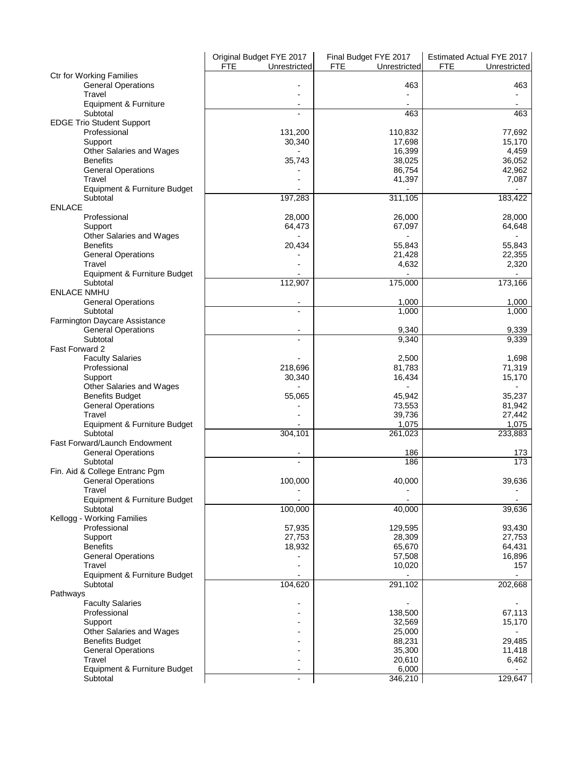|                                  | Original Budget FYE 2017   | Final Budget FYE 2017      | Estimated Actual FYE 2017  |
|----------------------------------|----------------------------|----------------------------|----------------------------|
|                                  | <b>FTE</b><br>Unrestricted | <b>FTE</b><br>Unrestricted | <b>FTE</b><br>Unrestricted |
| <b>Ctr for Working Families</b>  |                            |                            |                            |
| <b>General Operations</b>        |                            | 463                        | 463                        |
| Travel                           |                            |                            |                            |
| Equipment & Furniture            |                            |                            |                            |
| Subtotal                         |                            | 463                        | 463                        |
|                                  |                            |                            |                            |
| <b>EDGE Trio Student Support</b> |                            |                            |                            |
| Professional                     | 131,200                    | 110,832                    | 77,692                     |
| Support                          | 30,340                     | 17,698                     | 15,170                     |
| Other Salaries and Wages         |                            | 16,399                     | 4,459                      |
| <b>Benefits</b>                  | 35,743                     | 38,025                     | 36,052                     |
| <b>General Operations</b>        |                            | 86,754                     | 42,962                     |
| Travel                           |                            | 41,397                     | 7,087                      |
| Equipment & Furniture Budget     |                            |                            |                            |
| Subtotal                         | 197,283                    | 311,105                    | 183,422                    |
| <b>ENLACE</b>                    |                            |                            |                            |
|                                  |                            |                            |                            |
| Professional                     | 28,000                     | 26,000                     | 28,000                     |
| Support                          | 64,473                     | 67,097                     | 64,648                     |
| Other Salaries and Wages         |                            |                            |                            |
| <b>Benefits</b>                  | 20,434                     | 55,843                     | 55,843                     |
| <b>General Operations</b>        |                            | 21,428                     | 22,355                     |
| Travel                           |                            | 4,632                      | 2,320                      |
| Equipment & Furniture Budget     |                            |                            |                            |
| Subtotal                         | 112,907                    | 175,000                    | 173,166                    |
| <b>ENLACE NMHU</b>               |                            |                            |                            |
|                                  |                            |                            |                            |
| <b>General Operations</b>        |                            | 1,000                      | 1,000                      |
| Subtotal                         |                            | 1,000                      | 1,000                      |
| Farmington Daycare Assistance    |                            |                            |                            |
| <b>General Operations</b>        |                            | 9,340                      | 9,339                      |
| Subtotal                         |                            | 9,340                      | 9,339                      |
| Fast Forward 2                   |                            |                            |                            |
| <b>Faculty Salaries</b>          |                            | 2,500                      | 1,698                      |
| Professional                     | 218,696                    | 81,783                     | 71,319                     |
| Support                          | 30,340                     | 16,434                     | 15,170                     |
|                                  |                            |                            |                            |
| Other Salaries and Wages         |                            |                            |                            |
| <b>Benefits Budget</b>           | 55,065                     | 45,942                     | 35,237                     |
| <b>General Operations</b>        |                            | 73,553                     | 81,942                     |
| Travel                           |                            | 39,736                     | 27,442                     |
| Equipment & Furniture Budget     |                            | 1,075                      | 1,075                      |
| Subtotal                         | 304,101                    | 261,023                    | 233,883                    |
| Fast Forward/Launch Endowment    |                            |                            |                            |
| <b>General Operations</b>        |                            | 186                        | 173                        |
| Subtotal                         |                            | 186                        | 173                        |
| Fin. Aid & College Entranc Pgm   |                            |                            |                            |
| <b>General Operations</b>        | 100,000                    | 40,000                     | 39,636                     |
| Travel                           |                            |                            |                            |
|                                  |                            |                            |                            |
| Equipment & Furniture Budget     |                            |                            |                            |
| Subtotal                         | 100,000                    | 40,000                     | 39,636                     |
| Kellogg - Working Families       |                            |                            |                            |
| Professional                     | 57,935                     | 129,595                    | 93,430                     |
| Support                          | 27,753                     | 28,309                     | 27,753                     |
| <b>Benefits</b>                  | 18,932                     | 65,670                     | 64,431                     |
| <b>General Operations</b>        |                            | 57,508                     | 16,896                     |
| Travel                           |                            | 10,020                     | 157                        |
| Equipment & Furniture Budget     |                            |                            |                            |
| Subtotal                         | 104,620                    | 291,102                    | 202,668                    |
|                                  |                            |                            |                            |
| Pathways                         |                            |                            |                            |
| <b>Faculty Salaries</b>          |                            |                            |                            |
| Professional                     |                            | 138,500                    | 67,113                     |
| Support                          |                            | 32,569                     | 15,170                     |
| Other Salaries and Wages         |                            | 25,000                     |                            |
| <b>Benefits Budget</b>           |                            | 88,231                     | 29,485                     |
| <b>General Operations</b>        |                            | 35,300                     | 11,418                     |
| Travel                           |                            | 20,610                     | 6,462                      |
| Equipment & Furniture Budget     |                            | 6,000                      |                            |
|                                  |                            | 346,210                    |                            |
| Subtotal                         |                            |                            | 129,647                    |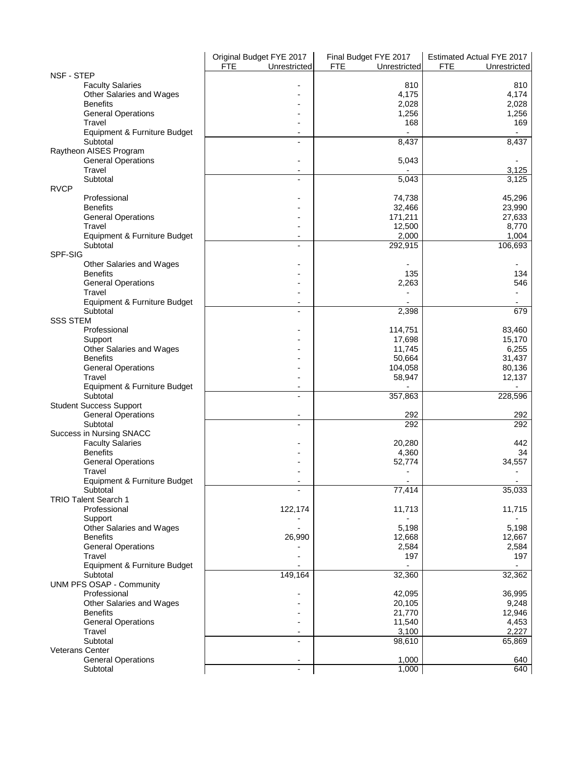|                                 | Original Budget FYE 2017   | Final Budget FYE 2017      | Estimated Actual FYE 2017  |
|---------------------------------|----------------------------|----------------------------|----------------------------|
|                                 | <b>FTE</b><br>Unrestricted | <b>FTE</b><br>Unrestricted | <b>FTE</b><br>Unrestricted |
| NSF - STEP                      |                            |                            |                            |
| <b>Faculty Salaries</b>         |                            | 810                        | 810                        |
| Other Salaries and Wages        |                            | 4,175                      | 4,174                      |
| <b>Benefits</b>                 |                            | 2,028                      | 2,028                      |
| <b>General Operations</b>       |                            | 1,256                      | 1,256                      |
| Travel                          |                            | 168                        | 169                        |
| Equipment & Furniture Budget    |                            |                            |                            |
| Subtotal                        |                            | 8,437                      | 8,437                      |
| Raytheon AISES Program          |                            |                            |                            |
| <b>General Operations</b>       |                            | 5,043                      |                            |
| Travel                          |                            |                            | 3,125                      |
| Subtotal                        |                            | 5,043                      | 3,125                      |
| <b>RVCP</b>                     |                            |                            |                            |
| Professional                    |                            | 74,738                     | 45,296                     |
| <b>Benefits</b>                 |                            | 32,466                     | 23,990                     |
| <b>General Operations</b>       |                            | 171,211                    | 27,633                     |
| Travel                          |                            | 12,500                     | 8,770                      |
| Equipment & Furniture Budget    |                            | 2,000                      | 1,004                      |
| Subtotal                        |                            | 292,915                    | 106,693                    |
| SPF-SIG                         |                            |                            |                            |
|                                 |                            |                            |                            |
| Other Salaries and Wages        |                            |                            |                            |
| <b>Benefits</b>                 |                            | 135                        | 134                        |
| <b>General Operations</b>       |                            | 2,263                      | 546                        |
| Travel                          |                            |                            |                            |
| Equipment & Furniture Budget    |                            |                            |                            |
| Subtotal                        |                            | 2,398                      | 679                        |
| <b>SSS STEM</b>                 |                            |                            |                            |
| Professional                    |                            | 114,751                    | 83,460                     |
| Support                         |                            | 17,698                     | 15,170                     |
| Other Salaries and Wages        |                            | 11,745                     | 6,255                      |
| <b>Benefits</b>                 |                            | 50,664                     | 31,437                     |
| <b>General Operations</b>       |                            | 104,058                    | 80,136                     |
| Travel                          |                            | 58,947                     | 12,137                     |
| Equipment & Furniture Budget    |                            |                            |                            |
| Subtotal                        |                            | 357,863                    | 228,596                    |
| <b>Student Success Support</b>  |                            |                            |                            |
| <b>General Operations</b>       |                            | 292                        | 292                        |
| Subtotal                        |                            | 292                        | 292                        |
| Success in Nursing SNACC        |                            |                            |                            |
| <b>Faculty Salaries</b>         |                            | 20,280                     | 442                        |
| <b>Benefits</b>                 |                            | 4,360                      | 34                         |
| <b>General Operations</b>       |                            | 52,774                     | 34,557                     |
| Travel                          |                            |                            |                            |
| Equipment & Furniture Budget    |                            |                            |                            |
| Subtotal                        |                            | 77,414                     | 35,033                     |
| <b>TRIO Talent Search 1</b>     |                            |                            |                            |
| Professional                    | 122,174                    | 11,713                     | 11,715                     |
|                                 |                            |                            |                            |
| Support                         |                            |                            |                            |
| Other Salaries and Wages        |                            | 5,198                      | 5,198                      |
| <b>Benefits</b>                 | 26,990                     | 12,668                     | 12,667                     |
| <b>General Operations</b>       |                            | 2,584                      | 2,584                      |
| Travel                          |                            | 197                        | 197                        |
| Equipment & Furniture Budget    |                            |                            |                            |
| Subtotal                        | 149,164                    | 32,360                     | 32,362                     |
| <b>UNM PFS OSAP - Community</b> |                            |                            |                            |
| Professional                    |                            | 42,095                     | 36,995                     |
| Other Salaries and Wages        |                            | 20,105                     | 9,248                      |
| <b>Benefits</b>                 |                            | 21,770                     | 12,946                     |
| <b>General Operations</b>       |                            | 11,540                     | 4,453                      |
| Travel                          |                            | 3,100                      | 2,227                      |
| Subtotal                        |                            | 98,610                     | 65,869                     |
| <b>Veterans Center</b>          |                            |                            |                            |
| <b>General Operations</b>       |                            | 1,000                      | 640                        |
| Subtotal                        |                            | 1,000                      | 640                        |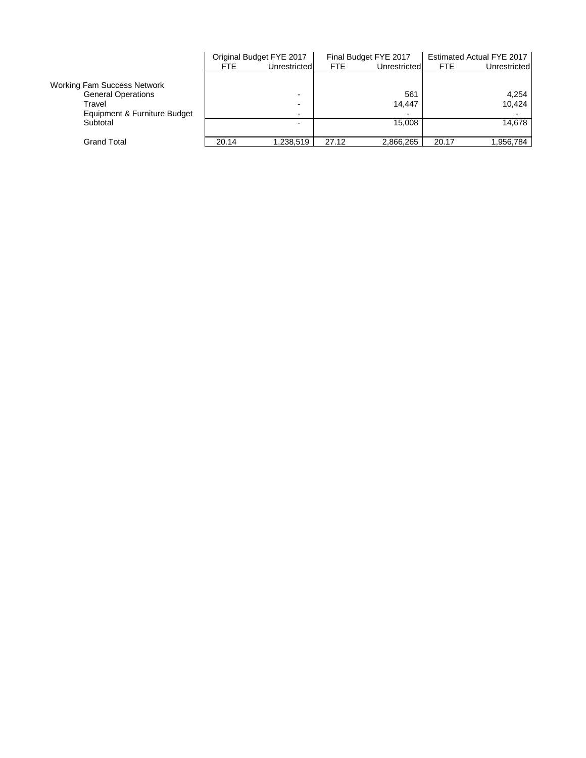|                                    |       | Original Budget FYE 2017 |            | Final Budget FYE 2017    |            | Estimated Actual FYE 2017 |
|------------------------------------|-------|--------------------------|------------|--------------------------|------------|---------------------------|
|                                    | FTE   | Unrestricted             | <b>FTE</b> | Unrestricted             | <b>FTE</b> | Unrestricted              |
|                                    |       |                          |            |                          |            |                           |
| <b>Working Fam Success Network</b> |       |                          |            |                          |            |                           |
| <b>General Operations</b>          |       | $\overline{\phantom{0}}$ |            | 561                      |            | 4.254                     |
| Travel                             |       | $\overline{\phantom{0}}$ |            | 14.447                   |            | 10.424                    |
| Equipment & Furniture Budget       |       | $\overline{\phantom{a}}$ |            | $\overline{\phantom{0}}$ |            |                           |
| Subtotal                           |       | -                        |            | 15.008                   |            | 14.678                    |
|                                    |       |                          |            |                          |            |                           |
| Grand Total                        | 20.14 | 1.238.519                | 27.12      | 2,866,265                | 20.17      | 1,956,784                 |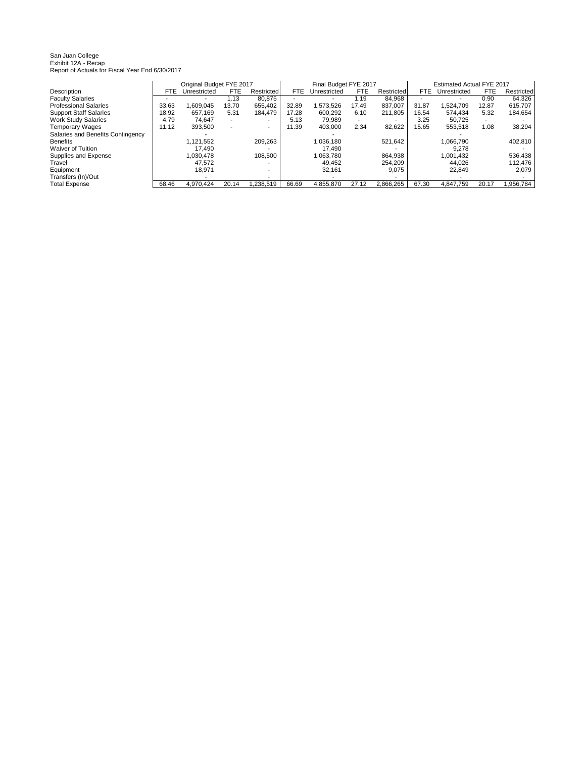San Juan College Exhibit 12A - Recap Report of Actuals for Fiscal Year End 6/30/2017

|                                   |            | Original Budget FYE 2017 |            |            |            | Final Budget FYE 2017 |            |            |       | Estimated Actual FYE 2017 |            |            |
|-----------------------------------|------------|--------------------------|------------|------------|------------|-----------------------|------------|------------|-------|---------------------------|------------|------------|
| Description                       | <b>FTE</b> | Unrestricted             | <b>FTE</b> | Restricted | <b>FTE</b> | Unrestricted          | <b>FTE</b> | Restricted | FTE   | Unrestricted              | <b>FTE</b> | Restricted |
| <b>Faculty Salaries</b>           |            |                          | 1.13       | 80.875     |            |                       | 1.19       | 84.968     |       |                           | 0.90       | 64.326     |
| <b>Professional Salaries</b>      | 33.63      | .609.045                 | 13.70      | 655.402    | 32.89      | 1.573.526             | 17.49      | 837.007    | 31.87 | .524.709                  | 12.87      | 615.707    |
| <b>Support Staff Salaries</b>     | 18.92      | 657.169                  | 5.31       | 184.479    | 17.28      | 600.292               | 6.10       | 211.805    | 16.54 | 574.434                   | 5.32       | 184.654    |
| <b>Work Study Salaries</b>        | 4.79       | 74.647                   |            |            | 5.13       | 79.989                | ۰.         |            | 3.25  | 50.725                    |            |            |
| <b>Temporary Wages</b>            | 11.12      | 393.500                  |            |            | 11.39      | 403.000               | 2.34       | 82.622     | 15.65 | 553.518                   | 1.08       | 38.294     |
| Salaries and Benefits Contingency |            |                          |            |            |            |                       |            |            |       |                           |            |            |
| <b>Benefits</b>                   |            | 1.121.552                |            | 209,263    |            | 1.036.180             |            | 521.642    |       | 1.066.790                 |            | 402,810    |
| Waiver of Tuition                 |            | 17.490                   |            |            |            | 17.490                |            |            |       | 9.278                     |            |            |
| Supplies and Expense              |            | 1.030.478                |            | 108.500    |            | 1.063.780             |            | 864.938    |       | 1.001.432                 |            | 536.438    |
| Travel                            |            | 47.572                   |            |            |            | 49.452                |            | 254.209    |       | 44.026                    |            | 112.476    |
| Equipment                         |            | 18.971                   |            | $\sim$     |            | 32.161                |            | 9.075      |       | 22.849                    |            | 2.079      |
| Transfers (In)/Out                |            |                          |            |            |            |                       |            |            |       |                           |            |            |
| <b>Total Expense</b>              | 68.46      | 4.970.424                | 20.14      | .238.519   | 66.69      | 4.855.870             | 27.12      | 2.866.265  | 67.30 | 4.847.759                 | 20.17      | .956.784   |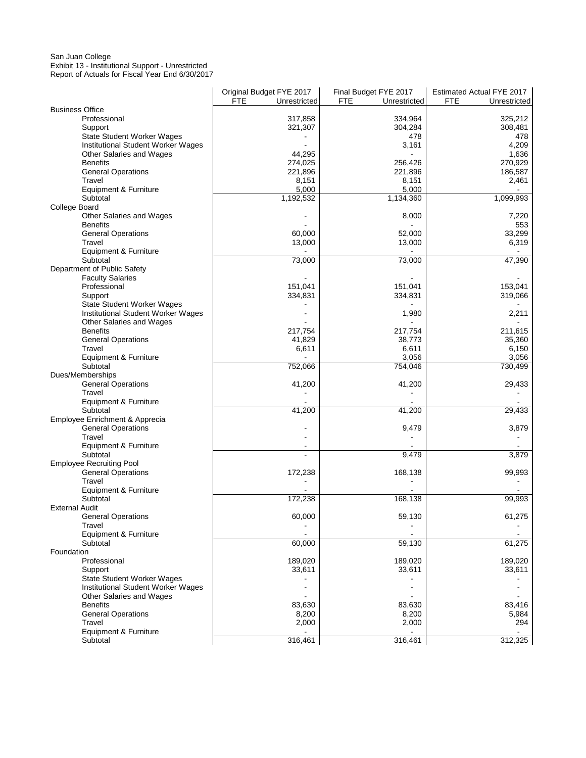#### San Juan College Exhibit 13 - Institutional Support - Unrestricted Report of Actuals for Fiscal Year End 6/30/2017

| <b>Business Office</b><br>Professional<br>317,858<br>334,964<br>325,212<br>Support<br>321,307<br>304,284<br>308,481<br>State Student Worker Wages<br>478<br>478<br>Institutional Student Worker Wages<br>3,161<br>4,209<br>Other Salaries and Wages<br>44,295<br>1,636<br>270,929<br><b>Benefits</b><br>274,025<br>256,426<br><b>General Operations</b><br>221,896<br>221,896<br>186,587<br>Travel<br>8,151<br>8,151<br>2,461<br>5,000<br>5,000<br>Equipment & Furniture<br>1,099,993<br>Subtotal<br>1,192,532<br>1,134,360<br>College Board<br>Other Salaries and Wages<br>8,000<br>7,220<br><b>Benefits</b><br>553<br><b>General Operations</b><br>60,000<br>52,000<br>33,299<br>6,319<br>Travel<br>13,000<br>13,000<br>Equipment & Furniture<br>47,390<br>Subtotal<br>73,000<br>73,000<br>Department of Public Safety<br><b>Faculty Salaries</b><br>153,041<br>Professional<br>151,041<br>151,041<br>334,831<br>334,831<br>319,066<br>Support<br>State Student Worker Wages<br>Institutional Student Worker Wages<br>1,980<br>2,211<br>Other Salaries and Wages<br><b>Benefits</b><br>217,754<br>217,754<br>211,615<br><b>General Operations</b><br>41,829<br>38,773<br>35,360<br>Travel<br>6,611<br>6,611<br>6,150<br>3,056<br>3,056<br>Equipment & Furniture<br>730,499<br>Subtotal<br>752,066<br>754,046<br>Dues/Memberships<br>29,433<br><b>General Operations</b><br>41,200<br>41,200<br>Travel<br>Equipment & Furniture<br>Subtotal<br>29,433<br>41,200<br>41,200<br>Employee Enrichment & Apprecia<br><b>General Operations</b><br>9,479<br>3,879<br>Travel<br>Equipment & Furniture<br>Subtotal<br>9,479<br>3,879<br><b>Employee Recruiting Pool</b><br><b>General Operations</b><br>168,138<br>99,993<br>172,238<br>Travel<br>Equipment & Furniture<br>$\blacksquare$<br>172,238<br>168,138<br>99,993<br>Subtotal<br><b>External Audit</b><br>60,000<br>59,130<br>61,275<br><b>General Operations</b><br>Travel<br>Equipment & Furniture<br>61,275<br>Subtotal<br>60,000<br>59,130<br>Foundation<br>189,020<br>189,020<br>Professional<br>189,020<br>Support<br>33,611<br>33,611<br>33,611<br><b>State Student Worker Wages</b><br>Institutional Student Worker Wages<br>Other Salaries and Wages<br><b>Benefits</b><br>83,630<br>83,630<br>83,416<br><b>General Operations</b><br>8,200<br>8,200<br>5,984<br>Travel<br>2,000<br>2,000<br>294<br>Equipment & Furniture<br>Subtotal | Original Budget FYE 2017   | Final Budget FYE 2017      | Estimated Actual FYE 2017  |
|------------------------------------------------------------------------------------------------------------------------------------------------------------------------------------------------------------------------------------------------------------------------------------------------------------------------------------------------------------------------------------------------------------------------------------------------------------------------------------------------------------------------------------------------------------------------------------------------------------------------------------------------------------------------------------------------------------------------------------------------------------------------------------------------------------------------------------------------------------------------------------------------------------------------------------------------------------------------------------------------------------------------------------------------------------------------------------------------------------------------------------------------------------------------------------------------------------------------------------------------------------------------------------------------------------------------------------------------------------------------------------------------------------------------------------------------------------------------------------------------------------------------------------------------------------------------------------------------------------------------------------------------------------------------------------------------------------------------------------------------------------------------------------------------------------------------------------------------------------------------------------------------------------------------------------------------------------------------------------------------------------------------------------------------------------------------------------------------------------------------------------------------------------------------------------------------------------------------------------------------------------------------------------------------------------------------------------------------------------------------------------------------|----------------------------|----------------------------|----------------------------|
|                                                                                                                                                                                                                                                                                                                                                                                                                                                                                                                                                                                                                                                                                                                                                                                                                                                                                                                                                                                                                                                                                                                                                                                                                                                                                                                                                                                                                                                                                                                                                                                                                                                                                                                                                                                                                                                                                                                                                                                                                                                                                                                                                                                                                                                                                                                                                                                                | <b>FTE</b><br>Unrestricted | <b>FTE</b><br>Unrestricted | <b>FTE</b><br>Unrestricted |
|                                                                                                                                                                                                                                                                                                                                                                                                                                                                                                                                                                                                                                                                                                                                                                                                                                                                                                                                                                                                                                                                                                                                                                                                                                                                                                                                                                                                                                                                                                                                                                                                                                                                                                                                                                                                                                                                                                                                                                                                                                                                                                                                                                                                                                                                                                                                                                                                |                            |                            |                            |
|                                                                                                                                                                                                                                                                                                                                                                                                                                                                                                                                                                                                                                                                                                                                                                                                                                                                                                                                                                                                                                                                                                                                                                                                                                                                                                                                                                                                                                                                                                                                                                                                                                                                                                                                                                                                                                                                                                                                                                                                                                                                                                                                                                                                                                                                                                                                                                                                |                            |                            |                            |
|                                                                                                                                                                                                                                                                                                                                                                                                                                                                                                                                                                                                                                                                                                                                                                                                                                                                                                                                                                                                                                                                                                                                                                                                                                                                                                                                                                                                                                                                                                                                                                                                                                                                                                                                                                                                                                                                                                                                                                                                                                                                                                                                                                                                                                                                                                                                                                                                |                            |                            |                            |
|                                                                                                                                                                                                                                                                                                                                                                                                                                                                                                                                                                                                                                                                                                                                                                                                                                                                                                                                                                                                                                                                                                                                                                                                                                                                                                                                                                                                                                                                                                                                                                                                                                                                                                                                                                                                                                                                                                                                                                                                                                                                                                                                                                                                                                                                                                                                                                                                |                            |                            |                            |
|                                                                                                                                                                                                                                                                                                                                                                                                                                                                                                                                                                                                                                                                                                                                                                                                                                                                                                                                                                                                                                                                                                                                                                                                                                                                                                                                                                                                                                                                                                                                                                                                                                                                                                                                                                                                                                                                                                                                                                                                                                                                                                                                                                                                                                                                                                                                                                                                |                            |                            |                            |
|                                                                                                                                                                                                                                                                                                                                                                                                                                                                                                                                                                                                                                                                                                                                                                                                                                                                                                                                                                                                                                                                                                                                                                                                                                                                                                                                                                                                                                                                                                                                                                                                                                                                                                                                                                                                                                                                                                                                                                                                                                                                                                                                                                                                                                                                                                                                                                                                |                            |                            |                            |
|                                                                                                                                                                                                                                                                                                                                                                                                                                                                                                                                                                                                                                                                                                                                                                                                                                                                                                                                                                                                                                                                                                                                                                                                                                                                                                                                                                                                                                                                                                                                                                                                                                                                                                                                                                                                                                                                                                                                                                                                                                                                                                                                                                                                                                                                                                                                                                                                |                            |                            |                            |
|                                                                                                                                                                                                                                                                                                                                                                                                                                                                                                                                                                                                                                                                                                                                                                                                                                                                                                                                                                                                                                                                                                                                                                                                                                                                                                                                                                                                                                                                                                                                                                                                                                                                                                                                                                                                                                                                                                                                                                                                                                                                                                                                                                                                                                                                                                                                                                                                |                            |                            |                            |
|                                                                                                                                                                                                                                                                                                                                                                                                                                                                                                                                                                                                                                                                                                                                                                                                                                                                                                                                                                                                                                                                                                                                                                                                                                                                                                                                                                                                                                                                                                                                                                                                                                                                                                                                                                                                                                                                                                                                                                                                                                                                                                                                                                                                                                                                                                                                                                                                |                            |                            |                            |
|                                                                                                                                                                                                                                                                                                                                                                                                                                                                                                                                                                                                                                                                                                                                                                                                                                                                                                                                                                                                                                                                                                                                                                                                                                                                                                                                                                                                                                                                                                                                                                                                                                                                                                                                                                                                                                                                                                                                                                                                                                                                                                                                                                                                                                                                                                                                                                                                |                            |                            |                            |
|                                                                                                                                                                                                                                                                                                                                                                                                                                                                                                                                                                                                                                                                                                                                                                                                                                                                                                                                                                                                                                                                                                                                                                                                                                                                                                                                                                                                                                                                                                                                                                                                                                                                                                                                                                                                                                                                                                                                                                                                                                                                                                                                                                                                                                                                                                                                                                                                |                            |                            |                            |
|                                                                                                                                                                                                                                                                                                                                                                                                                                                                                                                                                                                                                                                                                                                                                                                                                                                                                                                                                                                                                                                                                                                                                                                                                                                                                                                                                                                                                                                                                                                                                                                                                                                                                                                                                                                                                                                                                                                                                                                                                                                                                                                                                                                                                                                                                                                                                                                                |                            |                            |                            |
|                                                                                                                                                                                                                                                                                                                                                                                                                                                                                                                                                                                                                                                                                                                                                                                                                                                                                                                                                                                                                                                                                                                                                                                                                                                                                                                                                                                                                                                                                                                                                                                                                                                                                                                                                                                                                                                                                                                                                                                                                                                                                                                                                                                                                                                                                                                                                                                                |                            |                            |                            |
|                                                                                                                                                                                                                                                                                                                                                                                                                                                                                                                                                                                                                                                                                                                                                                                                                                                                                                                                                                                                                                                                                                                                                                                                                                                                                                                                                                                                                                                                                                                                                                                                                                                                                                                                                                                                                                                                                                                                                                                                                                                                                                                                                                                                                                                                                                                                                                                                |                            |                            |                            |
|                                                                                                                                                                                                                                                                                                                                                                                                                                                                                                                                                                                                                                                                                                                                                                                                                                                                                                                                                                                                                                                                                                                                                                                                                                                                                                                                                                                                                                                                                                                                                                                                                                                                                                                                                                                                                                                                                                                                                                                                                                                                                                                                                                                                                                                                                                                                                                                                |                            |                            |                            |
|                                                                                                                                                                                                                                                                                                                                                                                                                                                                                                                                                                                                                                                                                                                                                                                                                                                                                                                                                                                                                                                                                                                                                                                                                                                                                                                                                                                                                                                                                                                                                                                                                                                                                                                                                                                                                                                                                                                                                                                                                                                                                                                                                                                                                                                                                                                                                                                                |                            |                            |                            |
|                                                                                                                                                                                                                                                                                                                                                                                                                                                                                                                                                                                                                                                                                                                                                                                                                                                                                                                                                                                                                                                                                                                                                                                                                                                                                                                                                                                                                                                                                                                                                                                                                                                                                                                                                                                                                                                                                                                                                                                                                                                                                                                                                                                                                                                                                                                                                                                                |                            |                            |                            |
|                                                                                                                                                                                                                                                                                                                                                                                                                                                                                                                                                                                                                                                                                                                                                                                                                                                                                                                                                                                                                                                                                                                                                                                                                                                                                                                                                                                                                                                                                                                                                                                                                                                                                                                                                                                                                                                                                                                                                                                                                                                                                                                                                                                                                                                                                                                                                                                                |                            |                            |                            |
|                                                                                                                                                                                                                                                                                                                                                                                                                                                                                                                                                                                                                                                                                                                                                                                                                                                                                                                                                                                                                                                                                                                                                                                                                                                                                                                                                                                                                                                                                                                                                                                                                                                                                                                                                                                                                                                                                                                                                                                                                                                                                                                                                                                                                                                                                                                                                                                                |                            |                            |                            |
|                                                                                                                                                                                                                                                                                                                                                                                                                                                                                                                                                                                                                                                                                                                                                                                                                                                                                                                                                                                                                                                                                                                                                                                                                                                                                                                                                                                                                                                                                                                                                                                                                                                                                                                                                                                                                                                                                                                                                                                                                                                                                                                                                                                                                                                                                                                                                                                                |                            |                            |                            |
|                                                                                                                                                                                                                                                                                                                                                                                                                                                                                                                                                                                                                                                                                                                                                                                                                                                                                                                                                                                                                                                                                                                                                                                                                                                                                                                                                                                                                                                                                                                                                                                                                                                                                                                                                                                                                                                                                                                                                                                                                                                                                                                                                                                                                                                                                                                                                                                                |                            |                            |                            |
|                                                                                                                                                                                                                                                                                                                                                                                                                                                                                                                                                                                                                                                                                                                                                                                                                                                                                                                                                                                                                                                                                                                                                                                                                                                                                                                                                                                                                                                                                                                                                                                                                                                                                                                                                                                                                                                                                                                                                                                                                                                                                                                                                                                                                                                                                                                                                                                                |                            |                            |                            |
|                                                                                                                                                                                                                                                                                                                                                                                                                                                                                                                                                                                                                                                                                                                                                                                                                                                                                                                                                                                                                                                                                                                                                                                                                                                                                                                                                                                                                                                                                                                                                                                                                                                                                                                                                                                                                                                                                                                                                                                                                                                                                                                                                                                                                                                                                                                                                                                                |                            |                            |                            |
|                                                                                                                                                                                                                                                                                                                                                                                                                                                                                                                                                                                                                                                                                                                                                                                                                                                                                                                                                                                                                                                                                                                                                                                                                                                                                                                                                                                                                                                                                                                                                                                                                                                                                                                                                                                                                                                                                                                                                                                                                                                                                                                                                                                                                                                                                                                                                                                                |                            |                            |                            |
|                                                                                                                                                                                                                                                                                                                                                                                                                                                                                                                                                                                                                                                                                                                                                                                                                                                                                                                                                                                                                                                                                                                                                                                                                                                                                                                                                                                                                                                                                                                                                                                                                                                                                                                                                                                                                                                                                                                                                                                                                                                                                                                                                                                                                                                                                                                                                                                                |                            |                            |                            |
|                                                                                                                                                                                                                                                                                                                                                                                                                                                                                                                                                                                                                                                                                                                                                                                                                                                                                                                                                                                                                                                                                                                                                                                                                                                                                                                                                                                                                                                                                                                                                                                                                                                                                                                                                                                                                                                                                                                                                                                                                                                                                                                                                                                                                                                                                                                                                                                                |                            |                            |                            |
|                                                                                                                                                                                                                                                                                                                                                                                                                                                                                                                                                                                                                                                                                                                                                                                                                                                                                                                                                                                                                                                                                                                                                                                                                                                                                                                                                                                                                                                                                                                                                                                                                                                                                                                                                                                                                                                                                                                                                                                                                                                                                                                                                                                                                                                                                                                                                                                                |                            |                            |                            |
|                                                                                                                                                                                                                                                                                                                                                                                                                                                                                                                                                                                                                                                                                                                                                                                                                                                                                                                                                                                                                                                                                                                                                                                                                                                                                                                                                                                                                                                                                                                                                                                                                                                                                                                                                                                                                                                                                                                                                                                                                                                                                                                                                                                                                                                                                                                                                                                                |                            |                            |                            |
|                                                                                                                                                                                                                                                                                                                                                                                                                                                                                                                                                                                                                                                                                                                                                                                                                                                                                                                                                                                                                                                                                                                                                                                                                                                                                                                                                                                                                                                                                                                                                                                                                                                                                                                                                                                                                                                                                                                                                                                                                                                                                                                                                                                                                                                                                                                                                                                                |                            |                            |                            |
|                                                                                                                                                                                                                                                                                                                                                                                                                                                                                                                                                                                                                                                                                                                                                                                                                                                                                                                                                                                                                                                                                                                                                                                                                                                                                                                                                                                                                                                                                                                                                                                                                                                                                                                                                                                                                                                                                                                                                                                                                                                                                                                                                                                                                                                                                                                                                                                                |                            |                            |                            |
|                                                                                                                                                                                                                                                                                                                                                                                                                                                                                                                                                                                                                                                                                                                                                                                                                                                                                                                                                                                                                                                                                                                                                                                                                                                                                                                                                                                                                                                                                                                                                                                                                                                                                                                                                                                                                                                                                                                                                                                                                                                                                                                                                                                                                                                                                                                                                                                                |                            |                            |                            |
|                                                                                                                                                                                                                                                                                                                                                                                                                                                                                                                                                                                                                                                                                                                                                                                                                                                                                                                                                                                                                                                                                                                                                                                                                                                                                                                                                                                                                                                                                                                                                                                                                                                                                                                                                                                                                                                                                                                                                                                                                                                                                                                                                                                                                                                                                                                                                                                                |                            |                            |                            |
|                                                                                                                                                                                                                                                                                                                                                                                                                                                                                                                                                                                                                                                                                                                                                                                                                                                                                                                                                                                                                                                                                                                                                                                                                                                                                                                                                                                                                                                                                                                                                                                                                                                                                                                                                                                                                                                                                                                                                                                                                                                                                                                                                                                                                                                                                                                                                                                                |                            |                            |                            |
|                                                                                                                                                                                                                                                                                                                                                                                                                                                                                                                                                                                                                                                                                                                                                                                                                                                                                                                                                                                                                                                                                                                                                                                                                                                                                                                                                                                                                                                                                                                                                                                                                                                                                                                                                                                                                                                                                                                                                                                                                                                                                                                                                                                                                                                                                                                                                                                                |                            |                            |                            |
|                                                                                                                                                                                                                                                                                                                                                                                                                                                                                                                                                                                                                                                                                                                                                                                                                                                                                                                                                                                                                                                                                                                                                                                                                                                                                                                                                                                                                                                                                                                                                                                                                                                                                                                                                                                                                                                                                                                                                                                                                                                                                                                                                                                                                                                                                                                                                                                                |                            |                            |                            |
|                                                                                                                                                                                                                                                                                                                                                                                                                                                                                                                                                                                                                                                                                                                                                                                                                                                                                                                                                                                                                                                                                                                                                                                                                                                                                                                                                                                                                                                                                                                                                                                                                                                                                                                                                                                                                                                                                                                                                                                                                                                                                                                                                                                                                                                                                                                                                                                                |                            |                            |                            |
|                                                                                                                                                                                                                                                                                                                                                                                                                                                                                                                                                                                                                                                                                                                                                                                                                                                                                                                                                                                                                                                                                                                                                                                                                                                                                                                                                                                                                                                                                                                                                                                                                                                                                                                                                                                                                                                                                                                                                                                                                                                                                                                                                                                                                                                                                                                                                                                                |                            |                            |                            |
|                                                                                                                                                                                                                                                                                                                                                                                                                                                                                                                                                                                                                                                                                                                                                                                                                                                                                                                                                                                                                                                                                                                                                                                                                                                                                                                                                                                                                                                                                                                                                                                                                                                                                                                                                                                                                                                                                                                                                                                                                                                                                                                                                                                                                                                                                                                                                                                                |                            |                            |                            |
|                                                                                                                                                                                                                                                                                                                                                                                                                                                                                                                                                                                                                                                                                                                                                                                                                                                                                                                                                                                                                                                                                                                                                                                                                                                                                                                                                                                                                                                                                                                                                                                                                                                                                                                                                                                                                                                                                                                                                                                                                                                                                                                                                                                                                                                                                                                                                                                                |                            |                            |                            |
|                                                                                                                                                                                                                                                                                                                                                                                                                                                                                                                                                                                                                                                                                                                                                                                                                                                                                                                                                                                                                                                                                                                                                                                                                                                                                                                                                                                                                                                                                                                                                                                                                                                                                                                                                                                                                                                                                                                                                                                                                                                                                                                                                                                                                                                                                                                                                                                                |                            |                            |                            |
|                                                                                                                                                                                                                                                                                                                                                                                                                                                                                                                                                                                                                                                                                                                                                                                                                                                                                                                                                                                                                                                                                                                                                                                                                                                                                                                                                                                                                                                                                                                                                                                                                                                                                                                                                                                                                                                                                                                                                                                                                                                                                                                                                                                                                                                                                                                                                                                                |                            |                            |                            |
|                                                                                                                                                                                                                                                                                                                                                                                                                                                                                                                                                                                                                                                                                                                                                                                                                                                                                                                                                                                                                                                                                                                                                                                                                                                                                                                                                                                                                                                                                                                                                                                                                                                                                                                                                                                                                                                                                                                                                                                                                                                                                                                                                                                                                                                                                                                                                                                                |                            |                            |                            |
|                                                                                                                                                                                                                                                                                                                                                                                                                                                                                                                                                                                                                                                                                                                                                                                                                                                                                                                                                                                                                                                                                                                                                                                                                                                                                                                                                                                                                                                                                                                                                                                                                                                                                                                                                                                                                                                                                                                                                                                                                                                                                                                                                                                                                                                                                                                                                                                                |                            |                            |                            |
|                                                                                                                                                                                                                                                                                                                                                                                                                                                                                                                                                                                                                                                                                                                                                                                                                                                                                                                                                                                                                                                                                                                                                                                                                                                                                                                                                                                                                                                                                                                                                                                                                                                                                                                                                                                                                                                                                                                                                                                                                                                                                                                                                                                                                                                                                                                                                                                                |                            |                            |                            |
|                                                                                                                                                                                                                                                                                                                                                                                                                                                                                                                                                                                                                                                                                                                                                                                                                                                                                                                                                                                                                                                                                                                                                                                                                                                                                                                                                                                                                                                                                                                                                                                                                                                                                                                                                                                                                                                                                                                                                                                                                                                                                                                                                                                                                                                                                                                                                                                                |                            |                            |                            |
|                                                                                                                                                                                                                                                                                                                                                                                                                                                                                                                                                                                                                                                                                                                                                                                                                                                                                                                                                                                                                                                                                                                                                                                                                                                                                                                                                                                                                                                                                                                                                                                                                                                                                                                                                                                                                                                                                                                                                                                                                                                                                                                                                                                                                                                                                                                                                                                                |                            |                            |                            |
|                                                                                                                                                                                                                                                                                                                                                                                                                                                                                                                                                                                                                                                                                                                                                                                                                                                                                                                                                                                                                                                                                                                                                                                                                                                                                                                                                                                                                                                                                                                                                                                                                                                                                                                                                                                                                                                                                                                                                                                                                                                                                                                                                                                                                                                                                                                                                                                                |                            |                            |                            |
|                                                                                                                                                                                                                                                                                                                                                                                                                                                                                                                                                                                                                                                                                                                                                                                                                                                                                                                                                                                                                                                                                                                                                                                                                                                                                                                                                                                                                                                                                                                                                                                                                                                                                                                                                                                                                                                                                                                                                                                                                                                                                                                                                                                                                                                                                                                                                                                                |                            |                            |                            |
|                                                                                                                                                                                                                                                                                                                                                                                                                                                                                                                                                                                                                                                                                                                                                                                                                                                                                                                                                                                                                                                                                                                                                                                                                                                                                                                                                                                                                                                                                                                                                                                                                                                                                                                                                                                                                                                                                                                                                                                                                                                                                                                                                                                                                                                                                                                                                                                                |                            |                            |                            |
|                                                                                                                                                                                                                                                                                                                                                                                                                                                                                                                                                                                                                                                                                                                                                                                                                                                                                                                                                                                                                                                                                                                                                                                                                                                                                                                                                                                                                                                                                                                                                                                                                                                                                                                                                                                                                                                                                                                                                                                                                                                                                                                                                                                                                                                                                                                                                                                                |                            |                            |                            |
|                                                                                                                                                                                                                                                                                                                                                                                                                                                                                                                                                                                                                                                                                                                                                                                                                                                                                                                                                                                                                                                                                                                                                                                                                                                                                                                                                                                                                                                                                                                                                                                                                                                                                                                                                                                                                                                                                                                                                                                                                                                                                                                                                                                                                                                                                                                                                                                                |                            |                            |                            |
|                                                                                                                                                                                                                                                                                                                                                                                                                                                                                                                                                                                                                                                                                                                                                                                                                                                                                                                                                                                                                                                                                                                                                                                                                                                                                                                                                                                                                                                                                                                                                                                                                                                                                                                                                                                                                                                                                                                                                                                                                                                                                                                                                                                                                                                                                                                                                                                                |                            |                            |                            |
|                                                                                                                                                                                                                                                                                                                                                                                                                                                                                                                                                                                                                                                                                                                                                                                                                                                                                                                                                                                                                                                                                                                                                                                                                                                                                                                                                                                                                                                                                                                                                                                                                                                                                                                                                                                                                                                                                                                                                                                                                                                                                                                                                                                                                                                                                                                                                                                                |                            |                            |                            |
|                                                                                                                                                                                                                                                                                                                                                                                                                                                                                                                                                                                                                                                                                                                                                                                                                                                                                                                                                                                                                                                                                                                                                                                                                                                                                                                                                                                                                                                                                                                                                                                                                                                                                                                                                                                                                                                                                                                                                                                                                                                                                                                                                                                                                                                                                                                                                                                                |                            |                            |                            |
|                                                                                                                                                                                                                                                                                                                                                                                                                                                                                                                                                                                                                                                                                                                                                                                                                                                                                                                                                                                                                                                                                                                                                                                                                                                                                                                                                                                                                                                                                                                                                                                                                                                                                                                                                                                                                                                                                                                                                                                                                                                                                                                                                                                                                                                                                                                                                                                                |                            |                            |                            |
|                                                                                                                                                                                                                                                                                                                                                                                                                                                                                                                                                                                                                                                                                                                                                                                                                                                                                                                                                                                                                                                                                                                                                                                                                                                                                                                                                                                                                                                                                                                                                                                                                                                                                                                                                                                                                                                                                                                                                                                                                                                                                                                                                                                                                                                                                                                                                                                                |                            |                            |                            |
|                                                                                                                                                                                                                                                                                                                                                                                                                                                                                                                                                                                                                                                                                                                                                                                                                                                                                                                                                                                                                                                                                                                                                                                                                                                                                                                                                                                                                                                                                                                                                                                                                                                                                                                                                                                                                                                                                                                                                                                                                                                                                                                                                                                                                                                                                                                                                                                                | 316,461                    | 316,461                    | 312,325                    |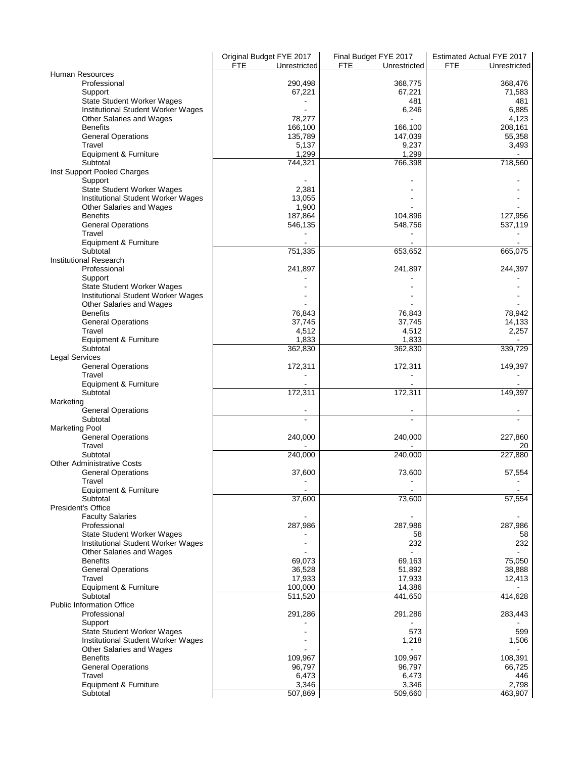|                                        | Original Budget FYE 2017   | Final Budget FYE 2017      | Estimated Actual FYE 2017 |
|----------------------------------------|----------------------------|----------------------------|---------------------------|
|                                        | <b>FTE</b><br>Unrestricted | <b>FTE</b><br>Unrestricted | FTE<br>Unrestricted       |
| Human Resources                        |                            |                            |                           |
| Professional                           | 290,498                    | 368,775                    | 368,476                   |
| Support                                | 67,221                     | 67,221                     | 71,583                    |
| <b>State Student Worker Wages</b>      |                            | 481                        | 481                       |
| Institutional Student Worker Wages     |                            | 6,246                      | 6,885                     |
| Other Salaries and Wages               | 78,277                     |                            | 4,123                     |
| <b>Benefits</b>                        | 166,100                    | 166,100                    | 208,161                   |
| <b>General Operations</b>              | 135,789                    | 147,039                    | 55,358                    |
| Travel                                 | 5,137                      | 9,237                      | 3,493                     |
| Equipment & Furniture                  | 1.299                      | 1,299                      |                           |
| Subtotal                               | 744,321                    | 766,398                    | 718,560                   |
| Inst Support Pooled Charges            |                            |                            |                           |
| Support                                |                            |                            |                           |
| <b>State Student Worker Wages</b>      | 2,381                      |                            |                           |
| Institutional Student Worker Wages     | 13,055                     |                            |                           |
| Other Salaries and Wages               | 1,900                      |                            |                           |
| <b>Benefits</b>                        | 187,864                    | 104,896                    | 127,956                   |
| <b>General Operations</b>              | 546,135                    | 548,756                    | 537,119                   |
| Travel                                 |                            |                            |                           |
| Equipment & Furniture                  |                            |                            |                           |
| Subtotal                               | 751,335                    | 653,652                    | 665,075                   |
| <b>Institutional Research</b>          |                            |                            |                           |
| Professional                           | 241,897                    | 241,897                    | 244,397                   |
| Support                                |                            |                            |                           |
| <b>State Student Worker Wages</b>      |                            |                            |                           |
| Institutional Student Worker Wages     |                            |                            |                           |
| Other Salaries and Wages               |                            |                            |                           |
| <b>Benefits</b>                        | 76,843                     | 76,843                     | 78,942                    |
| <b>General Operations</b>              | 37,745                     | 37,745                     | 14,133                    |
| Travel                                 | 4,512                      | 4,512                      | 2,257                     |
| Equipment & Furniture                  | 1,833                      | 1,833                      |                           |
| Subtotal                               | 362,830                    | 362,830                    | 339,729                   |
| <b>Legal Services</b>                  |                            |                            |                           |
| <b>General Operations</b>              | 172,311                    | 172,311                    | 149,397                   |
| Travel                                 |                            |                            |                           |
| Equipment & Furniture<br>Subtotal      | 172,311                    | 172,311                    | 149,397                   |
|                                        |                            |                            |                           |
| Marketing<br><b>General Operations</b> |                            |                            |                           |
| Subtotal                               |                            |                            |                           |
| <b>Marketing Pool</b>                  |                            |                            |                           |
| <b>General Operations</b>              | 240,000                    | 240,000                    | 227,860                   |
| Travel                                 |                            |                            | 20                        |
| Subtotal                               | 240,000                    | 240,000                    | 227,880                   |
| <b>Other Administrative Costs</b>      |                            |                            |                           |
| <b>General Operations</b>              | 37,600                     | 73,600                     | 57,554                    |
| Travel                                 |                            |                            |                           |
| Equipment & Furniture                  |                            | ٠                          |                           |
| Subtotal                               | 37,600                     | 73,600                     | 57,554                    |
| President's Office                     |                            |                            |                           |
| <b>Faculty Salaries</b>                |                            |                            |                           |
| Professional                           | 287,986                    | 287,986                    | 287,986                   |
| <b>State Student Worker Wages</b>      |                            | 58                         | 58                        |
| Institutional Student Worker Wages     |                            | 232                        | 232                       |
| Other Salaries and Wages               |                            |                            |                           |
| <b>Benefits</b>                        | 69,073                     | 69,163                     | 75,050                    |
| <b>General Operations</b>              | 36,528                     | 51,892                     | 38,888                    |
| Travel                                 | 17,933                     | 17,933                     | 12,413                    |
| Equipment & Furniture                  | 100,000                    | 14,386                     |                           |
| Subtotal                               | 511,520                    | 441,650                    | 414,628                   |
| <b>Public Information Office</b>       |                            |                            |                           |
| Professional                           | 291,286                    | 291,286                    | 283,443                   |
| Support                                |                            |                            |                           |
| <b>State Student Worker Wages</b>      |                            | 573                        | 599                       |
| Institutional Student Worker Wages     |                            | 1,218                      | 1,506                     |
| Other Salaries and Wages               |                            |                            |                           |
| <b>Benefits</b>                        | 109,967                    | 109,967                    | 108,391                   |
| <b>General Operations</b>              | 96,797                     | 96,797                     | 66,725                    |
| Travel                                 | 6,473                      | 6,473                      | 446                       |
| Equipment & Furniture                  | 3,346                      | 3,346                      | 2,798                     |
| Subtotal                               | 507,869                    | 509,660                    | 463,907                   |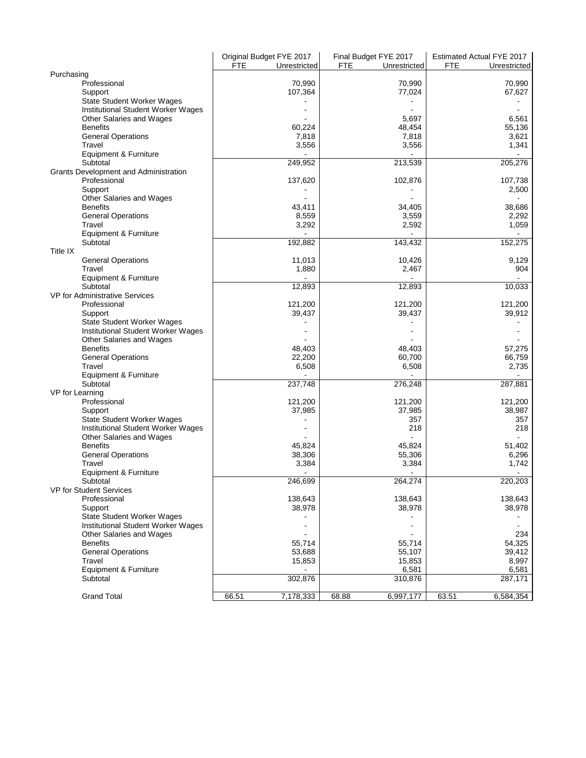|                                              | Original Budget FYE 2017<br><b>FTE</b> | Unrestricted      | Final Budget FYE 2017<br><b>FTE</b><br>Unrestricted | Estimated Actual FYE 2017<br>FTE<br>Unrestricted |
|----------------------------------------------|----------------------------------------|-------------------|-----------------------------------------------------|--------------------------------------------------|
| Purchasing                                   |                                        |                   |                                                     |                                                  |
| Professional                                 |                                        | 70,990            | 70,990                                              | 70,990                                           |
| Support                                      |                                        | 107,364           | 77,024                                              | 67,627                                           |
| <b>State Student Worker Wages</b>            |                                        |                   |                                                     |                                                  |
| Institutional Student Worker Wages           |                                        |                   |                                                     |                                                  |
| Other Salaries and Wages                     |                                        |                   | 5,697                                               | 6,561                                            |
| <b>Benefits</b>                              |                                        | 60,224            | 48,454                                              | 55,136                                           |
| <b>General Operations</b>                    |                                        | 7,818             | 7,818                                               | 3,621                                            |
| Travel                                       |                                        | 3,556             | 3,556                                               | 1,341                                            |
| Equipment & Furniture                        |                                        |                   |                                                     |                                                  |
| Subtotal                                     |                                        | 249,952           | 213,539                                             | 205,276                                          |
| <b>Grants Development and Administration</b> |                                        |                   |                                                     |                                                  |
| Professional                                 |                                        | 137,620           | 102,876                                             | 107,738                                          |
| Support                                      |                                        |                   |                                                     | 2,500                                            |
| Other Salaries and Wages<br><b>Benefits</b>  |                                        | 43,411            |                                                     | 38,686                                           |
| <b>General Operations</b>                    |                                        | 8,559             | 34,405<br>3,559                                     | 2,292                                            |
| Travel                                       |                                        | 3,292             | 2,592                                               | 1,059                                            |
| Equipment & Furniture                        |                                        |                   |                                                     |                                                  |
| Subtotal                                     |                                        | 192,882           | 143,432                                             | 152,275                                          |
| Title IX                                     |                                        |                   |                                                     |                                                  |
| <b>General Operations</b>                    |                                        | 11,013            | 10,426                                              | 9,129                                            |
| Travel                                       |                                        | 1,880             | 2,467                                               | 904                                              |
| Equipment & Furniture                        |                                        |                   |                                                     |                                                  |
| Subtotal                                     |                                        | 12.893            | 12,893                                              | 10,033                                           |
| VP for Administrative Services               |                                        |                   |                                                     |                                                  |
| Professional                                 |                                        | 121,200           | 121,200                                             | 121,200                                          |
| Support                                      |                                        | 39,437            | 39,437                                              | 39,912                                           |
| <b>State Student Worker Wages</b>            |                                        |                   |                                                     |                                                  |
| Institutional Student Worker Wages           |                                        |                   |                                                     |                                                  |
| Other Salaries and Wages                     |                                        |                   |                                                     |                                                  |
| <b>Benefits</b>                              |                                        | 48,403            | 48,403                                              | 57,275                                           |
| <b>General Operations</b><br>Travel          |                                        | 22,200            | 60,700                                              | 66,759<br>2,735                                  |
| Equipment & Furniture                        |                                        | 6,508             | 6,508                                               |                                                  |
| Subtotal                                     |                                        | 237,748           | 276,248                                             | 287,881                                          |
| VP for Learning                              |                                        |                   |                                                     |                                                  |
| Professional                                 |                                        | 121,200           | 121,200                                             | 121,200                                          |
| Support                                      |                                        | 37,985            | 37,985                                              | 38,987                                           |
| <b>State Student Worker Wages</b>            |                                        |                   | 357                                                 | 357                                              |
| Institutional Student Worker Wages           |                                        |                   | 218                                                 | 218                                              |
| Other Salaries and Wages                     |                                        |                   |                                                     |                                                  |
| <b>Benefits</b>                              |                                        | 45,824            | 45,824                                              | 51,402                                           |
| <b>General Operations</b>                    |                                        | 38,306            | 55,306                                              | 6,296                                            |
| Travel                                       |                                        | 3,384             | 3,384                                               | 1,742                                            |
| Equipment & Furniture                        |                                        |                   |                                                     |                                                  |
| Subtotal                                     |                                        | 246,699           | 264,274                                             | 220,203                                          |
| VP for Student Services                      |                                        |                   |                                                     |                                                  |
| Professional                                 |                                        | 138,643<br>38,978 | 138,643<br>38,978                                   | 138,643                                          |
| Support<br><b>State Student Worker Wages</b> |                                        |                   |                                                     | 38,978                                           |
| Institutional Student Worker Wages           |                                        |                   |                                                     |                                                  |
| Other Salaries and Wages                     |                                        |                   |                                                     | 234                                              |
| <b>Benefits</b>                              |                                        | 55,714            | 55,714                                              | 54,325                                           |
| <b>General Operations</b>                    |                                        | 53,688            | 55,107                                              | 39,412                                           |
| Travel                                       |                                        | 15,853            | 15,853                                              | 8,997                                            |
| Equipment & Furniture                        |                                        |                   | 6,581                                               | 6,581                                            |
| Subtotal                                     |                                        | 302,876           | 310,876                                             | 287,171                                          |
|                                              |                                        |                   |                                                     |                                                  |
| <b>Grand Total</b>                           | 66.51                                  | 7,178,333         | 68.88<br>6,997,177                                  | 63.51<br>6,584,354                               |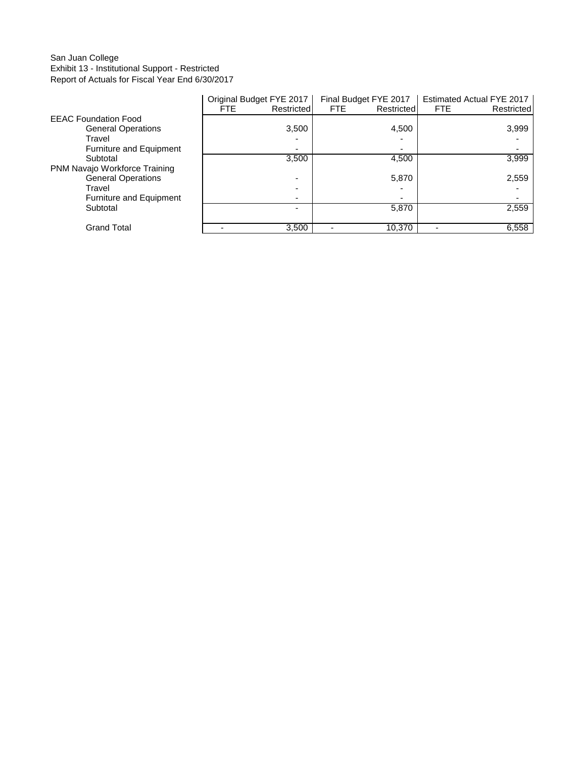## San Juan College Exhibit 13 - Institutional Support - Restricted Report of Actuals for Fiscal Year End 6/30/2017

|                               | Original Budget FYE 2017 |            | Final Budget FYE 2017 |            | <b>Estimated Actual FYE 2017</b> |            |
|-------------------------------|--------------------------|------------|-----------------------|------------|----------------------------------|------------|
|                               | FTE.                     | Restricted | FTE.                  | Restricted | <b>FTE</b>                       | Restricted |
| <b>EEAC Foundation Food</b>   |                          |            |                       |            |                                  |            |
| <b>General Operations</b>     |                          | 3,500      |                       | 4,500      |                                  | 3,999      |
| Travel                        |                          |            |                       |            |                                  |            |
| Furniture and Equipment       |                          |            |                       |            |                                  |            |
| Subtotal                      |                          | 3,500      |                       | 4,500      |                                  | 3,999      |
| PNM Navajo Workforce Training |                          |            |                       |            |                                  |            |
| <b>General Operations</b>     |                          |            |                       | 5,870      |                                  | 2,559      |
| Travel                        |                          |            |                       |            |                                  |            |
| Furniture and Equipment       |                          |            |                       |            |                                  |            |
| Subtotal                      |                          |            |                       | 5,870      |                                  | 2,559      |
|                               |                          |            |                       |            |                                  |            |
| <b>Grand Total</b>            |                          | 3,500      |                       | 10,370     |                                  | 6,558      |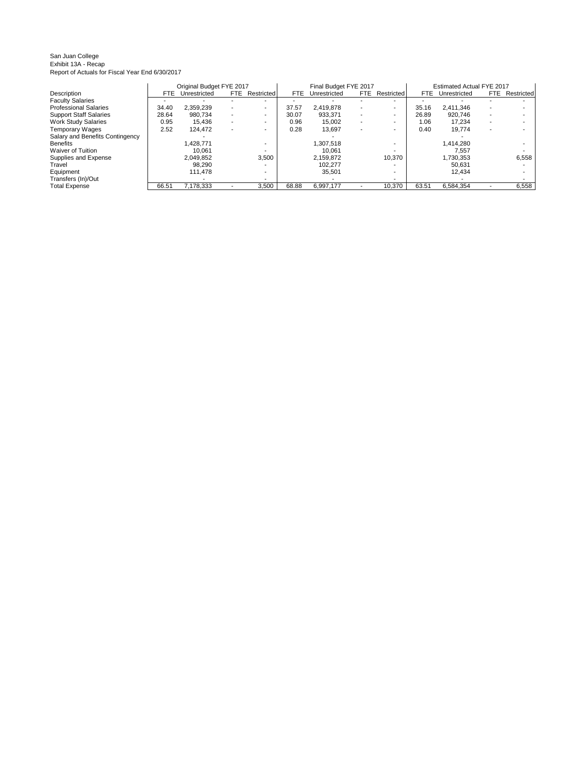#### San Juan College Exhibit 13A - Recap Report of Actuals for Fiscal Year End 6/30/2017

|                                 |       | Original Budget FYE 2017 |      |            |       | Final Budget FYE 2017 |      |            |       | Estimated Actual FYE 2017 |      |            |
|---------------------------------|-------|--------------------------|------|------------|-------|-----------------------|------|------------|-------|---------------------------|------|------------|
| Description                     | FTE.  | Unrestricted             | FTE. | Restricted | FTE   | Unrestricted          | FTE. | Restricted | FTE.  | Unrestricted              | FTE. | Restricted |
| <b>Faculty Salaries</b>         |       |                          |      |            |       |                       |      |            |       |                           |      |            |
| <b>Professional Salaries</b>    | 34.40 | 2.359.239                |      | -          | 37.57 | 2.419.878             | ۰.   |            | 35.16 | 2.411.346                 |      |            |
| <b>Support Staff Salaries</b>   | 28.64 | 980.734                  |      |            | 30.07 | 933.371               |      |            | 26.89 | 920.746                   |      |            |
| <b>Work Study Salaries</b>      | 0.95  | 15,436                   |      |            | 0.96  | 15,002                |      | -          | 1.06  | 17.234                    |      |            |
| <b>Temporary Wages</b>          | 2.52  | 124.472                  |      |            | 0.28  | 13,697                |      |            | 0.40  | 19.774                    |      |            |
| Salary and Benefits Contingency |       |                          |      |            |       |                       |      |            |       |                           |      |            |
| <b>Benefits</b>                 |       | 1.428.771                |      |            |       | 1,307,518             |      |            |       | 1,414,280                 |      |            |
| Waiver of Tuition               |       | 10.061                   |      |            |       | 10.061                |      |            |       | 7.557                     |      |            |
| Supplies and Expense            |       | 2.049.852                |      | 3,500      |       | 2,159,872             |      | 10,370     |       | 1,730,353                 |      | 6,558      |
| Travel                          |       | 98.290                   |      |            |       | 102.277               |      |            |       | 50.631                    |      |            |
| Equipment                       |       | 111.478                  |      |            |       | 35,501                |      |            |       | 12.434                    |      |            |
| Transfers (In)/Out              |       |                          |      |            |       |                       |      |            |       |                           |      |            |
| <b>Total Expense</b>            | 66.51 | 7,178,333                |      | 3,500      | 68.88 | 6,997,177             |      | 10.370     | 63.51 | 6.584.354                 |      | 6,558      |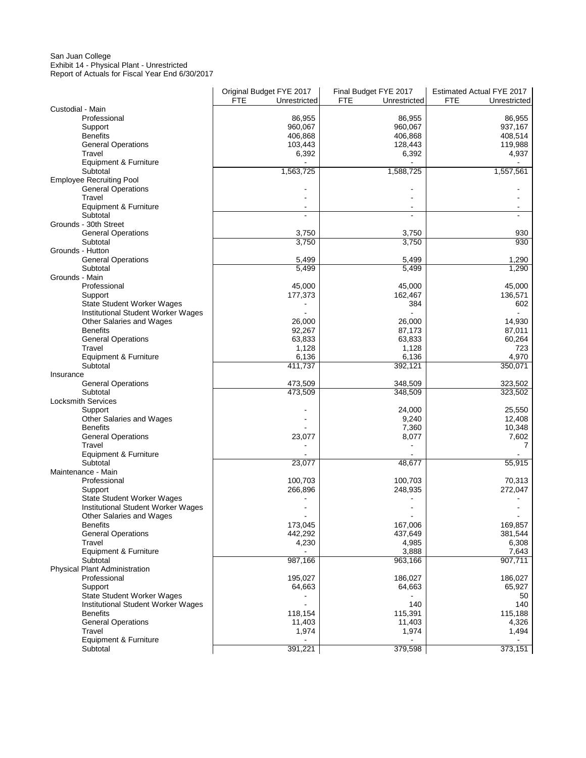#### San Juan College Exhibit 14 - Physical Plant - Unrestricted Report of Actuals for Fiscal Year End 6/30/2017

|                                              | Original Budget FYE 2017<br><b>FTE</b><br>Unrestricted | Final Budget FYE 2017<br>FTE<br>Unrestricted | Estimated Actual FYE 2017<br>FTE<br>Unrestricted |
|----------------------------------------------|--------------------------------------------------------|----------------------------------------------|--------------------------------------------------|
| Custodial - Main                             |                                                        |                                              |                                                  |
| Professional                                 | 86,955                                                 | 86,955                                       | 86,955                                           |
| Support                                      | 960,067                                                | 960,067                                      | 937,167                                          |
| <b>Benefits</b>                              | 406,868                                                | 406,868                                      | 408,514                                          |
| <b>General Operations</b>                    | 103,443                                                | 128,443                                      | 119,988                                          |
| Travel<br>Equipment & Furniture              | 6,392                                                  | 6,392                                        | 4,937                                            |
| Subtotal                                     | 1,563,725                                              | 1,588,725                                    | 1,557,561                                        |
| <b>Employee Recruiting Pool</b>              |                                                        |                                              |                                                  |
| <b>General Operations</b>                    |                                                        |                                              |                                                  |
| Travel                                       |                                                        |                                              |                                                  |
| Equipment & Furniture                        |                                                        |                                              |                                                  |
| Subtotal<br>Grounds - 30th Street            |                                                        | ÷.                                           |                                                  |
| <b>General Operations</b>                    | 3,750                                                  | 3,750                                        | 930                                              |
| Subtotal                                     | 3,750                                                  | 3,750                                        | 930                                              |
| Grounds - Hutton                             |                                                        |                                              |                                                  |
| <b>General Operations</b>                    | 5,499                                                  | 5,499                                        | 1,290                                            |
| Subtotal                                     | 5,499                                                  | 5,499                                        | 1,290                                            |
| Grounds - Main                               |                                                        |                                              |                                                  |
| Professional                                 | 45,000                                                 | 45,000                                       | 45,000                                           |
| Support<br><b>State Student Worker Wages</b> | 177,373                                                | 162,467<br>384                               | 136,571<br>602                                   |
| Institutional Student Worker Wages           |                                                        |                                              |                                                  |
| Other Salaries and Wages                     | 26,000                                                 | 26,000                                       | 14,930                                           |
| <b>Benefits</b>                              | 92,267                                                 | 87,173                                       | 87,011                                           |
| <b>General Operations</b>                    | 63,833                                                 | 63,833                                       | 60,264                                           |
| Travel                                       | 1,128                                                  | 1,128                                        | 723                                              |
| Equipment & Furniture                        | 6,136                                                  | 6,136                                        | 4,970                                            |
| Subtotal                                     | 411,737                                                | 392,121                                      | 350,071                                          |
| Insurance<br><b>General Operations</b>       | 473,509                                                | 348,509                                      | 323,502                                          |
| Subtotal                                     | 473,509                                                | 348,509                                      | 323,502                                          |
| <b>Locksmith Services</b>                    |                                                        |                                              |                                                  |
| Support                                      |                                                        | 24,000                                       | 25,550                                           |
| Other Salaries and Wages                     |                                                        | 9,240                                        | 12,408                                           |
| <b>Benefits</b>                              |                                                        | 7,360                                        | 10,348                                           |
| <b>General Operations</b>                    | 23,077                                                 | 8,077                                        | 7,602                                            |
| Travel<br>Equipment & Furniture              |                                                        |                                              | 7                                                |
| Subtotal                                     | 23,077                                                 | 48,677                                       | 55,915                                           |
| Maintenance - Main                           |                                                        |                                              |                                                  |
| Professional                                 | 100,703                                                | 100,703                                      | 70,313                                           |
| Support                                      | 266,896                                                | 248,935                                      | 272,047                                          |
| <b>State Student Worker Wages</b>            |                                                        |                                              |                                                  |
| Institutional Student Worker Wages           |                                                        |                                              |                                                  |
| Other Salaries and Wages<br><b>Benefits</b>  | 173,045                                                | 167,006                                      | 169,857                                          |
| <b>General Operations</b>                    | 442,292                                                | 437,649                                      | 381,544                                          |
| Travel                                       | 4,230                                                  | 4,985                                        | 6,308                                            |
| Equipment & Furniture                        |                                                        | 3,888                                        | 7,643                                            |
| Subtotal                                     | 987,166                                                | 963,166                                      | 907,711                                          |
| <b>Physical Plant Administration</b>         |                                                        |                                              |                                                  |
| Professional                                 | 195,027                                                | 186,027                                      | 186,027                                          |
| Support<br><b>State Student Worker Wages</b> | 64,663                                                 | 64,663                                       | 65,927<br>50                                     |
| Institutional Student Worker Wages           |                                                        | 140                                          | 140                                              |
| <b>Benefits</b>                              | 118,154                                                | 115,391                                      | 115,188                                          |
| <b>General Operations</b>                    | 11,403                                                 | 11,403                                       | 4,326                                            |
| Travel                                       | 1,974                                                  | 1,974                                        | 1,494                                            |
| Equipment & Furniture                        |                                                        |                                              |                                                  |
| Subtotal                                     | 391,221                                                | 379,598                                      | 373,151                                          |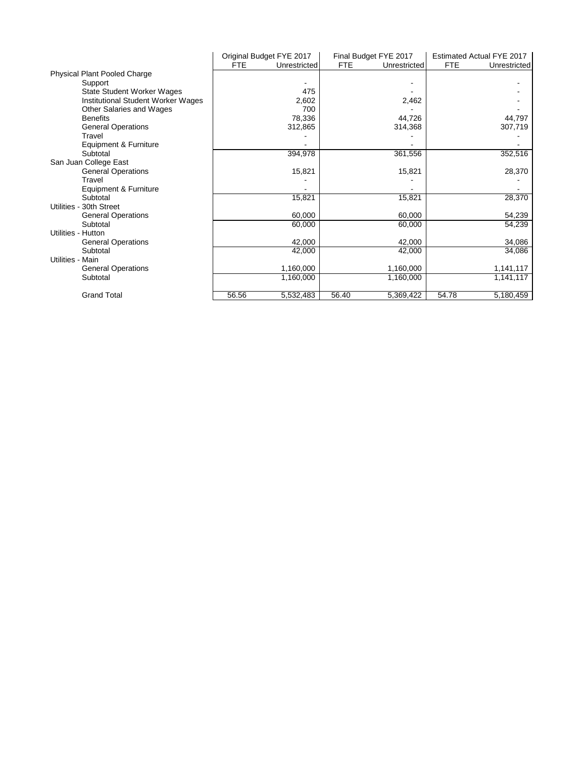|                                     |       | Original Budget FYE 2017 |       | Final Budget FYE 2017 |            | Estimated Actual FYE 2017 |
|-------------------------------------|-------|--------------------------|-------|-----------------------|------------|---------------------------|
|                                     | FTE   | Unrestricted             | FTE   | Unrestricted          | <b>FTE</b> | Unrestricted              |
| <b>Physical Plant Pooled Charge</b> |       |                          |       |                       |            |                           |
| Support                             |       |                          |       |                       |            |                           |
| State Student Worker Wages          |       | 475                      |       |                       |            |                           |
| Institutional Student Worker Wages  |       | 2,602                    |       | 2,462                 |            |                           |
| Other Salaries and Wages            |       | 700                      |       |                       |            |                           |
| <b>Benefits</b>                     |       | 78,336                   |       | 44,726                |            | 44,797                    |
| <b>General Operations</b>           |       | 312,865                  |       | 314,368               |            | 307,719                   |
| Travel                              |       |                          |       |                       |            |                           |
| Equipment & Furniture               |       |                          |       |                       |            |                           |
| Subtotal                            |       | 394,978                  |       | 361,556               |            | 352,516                   |
| San Juan College East               |       |                          |       |                       |            |                           |
| <b>General Operations</b>           |       | 15,821                   |       | 15,821                |            | 28,370                    |
| Travel                              |       |                          |       |                       |            |                           |
| Equipment & Furniture               |       |                          |       |                       |            |                           |
| Subtotal                            |       | 15,821                   |       | 15,821                |            | 28,370                    |
| Utilities - 30th Street             |       |                          |       |                       |            |                           |
| <b>General Operations</b>           |       | 60,000                   |       | 60,000                |            | 54,239                    |
| Subtotal                            |       | 60,000                   |       | 60,000                |            | 54,239                    |
| Utilities - Hutton                  |       |                          |       |                       |            |                           |
| <b>General Operations</b>           |       | 42,000                   |       | 42,000                |            | 34,086                    |
| Subtotal                            |       | 42,000                   |       | 42,000                |            | 34,086                    |
| Utilities - Main                    |       |                          |       |                       |            |                           |
| <b>General Operations</b>           |       | 1,160,000                |       | 1,160,000             |            | 1,141,117                 |
| Subtotal                            |       | 1,160,000                |       | 1,160,000             |            | 1,141,117                 |
|                                     |       |                          |       |                       |            |                           |
| <b>Grand Total</b>                  | 56.56 | 5,532,483                | 56.40 | 5,369,422             | 54.78      | 5,180,459                 |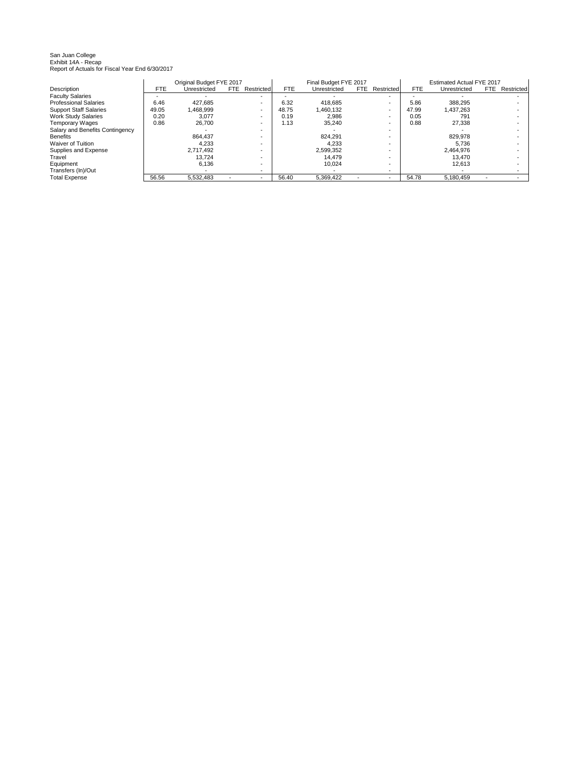# San Juan College Exhibit 14A - Recap Report of Actuals for Fiscal Year End 6/30/2017

|                                 |            | Original Budget FYE 2017 |      |                          |       | Final Budget FYE 2017 |      |            |       | Estimated Actual FYE 2017 |      |            |
|---------------------------------|------------|--------------------------|------|--------------------------|-------|-----------------------|------|------------|-------|---------------------------|------|------------|
| Description                     | <b>FTE</b> | Unrestricted             | FTE. | Restricted               | FTE   | Unrestricted          | FTE. | Restricted | FTE   | Unrestricted              | FTE. | Restricted |
| <b>Faculty Salaries</b>         |            |                          |      |                          |       |                       |      |            |       |                           |      |            |
| <b>Professional Salaries</b>    | 6.46       | 427.685                  |      |                          | 6.32  | 418.685               |      |            | 5.86  | 388,295                   |      |            |
| <b>Support Staff Salaries</b>   | 49.05      | 1.468.999                |      | $\overline{\phantom{0}}$ | 48.75 | 1.460.132             |      | -          | 47.99 | 1.437.263                 |      |            |
| <b>Work Study Salaries</b>      | 0.20       | 3.077                    |      |                          | 0.19  | 2.986                 |      |            | 0.05  | 791                       |      |            |
| <b>Temporary Wages</b>          | 0.86       | 26.700                   |      |                          | 1.13  | 35.240                |      |            | 0.88  | 27.338                    |      |            |
| Salary and Benefits Contingency |            |                          |      |                          |       |                       |      |            |       |                           |      |            |
| <b>Benefits</b>                 |            | 864.437                  |      |                          |       | 824.291               |      |            |       | 829,978                   |      |            |
| Waiver of Tuition               |            | 4.233                    |      |                          |       | 4.233                 |      |            |       | 5.736                     |      |            |
| Supplies and Expense            |            | 2.717.492                |      |                          |       | 2.599.352             |      |            |       | 2.464.976                 |      |            |
| Travel                          |            | 13.724                   |      |                          |       | 14.479                |      |            |       | 13.470                    |      |            |
| Equipment                       |            | 6.136                    |      |                          |       | 10.024                |      | -          |       | 12.613                    |      |            |
| Transfers (In)/Out              |            |                          |      |                          |       |                       |      |            |       |                           |      |            |
| <b>Total Expense</b>            | 56.56      | 5.532.483                |      |                          | 56.40 | 5.369.422             |      |            | 54.78 | 5.180.459                 |      |            |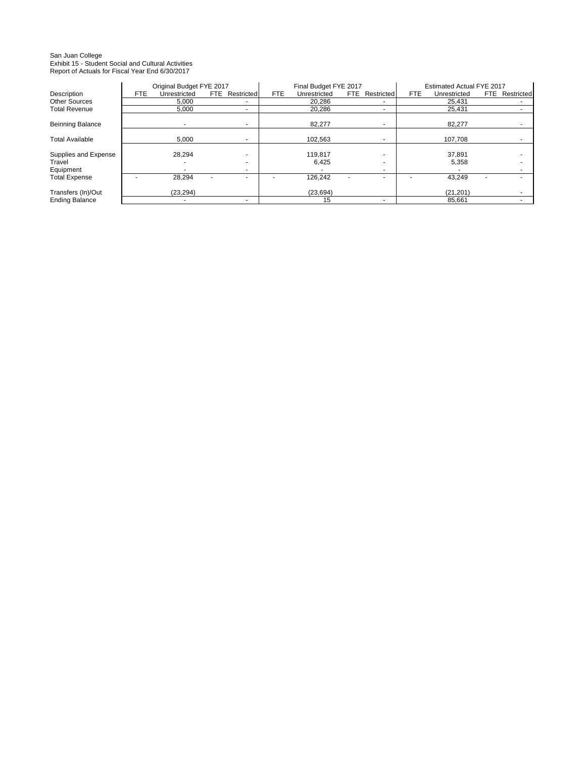# San Juan College Exhibit 15 - Student Social and Cultural Activities Report of Actuals for Fiscal Year End 6/30/2017

|                         |     | Original Budget FYE 2017 |                          |     | Final Budget FYE 2017 |                    |            | Estimated Actual FYE 2017 |      |            |
|-------------------------|-----|--------------------------|--------------------------|-----|-----------------------|--------------------|------------|---------------------------|------|------------|
| Description             | FTE | Unrestricted             | <b>FTE</b> Restricted    | FTE | Unrestricted          | Restricted<br>FTE. | <b>FTE</b> | Unrestricted              | FTE. | Restricted |
| <b>Other Sources</b>    |     | 5,000                    | $\overline{\phantom{a}}$ |     | 20,286                |                    |            | 25,431                    |      |            |
| <b>Total Revenue</b>    |     | 5,000                    | ۰                        |     | 20.286                |                    |            | 25,431                    |      |            |
|                         |     |                          |                          |     |                       |                    |            |                           |      |            |
| <b>Beinning Balance</b> |     |                          | ۰                        |     | 82.277                |                    |            | 82,277                    |      |            |
| <b>Total Available</b>  |     | 5,000                    | ٠                        |     | 102.563               |                    |            | 107.708                   |      |            |
|                         |     |                          |                          |     |                       |                    |            |                           |      |            |
| Supplies and Expense    |     | 28,294                   |                          |     | 119.817               |                    |            | 37,891                    |      |            |
| Travel                  |     |                          |                          |     | 6,425                 |                    |            | 5,358                     |      |            |
| Equipment               |     |                          | $\overline{\phantom{a}}$ |     |                       |                    |            |                           |      |            |
| <b>Total Expense</b>    |     | 28.294                   |                          |     | 126.242               |                    |            | 43.249                    |      |            |
|                         |     |                          |                          |     |                       |                    |            |                           |      |            |
| Transfers (In)/Out      |     | (23, 294)                |                          |     | (23, 694)             |                    |            | (21, 201)                 |      |            |
| <b>Ending Balance</b>   |     |                          | $\overline{\phantom{a}}$ |     | 15                    |                    |            | 85,661                    |      |            |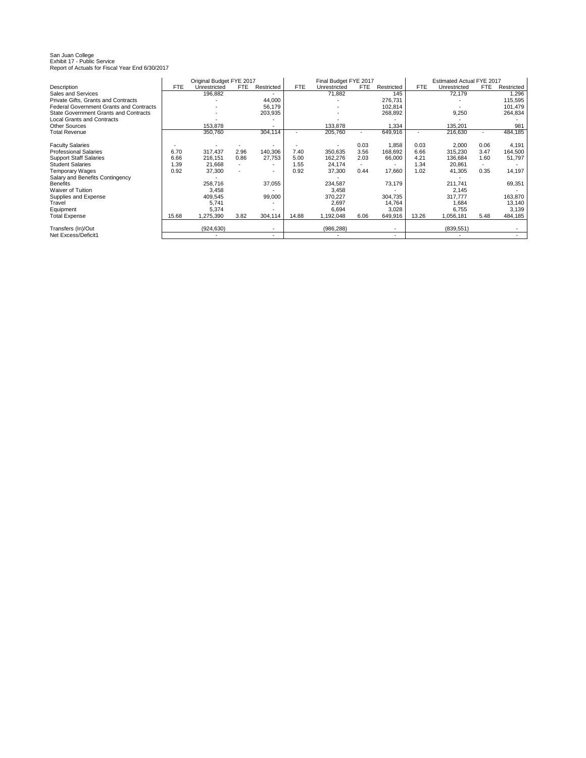# San Juan College Exhibit 17 - Public Service Report of Actuals for Fiscal Year End 6/30/2017

|                                                |            | Original Budget FYE 2017 |      |                          |            | Final Budget FYE 2017 |      |                          |            | Estimated Actual FYE 2017 |                |            |
|------------------------------------------------|------------|--------------------------|------|--------------------------|------------|-----------------------|------|--------------------------|------------|---------------------------|----------------|------------|
| Description                                    | <b>FTE</b> | Unrestricted             | FTE. | Restricted               | <b>FTE</b> | Unrestricted          | FTE  | Restricted               | <b>FTE</b> | Unrestricted              | <b>FTE</b>     | Restricted |
| Sales and Services                             |            | 196,882                  |      |                          |            | 71,882                |      | 145                      |            | 72,179                    |                | 1,296      |
| Private Gifts, Grants and Contracts            |            |                          |      | 44,000                   |            |                       |      | 276,731                  |            |                           |                | 115,595    |
| <b>Federal Government Grants and Contracts</b> |            |                          |      | 56,179                   |            |                       |      | 102,814                  |            |                           |                | 101,479    |
| <b>State Government Grants and Contracts</b>   |            |                          |      | 203,935                  |            |                       |      | 268,892                  |            | 9,250                     |                | 264,834    |
| <b>Local Grants and Contracts</b>              |            |                          |      |                          |            |                       |      |                          |            |                           |                |            |
| <b>Other Sources</b>                           |            | 153.878                  |      |                          |            | 133,878               |      | 1,334                    |            | 135.201                   |                | 981        |
| <b>Total Revenue</b>                           |            | 350,760                  |      | 304,114                  |            | 205,760               |      | 649,916                  |            | 216,630                   |                | 484,185    |
|                                                |            |                          |      |                          |            |                       |      |                          |            |                           |                |            |
| <b>Faculty Salaries</b>                        |            |                          |      |                          |            |                       | 0.03 | 1,858                    | 0.03       | 2,000                     | 0.06           | 4,191      |
| <b>Professional Salaries</b>                   | 6.70       | 317,437                  | 2.96 | 140,306                  | 7.40       | 350,635               | 3.56 | 168,692                  | 6.66       | 315,230                   | 3.47           | 164,500    |
| <b>Support Staff Salaries</b>                  | 6.66       | 216,151                  | 0.86 | 27,753                   | 5.00       | 162,276               | 2.03 | 66,000                   | 4.21       | 136,684                   | 1.60           | 51,797     |
| <b>Student Salaries</b>                        | 1.39       | 21,668                   |      | $\overline{\phantom{0}}$ | 1.55       | 24,174                |      | $\overline{\phantom{a}}$ | 1.34       | 20,861                    | $\overline{a}$ |            |
| <b>Temporary Wages</b>                         | 0.92       | 37,300                   |      | $\sim$                   | 0.92       | 37,300                | 0.44 | 17,660                   | 1.02       | 41,305                    | 0.35           | 14,197     |
| Salary and Benefits Contingency                |            |                          |      |                          |            |                       |      |                          |            |                           |                |            |
| <b>Benefits</b>                                |            | 258,716                  |      | 37,055                   |            | 234,587               |      | 73,179                   |            | 211,741                   |                | 69,351     |
| Waiver of Tuition                              |            | 3,458                    |      |                          |            | 3,458                 |      |                          |            | 2,145                     |                |            |
| Supplies and Expense                           |            | 409,545                  |      | 99,000                   |            | 370,227               |      | 304,735                  |            | 317,777                   |                | 163,870    |
| Travel                                         |            | 5.741                    |      |                          |            | 2,697                 |      | 14,764                   |            | 1.684                     |                | 13,140     |
| Equipment                                      |            | 5,374                    |      |                          |            | 6,694                 |      | 3,028                    |            | 6,755                     |                | 3,139      |
| <b>Total Expense</b>                           | 15.68      | 1,275,390                | 3.82 | 304,114                  | 14.88      | 1,192,048             | 6.06 | 649,916                  | 13.26      | 1,056,181                 | 5.48           | 484,185    |
| Transfers (In)/Out                             |            | (924, 630)               |      |                          |            | (986, 288)            |      |                          |            | (839, 551)                |                |            |
| Net Excess/Deficit1                            |            |                          |      |                          |            |                       |      |                          |            |                           |                |            |
|                                                |            |                          |      |                          |            |                       |      | $\overline{\phantom{0}}$ |            |                           |                |            |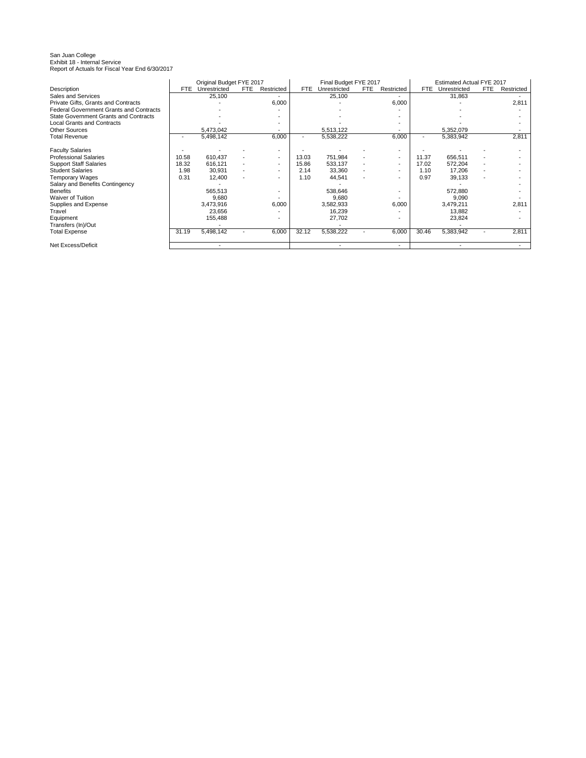# San Juan College Exhibit 18 - Internal Service Report of Actuals for Fiscal Year End 6/30/2017

|                                                |       | Original Budget FYE 2017 |                          |                          |                          | Final Budget FYE 2017 |     |                          |       | Estimated Actual FYE 2017 |     |            |
|------------------------------------------------|-------|--------------------------|--------------------------|--------------------------|--------------------------|-----------------------|-----|--------------------------|-------|---------------------------|-----|------------|
| <b>Description</b>                             | FTE   | Unrestricted             | FTE.                     | Restricted               | <b>FTE</b>               | Unrestricted          | FTE | Restricted               | FTE   | Unrestricted              | FTE | Restricted |
| Sales and Services                             |       | 25,100                   |                          |                          |                          | 25,100                |     |                          |       | 31,863                    |     |            |
| Private Gifts, Grants and Contracts            |       |                          |                          | 6,000                    |                          |                       |     | 6,000                    |       |                           |     | 2,811      |
| <b>Federal Government Grants and Contracts</b> |       |                          |                          |                          |                          |                       |     |                          |       |                           |     |            |
| State Government Grants and Contracts          |       |                          |                          |                          |                          |                       |     |                          |       |                           |     |            |
| <b>Local Grants and Contracts</b>              |       |                          |                          |                          |                          |                       |     |                          |       |                           |     |            |
| <b>Other Sources</b>                           |       | 5,473,042                |                          |                          |                          | 5,513,122             |     |                          |       | 5,352,079                 |     |            |
| <b>Total Revenue</b>                           |       | 5,498,142                |                          | 6,000                    | $\overline{\phantom{0}}$ | 5,538,222             |     | 6,000                    |       | 5,383,942                 |     | 2,811      |
| <b>Faculty Salaries</b>                        |       |                          |                          |                          |                          |                       |     |                          |       |                           |     |            |
| <b>Professional Salaries</b>                   | 10.58 | 610.437                  |                          | $\overline{\phantom{a}}$ | 13.03                    | 751,984               |     | $\overline{\phantom{a}}$ | 11.37 | 656,511                   |     |            |
| <b>Support Staff Salaries</b>                  | 18.32 | 616,121                  |                          | $\overline{\phantom{a}}$ | 15.86                    | 533,137               |     | $\overline{\phantom{a}}$ | 17.02 | 572,204                   |     |            |
| <b>Student Salaries</b>                        | 1.98  | 30,931                   | $\overline{\phantom{a}}$ | $\overline{\phantom{a}}$ | 2.14                     | 33,360                |     | $\overline{\phantom{a}}$ | 1.10  | 17,206                    |     |            |
| Temporary Wages                                | 0.31  | 12,400                   |                          | $\overline{\phantom{0}}$ | 1.10                     | 44,541                |     | $\overline{\phantom{a}}$ | 0.97  | 39,133                    |     |            |
| Salary and Benefits Contingency                |       |                          |                          |                          |                          |                       |     |                          |       |                           |     |            |
| <b>Benefits</b>                                |       | 565,513                  |                          |                          |                          | 538,646               |     |                          |       | 572,880                   |     |            |
| Waiver of Tuition                              |       | 9,680                    |                          |                          |                          | 9,680                 |     |                          |       | 9,090                     |     |            |
| Supplies and Expense                           |       | 3,473,916                |                          | 6.000                    |                          | 3,582,933             |     | 6,000                    |       | 3,479,211                 |     | 2,811      |
| Travel                                         |       | 23,656                   |                          |                          |                          | 16,239                |     |                          |       | 13,882                    |     |            |
| Equipment                                      |       | 155,488                  |                          |                          |                          | 27,702                |     |                          |       | 23,824                    |     |            |
| Transfers (In)/Out                             |       |                          |                          |                          |                          |                       |     |                          |       |                           |     |            |
| <b>Total Expense</b>                           | 31.19 | 5,498,142                |                          | 6,000                    | 32.12                    | 5,538,222             |     | 6,000                    | 30.46 | 5,383,942                 |     | 2,811      |
| Net Excess/Deficit                             |       |                          |                          |                          |                          |                       |     | $\overline{\phantom{a}}$ |       |                           |     |            |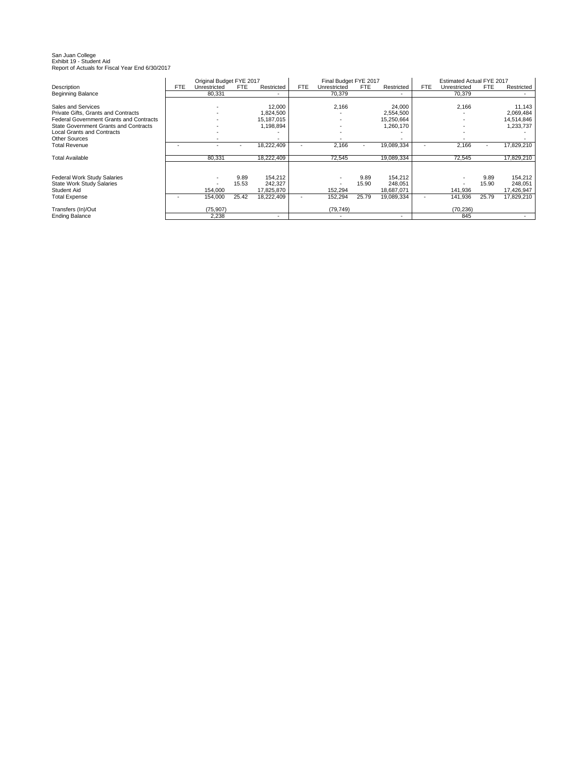# San Juan College Exhibit 19 - Student Aid Report of Actuals for Fiscal Year End 6/30/2017

|                                                |     | Original Budget FYE 2017 |       |            |            | Final Budget FYE 2017    |            |            |            | Estimated Actual FYE 2017 |       |            |
|------------------------------------------------|-----|--------------------------|-------|------------|------------|--------------------------|------------|------------|------------|---------------------------|-------|------------|
| Description                                    | FTE | Unrestricted             | FTE   | Restricted | <b>FTE</b> | Unrestricted             | <b>FTE</b> | Restricted | <b>FTE</b> | Unrestricted              | FTE   | Restricted |
| Beginning Balance                              |     | 80,331                   |       | ٠          |            | 70,379                   |            | -          |            | 70,379                    |       |            |
|                                                |     |                          |       |            |            |                          |            |            |            |                           |       |            |
| Sales and Services                             |     |                          |       | 12,000     |            | 2,166                    |            | 24,000     |            | 2,166                     |       | 11,143     |
| Private Gifts. Grants and Contracts            |     |                          |       | 1,824,500  |            |                          |            | 2,554,500  |            |                           |       | 2,069,484  |
| <b>Federal Government Grants and Contracts</b> |     |                          |       | 15,187,015 |            |                          |            | 15,250,664 |            |                           |       | 14,514,846 |
| State Government Grants and Contracts          |     |                          |       | 1,198,894  |            |                          |            | 1,260,170  |            |                           |       | 1,233,737  |
| <b>Local Grants and Contracts</b>              |     |                          |       |            |            |                          |            |            |            |                           |       |            |
| <b>Other Sources</b>                           |     |                          |       |            |            |                          |            | ٠          |            |                           |       |            |
| <b>Total Revenue</b>                           |     |                          |       | 18,222,409 |            | 2,166                    |            | 19,089,334 |            | 2,166                     |       | 17,829,210 |
|                                                |     |                          |       |            |            |                          |            |            |            |                           |       |            |
| <b>Total Available</b>                         |     | 80,331                   |       | 18,222,409 |            | 72,545                   |            | 19,089,334 |            | 72,545                    |       | 17,829,210 |
|                                                |     |                          |       |            |            |                          |            |            |            |                           |       |            |
|                                                |     |                          |       |            |            |                          |            |            |            |                           |       |            |
| <b>Federal Work Study Salaries</b>             |     |                          | 9.89  | 154,212    |            |                          | 9.89       | 154,212    |            |                           | 9.89  | 154,212    |
| <b>State Work Study Salaries</b>               |     |                          | 15.53 | 242,327    |            |                          | 15.90      | 248,051    |            |                           | 15.90 | 248,051    |
| Student Aid                                    |     | 154,000                  |       | 17,825,870 |            | 152,294                  |            | 18,687,071 |            | 141,936                   |       | 17,426,947 |
| <b>Total Expense</b>                           |     | 154,000                  | 25.42 | 18,222,409 |            | 152,294                  | 25.79      | 19,089,334 |            | 141,936                   | 25.79 | 17,829,210 |
|                                                |     |                          |       |            |            |                          |            |            |            |                           |       |            |
| Transfers (In)/Out                             |     | (75, 907)                |       |            |            | (79, 749)                |            |            |            | (70, 236)                 |       |            |
| <b>Ending Balance</b>                          |     | 2,238                    |       | ٠          |            | $\overline{\phantom{a}}$ |            | -          |            | 845                       |       |            |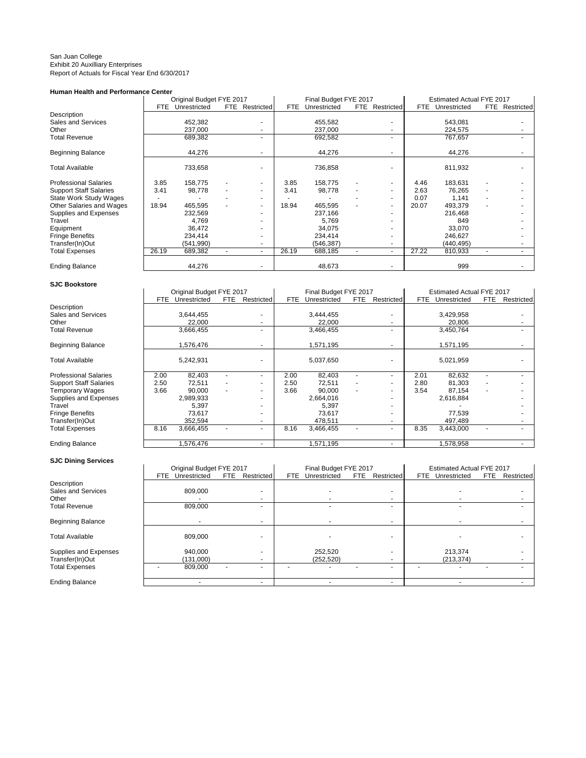#### San Juan College Exhibit 20 Auxilliary Enterprises Report of Actuals for Fiscal Year End 6/30/2017

## **Human Health and Performance Center**

|                               |       | Original Budget FYE 2017 |      |            |       | Final Budget FYE 2017 |      |            |       | Estimated Actual FYE 2017 |      |            |
|-------------------------------|-------|--------------------------|------|------------|-------|-----------------------|------|------------|-------|---------------------------|------|------------|
|                               | FTE.  | Unrestricted             | FTE. | Restricted | FTE.  | Unrestricted          | FTE. | Restricted | FTE.  | Unrestricted              | FTE. | Restricted |
| Description                   |       |                          |      |            |       |                       |      |            |       |                           |      |            |
| Sales and Services            |       | 452,382                  |      | ۰          |       | 455,582               |      |            |       | 543,081                   |      |            |
| Other                         |       | 237,000                  |      |            |       | 237,000               |      |            |       | 224,575                   |      |            |
| <b>Total Revenue</b>          |       | 689,382                  |      | ۰.         |       | 692,582               |      |            |       | 767,657                   |      |            |
| <b>Beginning Balance</b>      |       | 44,276                   |      | ۰.         |       | 44,276                |      |            |       | 44,276                    |      |            |
| <b>Total Available</b>        |       | 733,658                  |      |            |       | 736,858               |      |            |       | 811,932                   |      |            |
| <b>Professional Salaries</b>  | 3.85  | 158,775                  |      |            | 3.85  | 158,775               |      |            | 4.46  | 183,631                   |      |            |
| <b>Support Staff Salaries</b> | 3.41  | 98,778                   |      | ۰.         | 3.41  | 98,778                |      |            | 2.63  | 76,265                    |      |            |
| <b>State Work Study Wages</b> |       |                          |      | ٠          |       |                       |      |            | 0.07  | 1,141                     |      |            |
| Other Salaries and Wages      | 18.94 | 465,595                  |      | ۰.         | 18.94 | 465,595               |      | ٠          | 20.07 | 493,379                   |      |            |
| Supplies and Expenses         |       | 232,569                  |      | ۰          |       | 237,166               |      |            |       | 216,468                   |      |            |
| Travel                        |       | 4,769                    |      | ۰.         |       | 5,769                 |      |            |       | 849                       |      |            |
| Equipment                     |       | 36,472                   |      | ۰.         |       | 34,075                |      |            |       | 33,070                    |      |            |
| <b>Fringe Benefits</b>        |       | 234,414                  |      | ۰.         |       | 234,414               |      |            |       | 246,627                   |      |            |
| Transfer(In)Out               |       | (541, 990)               |      | ۰.         |       | (546, 387)            |      |            |       | (440, 495)                |      |            |
| <b>Total Expenses</b>         | 26.19 | 689,382                  | ٠    | ۰.         | 26.19 | 688,185               | ۰    | ۰          | 27.22 | 810,933                   |      |            |
| <b>Ending Balance</b>         |       | 44,276                   |      | ۰          |       | 48,673                |      |            |       | 999                       |      |            |
|                               |       |                          |      |            |       |                       |      |            |       |                           |      |            |

## **SJC Bookstore**

# Beginning Balance

## **SJC Dining Services**

|                               |      | Original Budget FYE 2017 |            |                          |            | Final Budget FYE 2017 |      |            |      | Estimated Actual FYE 2017 |     |            |
|-------------------------------|------|--------------------------|------------|--------------------------|------------|-----------------------|------|------------|------|---------------------------|-----|------------|
|                               |      |                          |            |                          |            |                       |      |            |      |                           |     |            |
|                               | FTE. | Unrestricted             | <b>FTE</b> | Restricted               | <b>FTE</b> | Unrestricted          | FTE. | Restricted | FTE  | Unrestricted              | FTE | Restricted |
| Description                   |      |                          |            |                          |            |                       |      |            |      |                           |     |            |
| Sales and Services            |      | 3,644,455                |            |                          |            | 3,444,455             |      |            |      | 3,429,958                 |     |            |
| Other                         |      | 22,000                   |            |                          |            | 22,000                |      |            |      | 20,806                    |     |            |
| Total Revenue                 |      | 3,666,455                |            |                          |            | 3,466,455             |      |            |      | 3,450,764                 |     |            |
| Beginning Balance             |      | 1,576,476                |            |                          |            | 1,571,195             |      |            |      | 1,571,195                 |     |            |
| Total Available               |      | 5,242,931                |            |                          |            | 5,037,650             |      |            |      | 5,021,959                 |     |            |
| Professional Salaries         | 2.00 | 82,403                   |            | $\overline{\phantom{a}}$ | 2.00       | 82,403                |      |            | 2.01 | 82,632                    |     |            |
| <b>Support Staff Salaries</b> | 2.50 | 72,511                   |            |                          | 2.50       | 72,511                |      |            | 2.80 | 81,303                    |     |            |
| Temporary Wages               | 3.66 | 90,000                   |            |                          | 3.66       | 90,000                |      |            | 3.54 | 87,154                    |     |            |
| Supplies and Expenses         |      | 2,989,933                |            |                          |            | 2,664,016             |      |            |      | 2,616,884                 |     |            |
| Travel                        |      | 5.397                    |            |                          |            | 5,397                 |      |            |      |                           |     |            |
| Fringe Benefits               |      | 73,617                   |            |                          |            | 73,617                |      |            |      | 77,539                    |     |            |
| Transfer(In)Out               |      | 352,594                  |            |                          |            | 478,511               |      |            |      | 497,489                   |     |            |
| <b>Total Expenses</b>         | 8.16 | 3,666,455                |            |                          | 8.16       | 3,466,455             |      |            | 8.35 | 3,443,000                 |     |            |
| <b>Ending Balance</b>         |      | 1.576.476                |            | $\overline{\phantom{a}}$ |            | 571,195               |      |            |      | 578,958                   |     |            |

|                        | Original Budget FYE 2017 |                    | Final Budget FYE 2017 |                    | Estimated Actual FYE 2017    |            |
|------------------------|--------------------------|--------------------|-----------------------|--------------------|------------------------------|------------|
|                        | Unrestricted<br>FTE.     | Restricted<br>FTE. | Unrestricted<br>FTE.  | FTE.<br>Restricted | FTE.<br>Unrestricted<br>FTE. | Restricted |
| Description            |                          |                    |                       |                    |                              |            |
| Sales and Services     | 809.000                  | -                  |                       |                    |                              |            |
| Other                  |                          |                    |                       |                    |                              |            |
| Total Revenue          | 809.000                  |                    |                       |                    |                              |            |
| Beginning Balance      |                          |                    |                       |                    |                              |            |
| <b>Total Available</b> | 809.000                  |                    |                       |                    |                              |            |
| Supplies and Expenses  | 940.000                  | -                  | 252,520               |                    | 213.374                      |            |
| Transfer(In)Out        | (131,000)                |                    | (252, 520)            |                    | (213, 374)                   |            |
| <b>Total Expenses</b>  | 809.000                  | -                  |                       |                    |                              |            |
| <b>Ending Balance</b>  |                          | -                  |                       |                    |                              |            |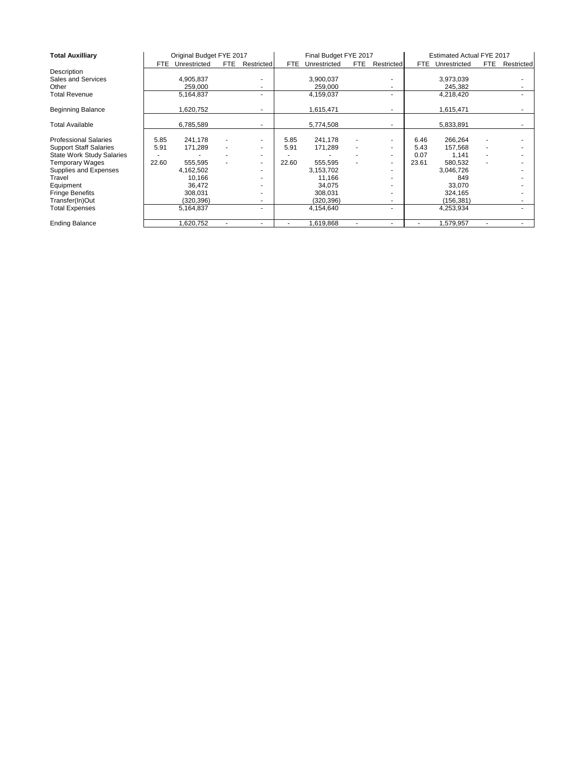| <b>Total Auxilliary</b>          |       | Original Budget FYE 2017 |      |            |       | Final Budget FYE 2017 |      |            |       | Estimated Actual FYE 2017 |      |            |
|----------------------------------|-------|--------------------------|------|------------|-------|-----------------------|------|------------|-------|---------------------------|------|------------|
|                                  | FTE.  | Unrestricted             | FTE. | Restricted | FTE.  | Unrestricted          | FTE. | Restricted | FTE.  | Unrestricted              | FTE. | Restricted |
| Description                      |       |                          |      |            |       |                       |      |            |       |                           |      |            |
| Sales and Services               |       | 4,905,837                |      |            |       | 3,900,037             |      |            |       | 3,973,039                 |      |            |
| Other                            |       | 259,000                  |      |            |       | 259,000               |      |            |       | 245,382                   |      |            |
| <b>Total Revenue</b>             |       | 5,164,837                |      | ۰.         |       | 4,159,037             |      | ٠          |       | 4,218,420                 |      |            |
| <b>Beginning Balance</b>         |       | 1,620,752                |      |            |       | 1,615,471             |      |            |       | 1,615,471                 |      |            |
| <b>Total Available</b>           |       | 6,785,589                |      |            |       | 5,774,508             |      |            |       | 5,833,891                 |      |            |
| <b>Professional Salaries</b>     | 5.85  | 241.178                  |      |            | 5.85  | 241.178               |      |            | 6.46  | 266,264                   |      |            |
| <b>Support Staff Salaries</b>    | 5.91  | 171,289                  |      |            | 5.91  | 171,289               |      |            | 5.43  | 157,568                   |      |            |
| <b>State Work Study Salaries</b> |       |                          |      |            |       |                       |      |            | 0.07  | 1,141                     |      |            |
| Temporary Wages                  | 22.60 | 555,595                  |      | ۰.         | 22.60 | 555,595               |      | ۰          | 23.61 | 580,532                   |      |            |
| Supplies and Expenses            |       | 4,162,502                |      |            |       | 3,153,702             |      |            |       | 3,046,726                 |      |            |
| Travel                           |       | 10,166                   |      |            |       | 11,166                |      |            |       | 849                       |      |            |
| Equipment                        |       | 36,472                   |      |            |       | 34,075                |      |            |       | 33,070                    |      |            |
| <b>Fringe Benefits</b>           |       | 308,031                  |      |            |       | 308,031               |      |            |       | 324,165                   |      |            |
| Transfer(In)Out                  |       | (320,396)                |      |            |       | (320, 396)            |      |            |       | (156,381)                 |      |            |
| <b>Total Expenses</b>            |       | 5,164,837                |      | ٠.         |       | 4,154,640             |      | ٠          |       | 4,253,934                 |      |            |
| <b>Ending Balance</b>            |       | ,620,752                 | ٠    | ۰.         | ۰     | 1,619,868             | ٠    | ۰          | ۰     | 1,579,957                 | ٠    |            |
|                                  |       |                          |      |            |       |                       |      |            |       |                           |      |            |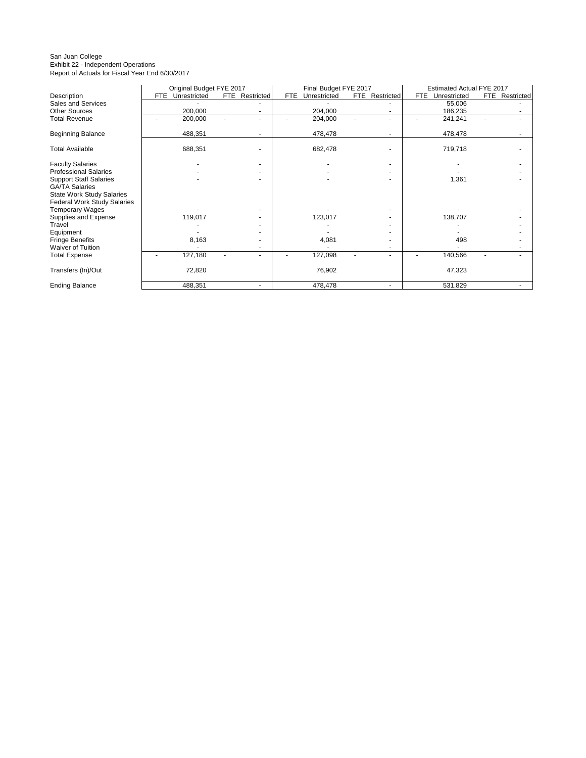#### San Juan College Exhibit 22 - Independent Operations Report of Actuals for Fiscal Year End 6/30/2017

|                                    | Original Budget FYE 2017   |                | Final Budget FYE 2017 |                | Estimated Actual FYE 2017 |                |
|------------------------------------|----------------------------|----------------|-----------------------|----------------|---------------------------|----------------|
| Description                        | Unrestricted<br><b>FTE</b> | FTE Restricted | Unrestricted<br>FTE   | FTE Restricted | FTE.<br>Unrestricted      | FTE Restricted |
| Sales and Services                 |                            |                |                       |                | 55,006                    |                |
| <b>Other Sources</b>               | 200,000                    |                | 204,000               |                | 186,235                   |                |
| <b>Total Revenue</b>               | 200,000                    |                | 204,000               | ٠              | 241,241                   |                |
| <b>Beginning Balance</b>           | 488,351                    |                | 478,478               |                | 478,478                   |                |
| <b>Total Available</b>             | 688,351                    |                | 682,478               |                | 719,718                   |                |
| <b>Faculty Salaries</b>            |                            |                |                       |                |                           |                |
| <b>Professional Salaries</b>       |                            |                |                       |                |                           |                |
| <b>Support Staff Salaries</b>      |                            |                |                       |                | 1,361                     |                |
| <b>GA/TA Salaries</b>              |                            |                |                       |                |                           |                |
| <b>State Work Study Salaries</b>   |                            |                |                       |                |                           |                |
| <b>Federal Work Study Salaries</b> |                            |                |                       |                |                           |                |
| <b>Temporary Wages</b>             |                            |                |                       |                |                           |                |
| Supplies and Expense               | 119,017                    |                | 123,017               |                | 138,707                   |                |
| Travel                             |                            |                |                       |                |                           |                |
| Equipment                          |                            |                |                       |                |                           |                |
| <b>Fringe Benefits</b>             | 8,163                      |                | 4,081                 |                | 498                       |                |
| <b>Waiver of Tuition</b>           |                            |                |                       |                |                           |                |
| <b>Total Expense</b>               | 127,180                    |                | 127,098               |                | 140,566                   |                |
| Transfers (In)/Out                 | 72,820                     |                | 76,902                |                | 47,323                    |                |
| <b>Ending Balance</b>              | 488,351                    | ٠              | 478,478               |                | 531,829                   |                |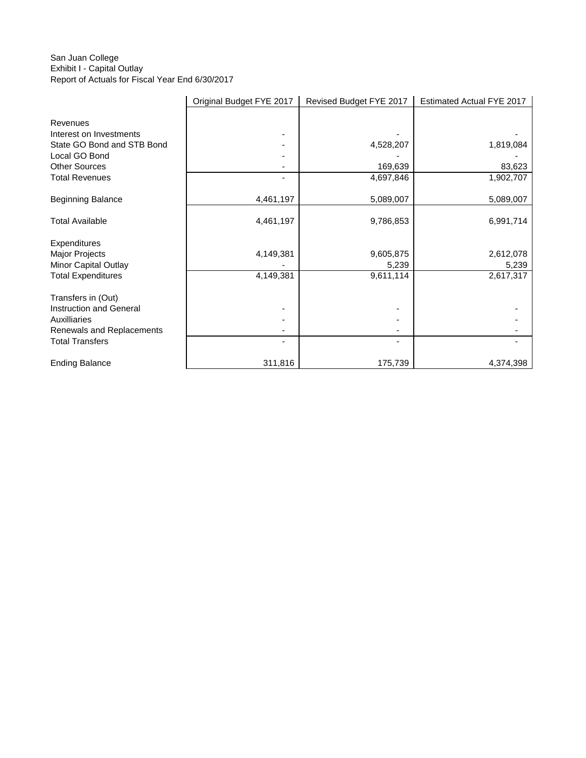## San Juan College Exhibit I - Capital Outlay Report of Actuals for Fiscal Year End 6/30/2017

|                            | Original Budget FYE 2017 | Revised Budget FYE 2017 | Estimated Actual FYE 2017 |
|----------------------------|--------------------------|-------------------------|---------------------------|
|                            |                          |                         |                           |
| Revenues                   |                          |                         |                           |
| Interest on Investments    |                          |                         |                           |
| State GO Bond and STB Bond |                          | 4,528,207               | 1,819,084                 |
| Local GO Bond              |                          |                         |                           |
| <b>Other Sources</b>       |                          | 169,639                 | 83,623                    |
| <b>Total Revenues</b>      |                          | 4,697,846               | 1,902,707                 |
| <b>Beginning Balance</b>   | 4,461,197                | 5,089,007               | 5,089,007                 |
|                            |                          |                         |                           |
| <b>Total Available</b>     | 4,461,197                | 9,786,853               | 6,991,714                 |
| Expenditures               |                          |                         |                           |
| Major Projects             | 4,149,381                | 9,605,875               | 2,612,078                 |
| Minor Capital Outlay       |                          | 5,239                   | 5,239                     |
| <b>Total Expenditures</b>  | 4,149,381                | 9,611,114               | 2,617,317                 |
| Transfers in (Out)         |                          |                         |                           |
| Instruction and General    |                          |                         |                           |
| Auxilliaries               |                          |                         |                           |
| Renewals and Replacements  |                          |                         |                           |
| <b>Total Transfers</b>     |                          |                         |                           |
| <b>Ending Balance</b>      | 311,816                  | 175,739                 | 4,374,398                 |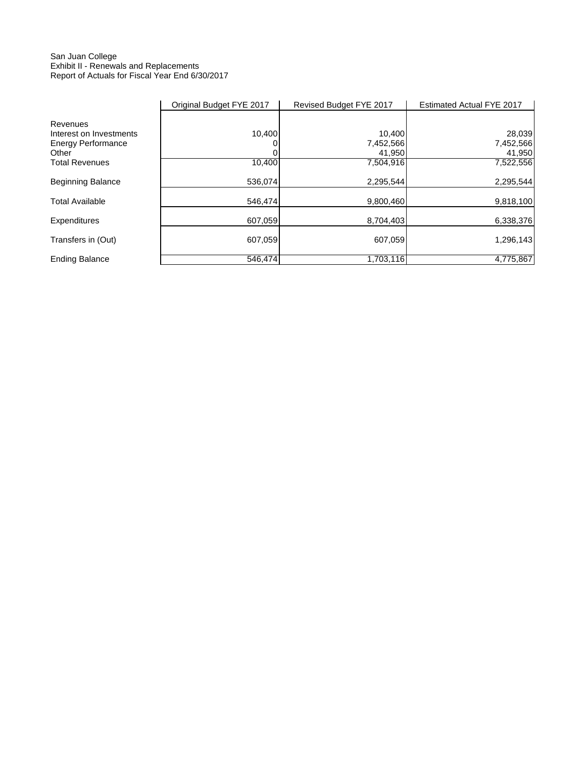## San Juan College Exhibit II - Renewals and Replacements Report of Actuals for Fiscal Year End 6/30/2017

|                           | Original Budget FYE 2017 | Revised Budget FYE 2017 | Estimated Actual FYE 2017 |
|---------------------------|--------------------------|-------------------------|---------------------------|
| Revenues                  |                          |                         |                           |
| Interest on Investments   | 10,400                   | 10,400                  | 28,039                    |
| <b>Energy Performance</b> |                          | 7,452,566               | 7,452,566                 |
| Other                     |                          | 41,950                  | 41,950                    |
| <b>Total Revenues</b>     | 10.400                   | 7,504,916               | 7,522,556                 |
| <b>Beginning Balance</b>  | 536,074                  | 2,295,544               | 2,295,544                 |
| <b>Total Available</b>    | 546.474                  | 9,800,460               | 9,818,100                 |
| Expenditures              | 607.059                  | 8,704,403               | 6,338,376                 |
| Transfers in (Out)        | 607.059                  | 607,059                 | 1,296,143                 |
| <b>Ending Balance</b>     | 546,474                  | 1,703,116               | 4,775,867                 |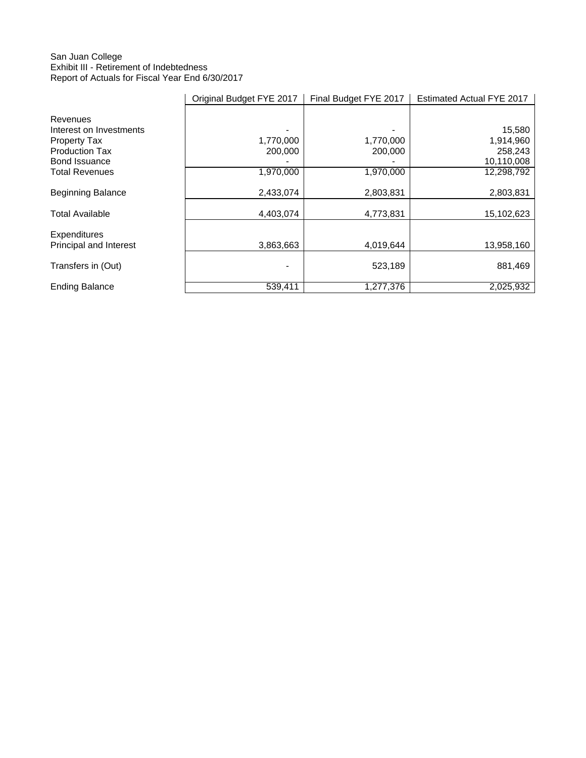## San Juan College Exhibit III - Retirement of Indebtedness Report of Actuals for Fiscal Year End 6/30/2017

|                          | Original Budget FYE 2017 | Final Budget FYE 2017 | Estimated Actual FYE 2017 |
|--------------------------|--------------------------|-----------------------|---------------------------|
| Revenues                 |                          |                       |                           |
| Interest on Investments  |                          |                       | 15,580                    |
| Property Tax             | 1,770,000                | 1,770,000             | 1,914,960                 |
| <b>Production Tax</b>    | 200,000                  | 200,000               | 258,243                   |
| <b>Bond Issuance</b>     |                          |                       | 10,110,008                |
| Total Revenues           | 1,970,000                | 1,970,000             | 12,298,792                |
| <b>Beginning Balance</b> | 2,433,074                | 2,803,831             | 2,803,831                 |
| <b>Total Available</b>   | 4,403,074                | 4,773,831             | 15,102,623                |
| Expenditures             |                          |                       |                           |
| Principal and Interest   | 3,863,663                | 4,019,644             | 13,958,160                |
| Transfers in (Out)       |                          | 523,189               | 881,469                   |
| <b>Ending Balance</b>    | 539,411                  | 1,277,376             | 2,025,932                 |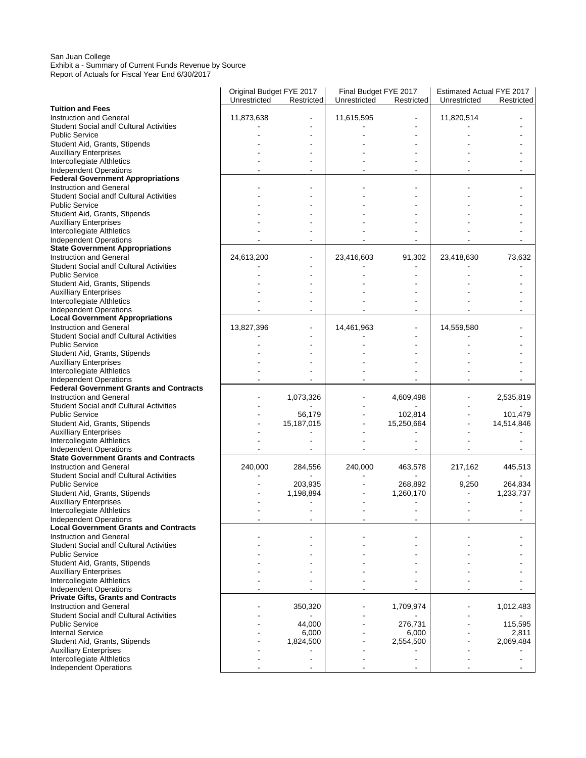#### San Juan College Exhibit a - Summary of Current Funds Revenue by Source Report of Actuals for Fiscal Year End 6/30/2017

|                                                                         | Original Budget FYE 2017 |            | Final Budget FYE 2017<br>Unrestricted |            | <b>Estimated Actual FYE 2017</b><br>Unrestricted<br>Restricted |            |
|-------------------------------------------------------------------------|--------------------------|------------|---------------------------------------|------------|----------------------------------------------------------------|------------|
| <b>Tuition and Fees</b>                                                 | Unrestricted             | Restricted |                                       | Restricted |                                                                |            |
| <b>Instruction and General</b>                                          | 11,873,638               |            | 11,615,595                            |            | 11,820,514                                                     |            |
| <b>Student Social andf Cultural Activities</b><br><b>Public Service</b> |                          |            |                                       |            |                                                                |            |
| Student Aid, Grants, Stipends                                           |                          |            |                                       |            |                                                                |            |
| <b>Auxilliary Enterprises</b>                                           |                          |            |                                       |            |                                                                |            |
| Intercollegiate Althletics                                              |                          |            |                                       |            |                                                                |            |
| <b>Independent Operations</b>                                           |                          |            |                                       |            |                                                                |            |
| <b>Federal Government Appropriations</b>                                |                          |            |                                       |            |                                                                |            |
| <b>Instruction and General</b>                                          |                          |            |                                       |            |                                                                |            |
| <b>Student Social andf Cultural Activities</b><br><b>Public Service</b> |                          |            |                                       |            |                                                                |            |
| Student Aid, Grants, Stipends                                           |                          |            |                                       |            |                                                                |            |
| <b>Auxilliary Enterprises</b>                                           |                          |            |                                       |            |                                                                |            |
| Intercollegiate Althletics                                              |                          |            |                                       |            |                                                                |            |
| <b>Independent Operations</b>                                           |                          |            |                                       |            |                                                                |            |
| <b>State Government Appropriations</b>                                  |                          |            |                                       |            |                                                                |            |
| <b>Instruction and General</b>                                          | 24,613,200               |            | 23,416,603                            | 91,302     | 23,418,630                                                     | 73,632     |
| <b>Student Social andf Cultural Activities</b>                          |                          |            |                                       |            |                                                                |            |
| <b>Public Service</b>                                                   |                          |            |                                       |            |                                                                |            |
| Student Aid, Grants, Stipends<br><b>Auxilliary Enterprises</b>          |                          |            |                                       |            |                                                                |            |
| Intercollegiate Althletics                                              |                          |            |                                       |            |                                                                |            |
| <b>Independent Operations</b>                                           |                          |            |                                       |            |                                                                |            |
| <b>Local Government Appropriations</b>                                  |                          |            |                                       |            |                                                                |            |
| <b>Instruction and General</b>                                          | 13,827,396               |            | 14,461,963                            |            | 14,559,580                                                     |            |
| <b>Student Social andf Cultural Activities</b>                          |                          |            |                                       |            |                                                                |            |
| <b>Public Service</b>                                                   |                          |            |                                       |            |                                                                |            |
| Student Aid, Grants, Stipends                                           |                          |            |                                       |            |                                                                |            |
| <b>Auxilliary Enterprises</b><br>Intercollegiate Althletics             |                          |            |                                       |            |                                                                |            |
| Independent Operations                                                  |                          |            |                                       |            |                                                                |            |
| <b>Federal Government Grants and Contracts</b>                          |                          |            |                                       |            |                                                                |            |
| <b>Instruction and General</b>                                          |                          | 1,073,326  |                                       | 4,609,498  |                                                                | 2,535,819  |
| <b>Student Social andf Cultural Activities</b>                          |                          |            |                                       |            |                                                                |            |
| <b>Public Service</b>                                                   |                          | 56,179     |                                       | 102,814    |                                                                | 101,479    |
| Student Aid, Grants, Stipends                                           |                          | 15,187,015 |                                       | 15,250,664 |                                                                | 14,514,846 |
| <b>Auxilliary Enterprises</b><br>Intercollegiate Althletics             |                          |            |                                       |            |                                                                |            |
| Independent Operations                                                  |                          |            |                                       |            |                                                                |            |
| <b>State Government Grants and Contracts</b>                            |                          |            |                                       |            |                                                                |            |
| <b>Instruction and General</b>                                          | 240,000                  | 284,556    | 240,000                               | 463,578    | 217,162                                                        | 445,513    |
| <b>Student Social andf Cultural Activities</b>                          |                          |            |                                       |            |                                                                |            |
| <b>Public Service</b>                                                   |                          | 203,935    |                                       | 268,892    | 9,250                                                          | 264,834    |
| Student Aid, Grants, Stipends                                           |                          | 1,198,894  |                                       | 1,260,170  |                                                                | 1,233,737  |
| <b>Auxilliary Enterprises</b><br>Intercollegiate Althletics             |                          |            |                                       |            |                                                                |            |
| Independent Operations                                                  |                          |            |                                       |            |                                                                |            |
| <b>Local Government Grants and Contracts</b>                            |                          |            |                                       |            |                                                                |            |
| <b>Instruction and General</b>                                          |                          |            |                                       |            |                                                                |            |
| <b>Student Social andf Cultural Activities</b>                          |                          |            |                                       |            |                                                                |            |
| <b>Public Service</b>                                                   |                          |            |                                       |            |                                                                |            |
| Student Aid, Grants, Stipends                                           |                          |            |                                       |            |                                                                |            |
| <b>Auxilliary Enterprises</b><br>Intercollegiate Althletics             |                          |            |                                       |            |                                                                |            |
| <b>Independent Operations</b>                                           |                          |            |                                       |            |                                                                |            |
| <b>Private Gifts, Grants and Contracts</b>                              |                          |            |                                       |            |                                                                |            |
| <b>Instruction and General</b>                                          |                          | 350,320    |                                       | 1,709,974  |                                                                | 1,012,483  |
| <b>Student Social andf Cultural Activities</b>                          |                          |            |                                       |            |                                                                |            |
| <b>Public Service</b>                                                   |                          | 44,000     |                                       | 276,731    |                                                                | 115,595    |
| <b>Internal Service</b>                                                 |                          | 6,000      |                                       | 6,000      |                                                                | 2,811      |
| Student Aid, Grants, Stipends<br><b>Auxilliary Enterprises</b>          |                          | 1,824,500  |                                       | 2,554,500  |                                                                | 2,069,484  |
| Intercollegiate Althletics                                              |                          |            |                                       |            |                                                                |            |
| <b>Independent Operations</b>                                           |                          |            |                                       |            |                                                                |            |
|                                                                         |                          |            |                                       |            |                                                                |            |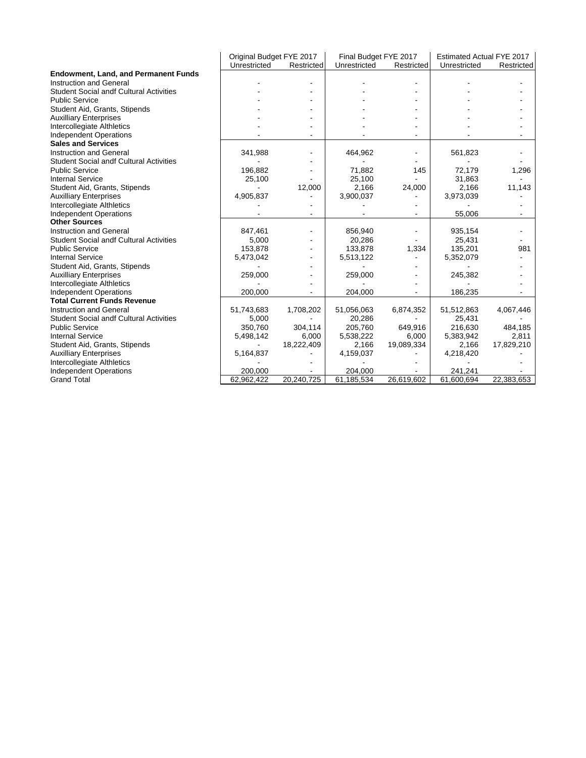| <b>Endowment, Land, and Permanent Funds</b>    | Unrestricted | Restricted | Unrestricted | Restricted | Unrestricted | Restricted |
|------------------------------------------------|--------------|------------|--------------|------------|--------------|------------|
|                                                |              |            |              |            |              |            |
|                                                |              |            |              |            |              |            |
| <b>Instruction and General</b>                 |              |            |              |            |              |            |
| <b>Student Social andf Cultural Activities</b> |              |            |              |            |              |            |
| <b>Public Service</b>                          |              |            |              |            |              |            |
| Student Aid, Grants, Stipends                  |              |            |              |            |              |            |
| <b>Auxilliary Enterprises</b>                  |              |            |              |            |              |            |
| Intercollegiate Althletics                     |              |            |              |            |              |            |
| <b>Independent Operations</b>                  |              |            |              |            |              |            |
| <b>Sales and Services</b>                      |              |            |              |            |              |            |
| <b>Instruction and General</b>                 | 341,988      |            | 464,962      |            | 561,823      |            |
| <b>Student Social andf Cultural Activities</b> |              |            |              |            |              |            |
| <b>Public Service</b>                          | 196,882      |            | 71,882       | 145        | 72,179       | 1,296      |
| <b>Internal Service</b>                        | 25,100       |            | 25,100       |            | 31,863       |            |
| Student Aid, Grants, Stipends                  |              | 12,000     | 2,166        | 24,000     | 2,166        | 11,143     |
| <b>Auxilliary Enterprises</b>                  | 4,905,837    |            | 3,900,037    |            | 3,973,039    |            |
| Intercollegiate Althletics                     |              |            |              |            |              |            |
| <b>Independent Operations</b>                  |              |            |              |            | 55,006       |            |
| <b>Other Sources</b>                           |              |            |              |            |              |            |
| <b>Instruction and General</b>                 | 847,461      |            | 856,940      |            | 935,154      |            |
| <b>Student Social andf Cultural Activities</b> | 5,000        |            | 20,286       |            | 25,431       |            |
| <b>Public Service</b>                          | 153,878      |            | 133,878      | 1,334      | 135,201      | 981        |
| <b>Internal Service</b>                        | 5,473,042    |            | 5,513,122    |            | 5,352,079    |            |
| Student Aid, Grants, Stipends                  |              |            |              |            |              |            |
| <b>Auxilliary Enterprises</b>                  | 259,000      |            | 259,000      |            | 245,382      |            |
| Intercollegiate Althletics                     |              |            |              |            |              |            |
| <b>Independent Operations</b>                  | 200,000      |            | 204,000      |            | 186,235      |            |
| <b>Total Current Funds Revenue</b>             |              |            |              |            |              |            |
| <b>Instruction and General</b>                 | 51,743,683   | 1,708,202  | 51,056,063   | 6,874,352  | 51,512,863   | 4,067,446  |
| <b>Student Social andf Cultural Activities</b> | 5,000        |            | 20,286       |            | 25.431       |            |
| <b>Public Service</b>                          | 350,760      | 304,114    | 205,760      | 649,916    | 216,630      | 484,185    |
| <b>Internal Service</b>                        | 5,498,142    | 6,000      | 5,538,222    | 6.000      | 5,383,942    | 2,811      |
| Student Aid, Grants, Stipends                  |              | 18,222,409 | 2,166        | 19,089,334 | 2,166        | 17,829,210 |
| <b>Auxilliary Enterprises</b>                  | 5,164,837    |            | 4,159,037    |            | 4,218,420    |            |
| Intercollegiate Althletics                     |              |            |              |            |              |            |
| <b>Independent Operations</b>                  | 200,000      |            | 204,000      |            | 241,241      |            |
| <b>Grand Total</b>                             | 62,962,422   | 20,240,725 | 61,185,534   | 26,619,602 | 61,600,694   | 22,383,653 |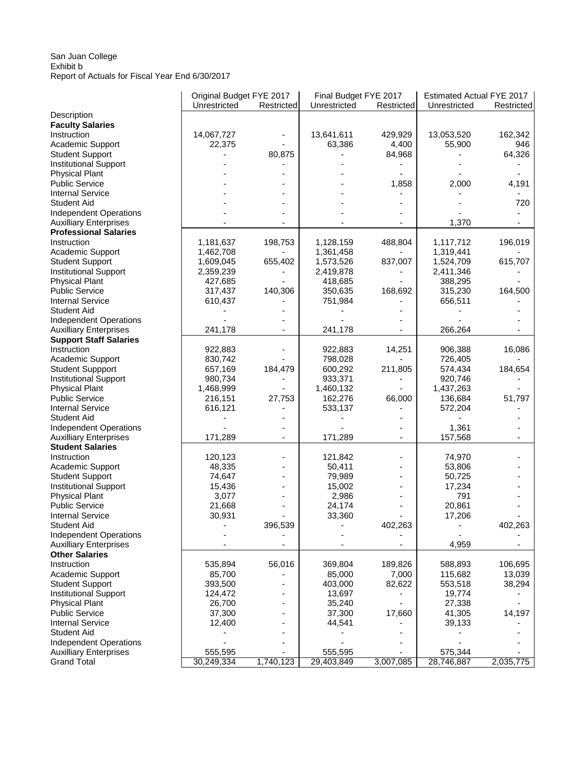## San Juan College Exhibit b Report of Actuals for Fiscal Year End 6/30/2017

|                               | Original Budget FYE 2017 |            | Final Budget FYE 2017 |            | Estimated Actual FYE 2017 |            |
|-------------------------------|--------------------------|------------|-----------------------|------------|---------------------------|------------|
|                               | Unrestricted             | Restricted | Unrestricted          | Restricted | Unrestricted              | Restricted |
| Description                   |                          |            |                       |            |                           |            |
| <b>Faculty Salaries</b>       |                          |            |                       |            |                           |            |
| Instruction                   | 14,067,727               |            | 13,641,611            | 429,929    | 13,053,520                | 162,342    |
| Academic Support              | 22,375                   |            | 63,386                | 4,400      | 55,900                    | 946        |
| <b>Student Support</b>        |                          | 80,875     |                       | 84,968     |                           | 64,326     |
| <b>Institutional Support</b>  |                          |            |                       |            |                           |            |
| <b>Physical Plant</b>         |                          |            |                       |            |                           |            |
| <b>Public Service</b>         |                          |            |                       | 1,858      | 2,000                     | 4,191      |
| <b>Internal Service</b>       |                          |            |                       |            |                           |            |
| <b>Student Aid</b>            |                          |            |                       |            |                           | 720        |
| Independent Operations        |                          |            |                       |            |                           |            |
| <b>Auxilliary Enterprises</b> |                          |            |                       |            | 1,370                     |            |
| <b>Professional Salaries</b>  |                          |            |                       |            |                           |            |
| Instruction                   | 1,181,637                | 198,753    | 1,128,159             | 488,804    | 1,117,712                 | 196,019    |
| Academic Support              | 1,462,708                |            | 1,361,458             |            | 1,319,441                 |            |
| <b>Student Support</b>        | 1,609,045                | 655,402    | 1,573,526             | 837,007    | 1,524,709                 | 615,707    |
| <b>Institutional Support</b>  | 2,359,239                |            | 2,419,878             |            | 2,411,346                 |            |
| <b>Physical Plant</b>         | 427,685                  |            | 418,685               |            | 388,295                   |            |
| <b>Public Service</b>         | 317,437                  | 140,306    | 350,635               | 168,692    | 315,230                   | 164,500    |
| <b>Internal Service</b>       | 610,437                  |            | 751,984               |            | 656,511                   |            |
| <b>Student Aid</b>            |                          |            |                       |            |                           |            |
| <b>Independent Operations</b> |                          |            |                       |            |                           |            |
| <b>Auxilliary Enterprises</b> | 241,178                  |            | 241,178               |            | 266,264                   |            |
| <b>Support Staff Salaries</b> |                          |            |                       |            |                           |            |
| Instruction                   | 922,883                  |            | 922,883               | 14,251     | 906,388                   | 16,086     |
| Academic Support              | 830,742                  |            | 798,028               |            | 726,405                   |            |
| <b>Student Suppport</b>       | 657,169                  | 184,479    | 600,292               | 211,805    | 574,434                   | 184,654    |
| <b>Institutional Support</b>  | 980,734                  |            | 933,371               |            | 920,746                   |            |
| <b>Physical Plant</b>         | 1,468,999                |            | 1,460,132             |            | 1,437,263                 |            |
| <b>Public Service</b>         | 216,151                  | 27,753     | 162,276               | 66,000     | 136,684                   | 51,797     |
| <b>Internal Service</b>       | 616,121                  |            | 533,137               |            | 572,204                   |            |
| <b>Student Aid</b>            |                          |            |                       |            |                           |            |
| <b>Independent Operations</b> |                          |            |                       |            | 1,361                     |            |
| <b>Auxilliary Enterprises</b> | 171,289                  | -          | 171,289               |            | 157,568                   |            |
| <b>Student Salaries</b>       |                          |            |                       |            |                           |            |
| Instruction                   | 120,123                  |            | 121,842               |            | 74,970                    |            |
| Academic Support              | 48,335                   |            | 50,411                |            | 53,806                    |            |
| <b>Student Support</b>        | 74,647                   |            | 79,989                |            | 50,725                    |            |
| <b>Institutional Support</b>  | 15,436                   |            | 15,002                |            | 17,234                    |            |
| <b>Physical Plant</b>         | 3,077                    |            | 2,986                 |            | 791                       |            |
| <b>Public Service</b>         | 21,668                   |            | 24,174                |            | 20,861                    |            |
| <b>Internal Service</b>       | 30,931                   |            | 33,360                |            | 17,206                    |            |
| <b>Student Aid</b>            |                          | 396,539    |                       | 402,263    |                           | 402,263    |
| <b>Independent Operations</b> |                          |            |                       |            |                           |            |
| <b>Auxilliary Enterprises</b> |                          |            |                       |            | 4,959                     |            |
| <b>Other Salaries</b>         |                          |            |                       |            |                           |            |
| Instruction                   | 535,894                  | 56,016     | 369,804               | 189,826    | 588,893                   | 106,695    |
| Academic Support              | 85,700                   |            | 85,000                | 7,000      | 115,682                   | 13,039     |
| <b>Student Support</b>        | 393,500                  |            | 403,000               | 82,622     | 553,518                   | 38,294     |
| <b>Institutional Support</b>  | 124,472                  |            | 13,697                |            | 19,774                    |            |
| <b>Physical Plant</b>         | 26,700                   |            | 35,240                |            | 27,338                    |            |
| <b>Public Service</b>         | 37,300                   |            | 37,300                | 17,660     | 41,305                    | 14,197     |
| <b>Internal Service</b>       | 12,400                   |            | 44,541                |            | 39,133                    |            |
| <b>Student Aid</b>            |                          |            |                       |            |                           |            |
| <b>Independent Operations</b> |                          |            |                       |            |                           |            |
| <b>Auxilliary Enterprises</b> | 555,595                  |            | 555,595               |            | 575,344                   |            |
| <b>Grand Total</b>            | 30,249,334               | 1,740,123  | 29,403,849            | 3,007,085  | 28,746,887                | 2,035,775  |